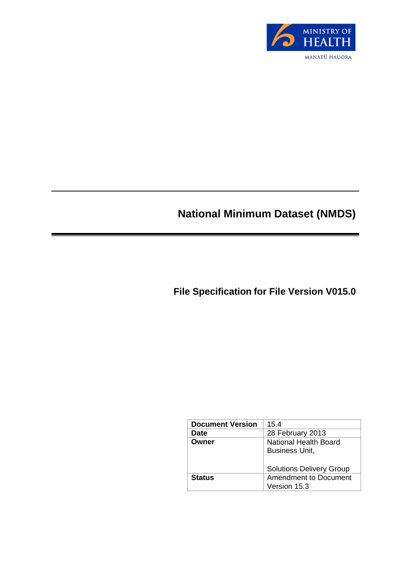

# **National Minimum Dataset (NMDS)**

**File Specification for File Version V015.0**

| <b>Document Version</b> | 15.4                                                  |  |  |  |
|-------------------------|-------------------------------------------------------|--|--|--|
| <b>Date</b>             | 28 February 2013                                      |  |  |  |
| Owner                   | <b>National Health Board</b><br><b>Business Unit,</b> |  |  |  |
|                         | <b>Solutions Delivery Group</b>                       |  |  |  |
| <b>Status</b>           | <b>Amendment to Document</b>                          |  |  |  |
|                         | Version 15.3                                          |  |  |  |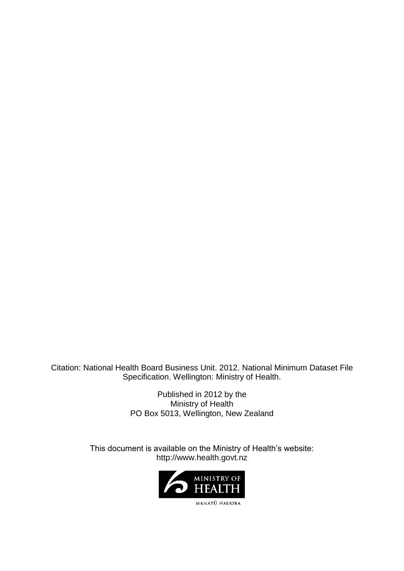Citation: National Health Board Business Unit. 2012. National Minimum Dataset File Specification. Wellington: Ministry of Health.

> Published in 2012 by the Ministry of Health PO Box 5013, Wellington, New Zealand

This document is available on the Ministry of Health's website: http://www.health.govt.nz

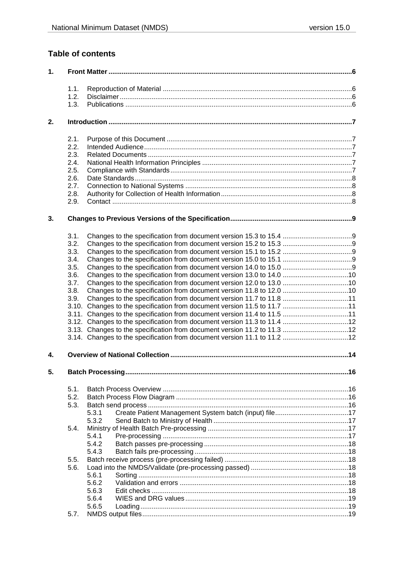### **Table of contents**

| 1. |      |                                                                          |  |  |  |
|----|------|--------------------------------------------------------------------------|--|--|--|
|    | 1.1. |                                                                          |  |  |  |
|    | 1.2. |                                                                          |  |  |  |
|    | 1.3. |                                                                          |  |  |  |
| 2. |      |                                                                          |  |  |  |
|    | 2.1. |                                                                          |  |  |  |
|    | 2.2. |                                                                          |  |  |  |
|    | 2.3. |                                                                          |  |  |  |
|    | 2.4. |                                                                          |  |  |  |
|    | 2.5. |                                                                          |  |  |  |
|    | 2.6. |                                                                          |  |  |  |
|    | 2.7. |                                                                          |  |  |  |
|    | 2.8. |                                                                          |  |  |  |
|    | 2.9. |                                                                          |  |  |  |
| 3. |      |                                                                          |  |  |  |
|    | 3.1. |                                                                          |  |  |  |
|    | 3.2. |                                                                          |  |  |  |
|    | 3.3. |                                                                          |  |  |  |
|    | 3.4. |                                                                          |  |  |  |
|    | 3.5. |                                                                          |  |  |  |
|    | 3.6. |                                                                          |  |  |  |
|    | 3.7. |                                                                          |  |  |  |
|    | 3.8. |                                                                          |  |  |  |
|    | 3.9. |                                                                          |  |  |  |
|    |      | 3.10. Changes to the specification from document version 11.5 to 11.7 11 |  |  |  |
|    |      | 3.11. Changes to the specification from document version 11.4 to 11.5 11 |  |  |  |
|    |      |                                                                          |  |  |  |
|    |      | 3.13. Changes to the specification from document version 11.2 to 11.3 12 |  |  |  |
|    |      |                                                                          |  |  |  |
| 4. |      |                                                                          |  |  |  |
| 5. |      |                                                                          |  |  |  |
|    | 5.1. |                                                                          |  |  |  |
|    | 5.2. |                                                                          |  |  |  |
|    | 5.3. |                                                                          |  |  |  |
|    |      | 5.3.1                                                                    |  |  |  |
|    |      | 5.3.2                                                                    |  |  |  |
|    | 5.4. |                                                                          |  |  |  |
|    |      | 5.4.1                                                                    |  |  |  |
|    |      | 5.4.2                                                                    |  |  |  |
|    |      | 5.4.3                                                                    |  |  |  |
|    | 5.5. |                                                                          |  |  |  |
|    | 5.6. |                                                                          |  |  |  |
|    |      | 5.6.1                                                                    |  |  |  |
|    |      | 5.6.2                                                                    |  |  |  |
|    |      | 5.6.3                                                                    |  |  |  |
|    |      | 5.6.4                                                                    |  |  |  |
|    |      | 5.6.5                                                                    |  |  |  |
|    | 5.7. |                                                                          |  |  |  |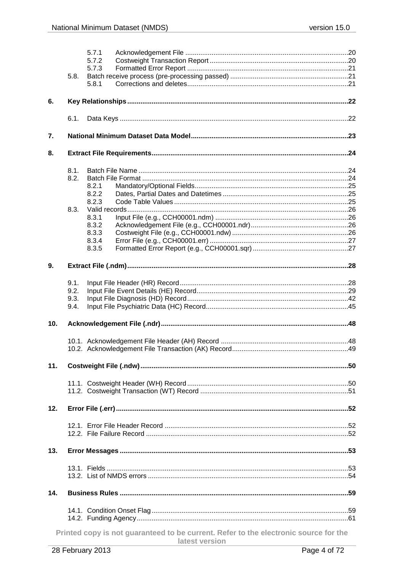| 5.7.3<br>5.8.<br>5.8.1<br>6.<br>6.1.<br>7.<br>8.<br>8.1.<br>8.2.<br>8.2.1<br>8.2.2<br>8.2.3<br>8.3.<br>8.3.1<br>8.3.2<br>8.3.3<br>8.3.4<br>8.3.5<br>9.<br>9.1.<br>9.2.<br>9.3.<br>9.4.<br>10.<br>11.<br>12.<br>13.<br>14.<br>Printed copy is not guaranteed to be current. Refer to the electronic source for the<br>latest version |  | 5.7.1 |  |
|-------------------------------------------------------------------------------------------------------------------------------------------------------------------------------------------------------------------------------------------------------------------------------------------------------------------------------------|--|-------|--|
|                                                                                                                                                                                                                                                                                                                                     |  | 5.7.2 |  |
|                                                                                                                                                                                                                                                                                                                                     |  |       |  |
|                                                                                                                                                                                                                                                                                                                                     |  |       |  |
|                                                                                                                                                                                                                                                                                                                                     |  |       |  |
|                                                                                                                                                                                                                                                                                                                                     |  |       |  |
|                                                                                                                                                                                                                                                                                                                                     |  |       |  |
|                                                                                                                                                                                                                                                                                                                                     |  |       |  |
|                                                                                                                                                                                                                                                                                                                                     |  |       |  |
|                                                                                                                                                                                                                                                                                                                                     |  |       |  |
|                                                                                                                                                                                                                                                                                                                                     |  |       |  |
|                                                                                                                                                                                                                                                                                                                                     |  |       |  |
|                                                                                                                                                                                                                                                                                                                                     |  |       |  |
|                                                                                                                                                                                                                                                                                                                                     |  |       |  |
|                                                                                                                                                                                                                                                                                                                                     |  |       |  |
|                                                                                                                                                                                                                                                                                                                                     |  |       |  |
|                                                                                                                                                                                                                                                                                                                                     |  |       |  |
|                                                                                                                                                                                                                                                                                                                                     |  |       |  |
|                                                                                                                                                                                                                                                                                                                                     |  |       |  |
|                                                                                                                                                                                                                                                                                                                                     |  |       |  |
|                                                                                                                                                                                                                                                                                                                                     |  |       |  |
|                                                                                                                                                                                                                                                                                                                                     |  |       |  |
|                                                                                                                                                                                                                                                                                                                                     |  |       |  |
|                                                                                                                                                                                                                                                                                                                                     |  |       |  |
|                                                                                                                                                                                                                                                                                                                                     |  |       |  |
|                                                                                                                                                                                                                                                                                                                                     |  |       |  |
|                                                                                                                                                                                                                                                                                                                                     |  |       |  |
|                                                                                                                                                                                                                                                                                                                                     |  |       |  |
|                                                                                                                                                                                                                                                                                                                                     |  |       |  |
|                                                                                                                                                                                                                                                                                                                                     |  |       |  |
|                                                                                                                                                                                                                                                                                                                                     |  |       |  |
|                                                                                                                                                                                                                                                                                                                                     |  |       |  |
|                                                                                                                                                                                                                                                                                                                                     |  |       |  |
|                                                                                                                                                                                                                                                                                                                                     |  |       |  |
|                                                                                                                                                                                                                                                                                                                                     |  |       |  |
|                                                                                                                                                                                                                                                                                                                                     |  |       |  |
|                                                                                                                                                                                                                                                                                                                                     |  |       |  |
|                                                                                                                                                                                                                                                                                                                                     |  |       |  |
|                                                                                                                                                                                                                                                                                                                                     |  |       |  |
|                                                                                                                                                                                                                                                                                                                                     |  |       |  |
|                                                                                                                                                                                                                                                                                                                                     |  |       |  |
|                                                                                                                                                                                                                                                                                                                                     |  |       |  |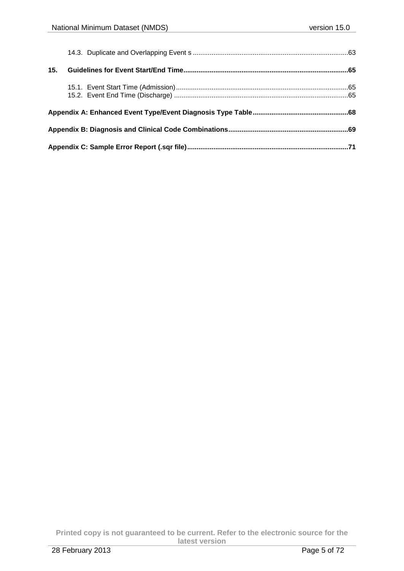**Printed copy is not guaranteed to be current. Refer to the electronic source for the latest version** 28 February 2013 Page 5 of 72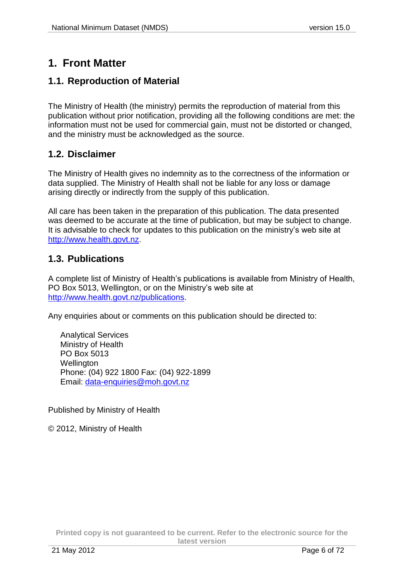# <span id="page-5-0"></span>**1. Front Matter**

## <span id="page-5-1"></span>**1.1. Reproduction of Material**

The Ministry of Health (the ministry) permits the reproduction of material from this publication without prior notification, providing all the following conditions are met: the information must not be used for commercial gain, must not be distorted or changed, and the ministry must be acknowledged as the source.

### <span id="page-5-2"></span>**1.2. Disclaimer**

The Ministry of Health gives no indemnity as to the correctness of the information or data supplied. The Ministry of Health shall not be liable for any loss or damage arising directly or indirectly from the supply of this publication.

All care has been taken in the preparation of this publication. The data presented was deemed to be accurate at the time of publication, but may be subject to change. It is advisable to check for updates to this publication on the ministry's web site at [http://www.health.govt.nz.](http://www.health.govt.nz/)

### <span id="page-5-3"></span>**1.3. Publications**

A complete list of Ministry of Health's publications is available from Ministry of Health, PO Box 5013, Wellington, or on the Ministry's web site at [http://www.health.govt.nz/publications.](http://www.health.govt.nz/publications)

Any enquiries about or comments on this publication should be directed to:

Analytical Services Ministry of Health PO Box 5013 Wellington Phone: (04) 922 1800 Fax: (04) 922-1899 Email: [data-enquiries@moh.govt.nz](mailto:data-enquiries@moh.govt.nz)

Published by Ministry of Health

© 2012, Ministry of Health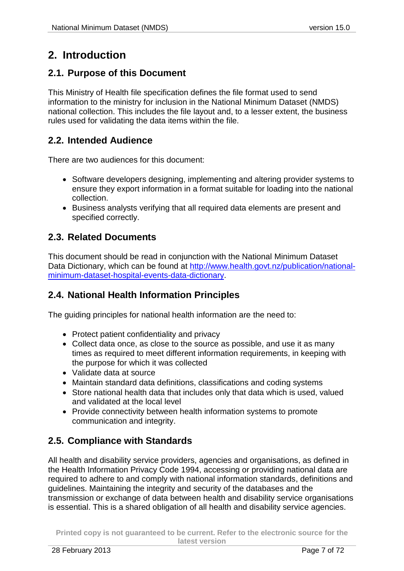# <span id="page-6-0"></span>**2. Introduction**

## <span id="page-6-1"></span>**2.1. Purpose of this Document**

This Ministry of Health file specification defines the file format used to send information to the ministry for inclusion in the National Minimum Dataset (NMDS) national collection. This includes the file layout and, to a lesser extent, the business rules used for validating the data items within the file.

## <span id="page-6-2"></span>**2.2. Intended Audience**

There are two audiences for this document:

- Software developers designing, implementing and altering provider systems to ensure they export information in a format suitable for loading into the national collection.
- Business analysts verifying that all required data elements are present and specified correctly.

## <span id="page-6-3"></span>**2.3. Related Documents**

This document should be read in conjunction with the National Minimum Dataset Data Dictionary, which can be found at [http://www.health.govt.nz/publication/national](http://www.health.govt.nz/publication/national-minimum-dataset-hospital-events-data-dictionary)[minimum-dataset-hospital-events-data-dictionary.](http://www.health.govt.nz/publication/national-minimum-dataset-hospital-events-data-dictionary)

## <span id="page-6-4"></span>**2.4. National Health Information Principles**

The guiding principles for national health information are the need to:

- Protect patient confidentiality and privacy
- Collect data once, as close to the source as possible, and use it as many times as required to meet different information requirements, in keeping with the purpose for which it was collected
- Validate data at source
- Maintain standard data definitions, classifications and coding systems
- Store national health data that includes only that data which is used, valued and validated at the local level
- Provide connectivity between health information systems to promote communication and integrity.

## <span id="page-6-6"></span><span id="page-6-5"></span>**2.5. Compliance with Standards**

All health and disability service providers, agencies and organisations, as defined in the Health Information Privacy Code 1994, accessing or providing national data are required to adhere to and comply with national information standards, definitions and guidelines. Maintaining the integrity and security of the databases and the transmission or exchange of data between health and disability service organisations is essential. This is a shared obligation of all health and disability service agencies.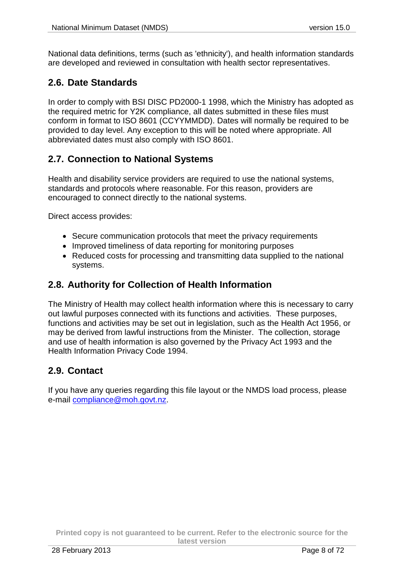National data definitions, terms (such as 'ethnicity'), and health information standards are developed and reviewed in consultation with health sector representatives.

## <span id="page-7-0"></span>**2.6. Date Standards**

In order to comply with BSI DISC PD2000-1 1998, which the Ministry has adopted as the required metric for Y2K compliance, all dates submitted in these files must conform in format to ISO 8601 (CCYYMMDD). Dates will normally be required to be provided to day level. Any exception to this will be noted where appropriate. All abbreviated dates must also comply with ISO 8601.

## <span id="page-7-1"></span>**2.7. Connection to National Systems**

Health and disability service providers are required to use the national systems, standards and protocols where reasonable. For this reason, providers are encouraged to connect directly to the national systems.

Direct access provides:

- Secure communication protocols that meet the privacy requirements
- Improved timeliness of data reporting for monitoring purposes
- Reduced costs for processing and transmitting data supplied to the national systems.

### <span id="page-7-2"></span>**2.8. Authority for Collection of Health Information**

The Ministry of Health may collect health information where this is necessary to carry out lawful purposes connected with its functions and activities. These purposes, functions and activities may be set out in legislation, such as the Health Act 1956, or may be derived from lawful instructions from the Minister. The collection, storage and use of health information is also governed by the Privacy Act 1993 and the Health Information Privacy Code 1994.

## <span id="page-7-3"></span>**2.9. Contact**

If you have any queries regarding this file layout or the NMDS load process, please e-mail [compliance@moh.govt.nz.](mailto:compliance@moh.govt.nz)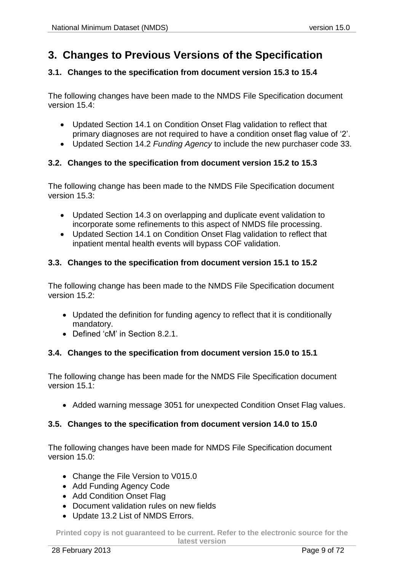## <span id="page-8-0"></span>**3. Changes to Previous Versions of the Specification**

#### <span id="page-8-1"></span>**3.1. Changes to the specification from document version 15.3 to 15.4**

The following changes have been made to the NMDS File Specification document version 15.4:

- Updated Section 14.1 on Condition Onset Flag validation to reflect that primary diagnoses are not required to have a condition onset flag value of '2'.
- Updated Section 14.2 *Funding Agency* to include the new purchaser code 33.

#### <span id="page-8-2"></span>**3.2. Changes to the specification from document version 15.2 to 15.3**

The following change has been made to the NMDS File Specification document version 15.3:

- Updated Section 14.3 on overlapping and duplicate event validation to incorporate some refinements to this aspect of NMDS file processing.
- Updated Section 14.1 on Condition Onset Flag validation to reflect that inpatient mental health events will bypass COF validation.

#### <span id="page-8-3"></span>**3.3. Changes to the specification from document version 15.1 to 15.2**

The following change has been made to the NMDS File Specification document version 15.2:

- Updated the definition for funding agency to reflect that it is conditionally mandatory.
- Defined 'cM' in Section [8.2.1.](#page-24-0)

#### <span id="page-8-4"></span>**3.4. Changes to the specification from document version 15.0 to 15.1**

The following change has been made for the NMDS File Specification document version 15.1:

Added warning message 3051 for unexpected Condition Onset Flag values.

#### <span id="page-8-5"></span>**3.5. Changes to the specification from document version 14.0 to 15.0**

The following changes have been made for NMDS File Specification document version 15.0:

- Change the File Version to V015.0
- Add Funding Agency Code
- Add Condition Onset Flag
- Document validation rules on new fields
- Update 13.2 List of NMDS Errors.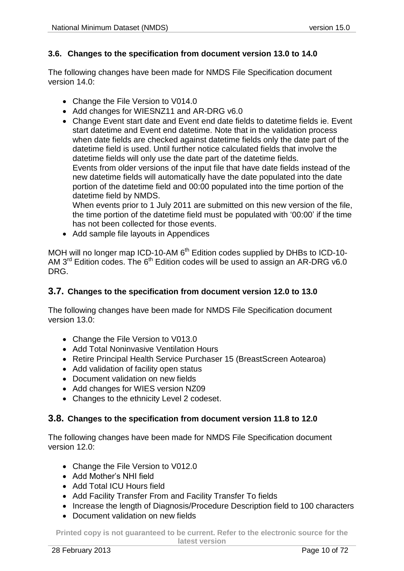#### <span id="page-9-0"></span>**3.6. Changes to the specification from document version 13.0 to 14.0**

The following changes have been made for NMDS File Specification document version 14.0:

- Change the File Version to V014.0
- Add changes for WIESNZ11 and AR-DRG v6.0

 Change Event start date and Event end date fields to datetime fields ie. Event start datetime and Event end datetime. Note that in the validation process when date fields are checked against datetime fields only the date part of the datetime field is used. Until further notice calculated fields that involve the datetime fields will only use the date part of the datetime fields. Events from older versions of the input file that have date fields instead of the new datetime fields will automatically have the date populated into the date portion of the datetime field and 00:00 populated into the time portion of the datetime field by NMDS.

When events prior to 1 July 2011 are submitted on this new version of the file, the time portion of the datetime field must be populated with '00:00' if the time has not been collected for those events.

• Add sample file layouts in Appendices

MOH will no longer map ICD-10-AM  $6^{th}$  Edition codes supplied by DHBs to ICD-10-AM 3<sup>rd</sup> Edition codes. The 6<sup>th</sup> Edition codes will be used to assign an AR-DRG v6.0 DRG.

#### <span id="page-9-1"></span>**3.7. Changes to the specification from document version 12.0 to 13.0**

The following changes have been made for NMDS File Specification document version 13.0:

- Change the File Version to V013.0
- Add Total Noninvasive Ventilation Hours
- Retire Principal Health Service Purchaser 15 (BreastScreen Aotearoa)
- Add validation of facility open status
- Document validation on new fields
- Add changes for WIES version NZ09
- Changes to the ethnicity Level 2 codeset.

#### <span id="page-9-2"></span>**3.8. Changes to the specification from document version 11.8 to 12.0**

The following changes have been made for NMDS File Specification document version 12.0:

- Change the File Version to V012.0
- Add Mother's NHI field
- Add Total ICU Hours field
- Add Facility Transfer From and Facility Transfer To fields
- Increase the length of Diagnosis/Procedure Description field to 100 characters
- Document validation on new fields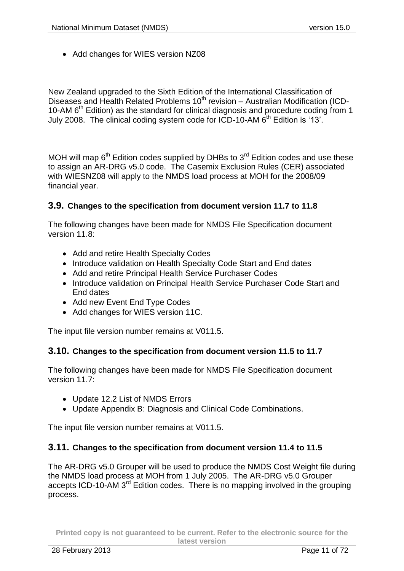• Add changes for WIES version NZ08

New Zealand upgraded to the Sixth Edition of the International Classification of Diseases and Health Related Problems 10th revision – Australian Modification (ICD-10-AM 6th Edition) as the standard for clinical diagnosis and procedure coding from 1 July 2008. The clinical coding system code for ICD-10-AM 6<sup>th</sup> Edition is '13'.

MOH will map  $6<sup>th</sup>$  Edition codes supplied by DHBs to  $3<sup>rd</sup>$  Edition codes and use these to assign an AR-DRG v5.0 code. The Casemix Exclusion Rules (CER) associated with WIESNZ08 will apply to the NMDS load process at MOH for the 2008/09 financial year.

#### <span id="page-10-0"></span>**3.9. Changes to the specification from document version 11.7 to 11.8**

The following changes have been made for NMDS File Specification document version 11.8:

- Add and retire Health Specialty Codes
- Introduce validation on Health Specialty Code Start and End dates
- Add and retire Principal Health Service Purchaser Codes
- Introduce validation on Principal Health Service Purchaser Code Start and End dates
- Add new Event End Type Codes
- Add changes for WIES version 11C.

The input file version number remains at V011.5.

#### <span id="page-10-1"></span>**3.10. Changes to the specification from document version 11.5 to 11.7**

The following changes have been made for NMDS File Specification document version 11.7:

- Update 12.2 List of NMDS Errors
- Update Appendix B: Diagnosis and Clinical Code Combinations.

The input file version number remains at V011.5.

#### <span id="page-10-2"></span>**3.11. Changes to the specification from document version 11.4 to 11.5**

The AR-DRG v5.0 Grouper will be used to produce the NMDS Cost Weight file during the NMDS load process at MOH from 1 July 2005. The AR-DRG v5.0 Grouper accepts ICD-10-AM 3<sup>rd</sup> Edition codes. There is no mapping involved in the grouping process.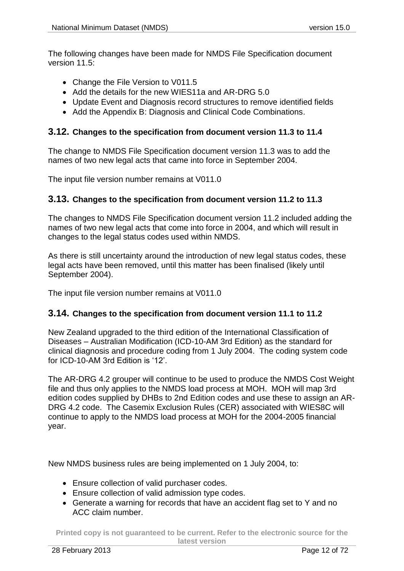The following changes have been made for NMDS File Specification document version 11.5:

- Change the File Version to V011.5
- Add the details for the new WIES11a and AR-DRG 5.0
- Update Event and Diagnosis record structures to remove identified fields
- Add the Appendix B: Diagnosis and Clinical Code Combinations.

#### <span id="page-11-0"></span>**3.12. Changes to the specification from document version 11.3 to 11.4**

The change to NMDS File Specification document version 11.3 was to add the names of two new legal acts that came into force in September 2004.

The input file version number remains at V011.0

#### <span id="page-11-1"></span>**3.13. Changes to the specification from document version 11.2 to 11.3**

The changes to NMDS File Specification document version 11.2 included adding the names of two new legal acts that come into force in 2004, and which will result in changes to the legal status codes used within NMDS.

As there is still uncertainty around the introduction of new legal status codes, these legal acts have been removed, until this matter has been finalised (likely until September 2004).

The input file version number remains at V011.0

#### <span id="page-11-2"></span>**3.14. Changes to the specification from document version 11.1 to 11.2**

New Zealand upgraded to the third edition of the International Classification of Diseases – Australian Modification (ICD-10-AM 3rd Edition) as the standard for clinical diagnosis and procedure coding from 1 July 2004. The coding system code for ICD-10-AM 3rd Edition is '12'.

The AR-DRG 4.2 grouper will continue to be used to produce the NMDS Cost Weight file and thus only applies to the NMDS load process at MOH. MOH will map 3rd edition codes supplied by DHBs to 2nd Edition codes and use these to assign an AR-DRG 4.2 code. The Casemix Exclusion Rules (CER) associated with WIES8C will continue to apply to the NMDS load process at MOH for the 2004-2005 financial year.

New NMDS business rules are being implemented on 1 July 2004, to:

- Ensure collection of valid purchaser codes.
- Ensure collection of valid admission type codes.
- Generate a warning for records that have an accident flag set to Y and no ACC claim number.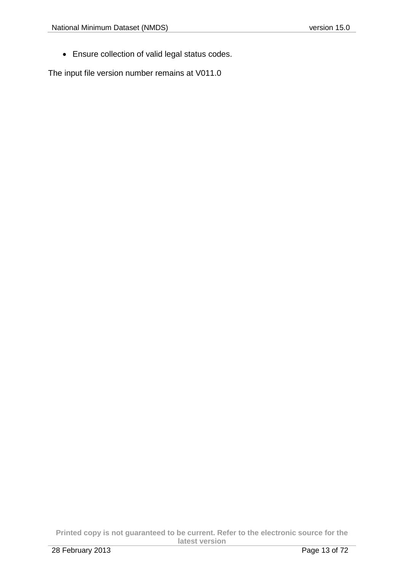Ensure collection of valid legal status codes.

The input file version number remains at V011.0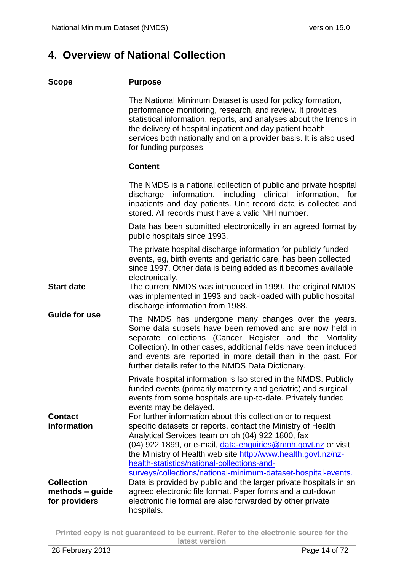## <span id="page-13-0"></span>**4. Overview of National Collection**

#### **Purpose**

The National Minimum Dataset is used for policy formation, performance monitoring, research, and review. It provides statistical information, reports, and analyses about the trends in the delivery of hospital inpatient and day patient health services both nationally and on a provider basis. It is also used for funding purposes.

#### **Content**

|                                                       | The NMDS is a national collection of public and private hospital<br>discharge information, including clinical information, for<br>inpatients and day patients. Unit record data is collected and<br>stored. All records must have a valid NHI number.                                                                                                                                                                              |
|-------------------------------------------------------|------------------------------------------------------------------------------------------------------------------------------------------------------------------------------------------------------------------------------------------------------------------------------------------------------------------------------------------------------------------------------------------------------------------------------------|
|                                                       | Data has been submitted electronically in an agreed format by<br>public hospitals since 1993.                                                                                                                                                                                                                                                                                                                                      |
|                                                       | The private hospital discharge information for publicly funded<br>events, eg, birth events and geriatric care, has been collected<br>since 1997. Other data is being added as it becomes available<br>electronically.                                                                                                                                                                                                              |
| <b>Start date</b>                                     | The current NMDS was introduced in 1999. The original NMDS<br>was implemented in 1993 and back-loaded with public hospital<br>discharge information from 1988.                                                                                                                                                                                                                                                                     |
| <b>Guide for use</b>                                  | The NMDS has undergone many changes over the years.<br>Some data subsets have been removed and are now held in<br>separate collections (Cancer Register and the Mortality<br>Collection). In other cases, additional fields have been included<br>and events are reported in more detail than in the past. For<br>further details refer to the NMDS Data Dictionary.                                                               |
|                                                       | Private hospital information is Iso stored in the NMDS. Publicly<br>funded events (primarily maternity and geriatric) and surgical<br>events from some hospitals are up-to-date. Privately funded<br>events may be delayed.                                                                                                                                                                                                        |
| <b>Contact</b><br>information                         | For further information about this collection or to request<br>specific datasets or reports, contact the Ministry of Health<br>Analytical Services team on ph (04) 922 1800, fax<br>(04) 922 1899, or e-mail, data-enquiries@moh.govt.nz or visit<br>the Ministry of Health web site http://www.health.govt.nz/nz-<br>health-statistics/national-collections-and-<br>surveys/collections/national-minimum-dataset-hospital-events. |
| <b>Collection</b><br>methods - guide<br>for providers | Data is provided by public and the larger private hospitals in an<br>agreed electronic file format. Paper forms and a cut-down<br>electronic file format are also forwarded by other private<br>hospitals.                                                                                                                                                                                                                         |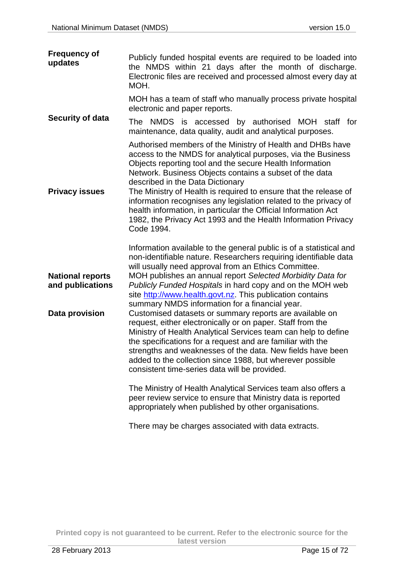| <b>Frequency of</b><br>updates              | Publicly funded hospital events are required to be loaded into<br>the NMDS within 21 days after the month of discharge.<br>Electronic files are received and processed almost every day at<br>MOH.                                                                                                                                                                                                                                                                                                                                                                             |
|---------------------------------------------|--------------------------------------------------------------------------------------------------------------------------------------------------------------------------------------------------------------------------------------------------------------------------------------------------------------------------------------------------------------------------------------------------------------------------------------------------------------------------------------------------------------------------------------------------------------------------------|
|                                             | MOH has a team of staff who manually process private hospital<br>electronic and paper reports.                                                                                                                                                                                                                                                                                                                                                                                                                                                                                 |
| Security of data                            | The NMDS is accessed by authorised MOH staff for<br>maintenance, data quality, audit and analytical purposes.                                                                                                                                                                                                                                                                                                                                                                                                                                                                  |
| <b>Privacy issues</b>                       | Authorised members of the Ministry of Health and DHBs have<br>access to the NMDS for analytical purposes, via the Business<br>Objects reporting tool and the secure Health Information<br>Network. Business Objects contains a subset of the data<br>described in the Data Dictionary<br>The Ministry of Health is required to ensure that the release of<br>information recognises any legislation related to the privacy of<br>health information, in particular the Official Information Act<br>1982, the Privacy Act 1993 and the Health Information Privacy<br>Code 1994. |
|                                             | Information available to the general public is of a statistical and<br>non-identifiable nature. Researchers requiring identifiable data                                                                                                                                                                                                                                                                                                                                                                                                                                        |
| <b>National reports</b><br>and publications | will usually need approval from an Ethics Committee.<br>MOH publishes an annual report Selected Morbidity Data for<br>Publicly Funded Hospitals in hard copy and on the MOH web<br>site http://www.health.govt.nz. This publication contains                                                                                                                                                                                                                                                                                                                                   |
| Data provision                              | summary NMDS information for a financial year.<br>Customised datasets or summary reports are available on<br>request, either electronically or on paper. Staff from the<br>Ministry of Health Analytical Services team can help to define<br>the specifications for a request and are familiar with the<br>strengths and weaknesses of the data. New fields have been<br>added to the collection since 1988, but wherever possible<br>consistent time-series data will be provided.                                                                                            |
|                                             | The Ministry of Health Analytical Services team also offers a<br>peer review service to ensure that Ministry data is reported<br>appropriately when published by other organisations.                                                                                                                                                                                                                                                                                                                                                                                          |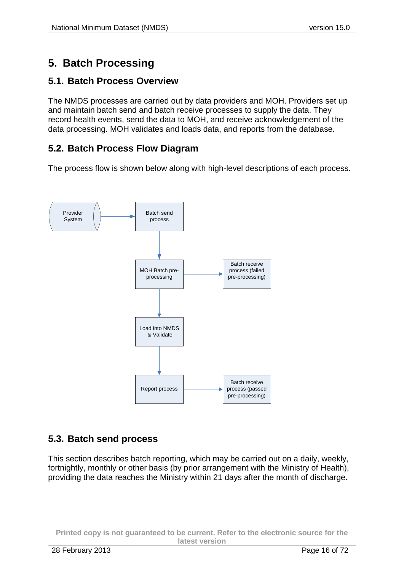# <span id="page-15-0"></span>**5. Batch Processing**

### <span id="page-15-1"></span>**5.1. Batch Process Overview**

The NMDS processes are carried out by data providers and MOH. Providers set up and maintain batch send and batch receive processes to supply the data. They record health events, send the data to MOH, and receive acknowledgement of the data processing. MOH validates and loads data, and reports from the database.

## <span id="page-15-2"></span>**5.2. Batch Process Flow Diagram**

The process flow is shown below along with high-level descriptions of each process.



### <span id="page-15-3"></span>**5.3. Batch send process**

This section describes batch reporting, which may be carried out on a daily, weekly, fortnightly, monthly or other basis (by prior arrangement with the Ministry of Health), providing the data reaches the Ministry within 21 days after the month of discharge.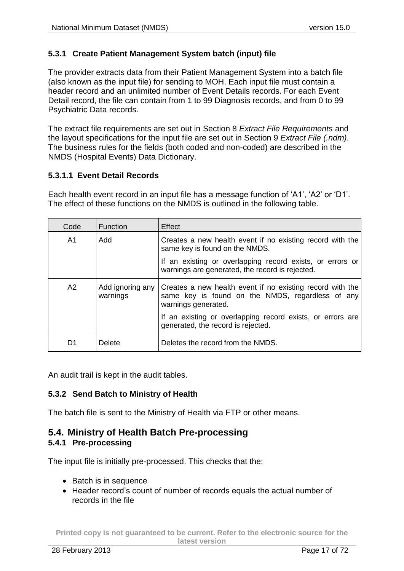#### <span id="page-16-0"></span>**5.3.1 Create Patient Management System batch (input) file**

The provider extracts data from their Patient Management System into a batch file (also known as the input file) for sending to MOH. Each input file must contain a header record and an unlimited number of Event Details records. For each Event Detail record, the file can contain from 1 to 99 Diagnosis records, and from 0 to 99 Psychiatric Data records.

The extract file requirements are set out in Section [8](#page-23-0) *Extract File [Requirements](#page-23-0)* and the layout specifications for the input file are set out in Section [9](#page-27-0) *[Extract File \(.ndm\)](#page-27-0)*. The business rules for the fields (both coded and non-coded) are described in the NMDS (Hospital Events) Data Dictionary.

#### **5.3.1.1 Event Detail Records**

Each health event record in an input file has a message function of 'A1', 'A2' or 'D1'. The effect of these functions on the NMDS is outlined in the following table.

| Code | <b>Function</b>              | Effect                                                                                                                               |
|------|------------------------------|--------------------------------------------------------------------------------------------------------------------------------------|
| A1   | hbA                          | Creates a new health event if no existing record with the<br>same key is found on the NMDS.                                          |
|      |                              | If an existing or overlapping record exists, or errors or<br>warnings are generated, the record is rejected.                         |
| A2   | Add ignoring any<br>warnings | Creates a new health event if no existing record with the<br>same key is found on the NMDS, regardless of any<br>warnings generated. |
|      |                              | If an existing or overlapping record exists, or errors are<br>generated, the record is rejected.                                     |
| D1   | <b>Delete</b>                | Deletes the record from the NMDS.                                                                                                    |

An audit trail is kept in the audit tables.

#### <span id="page-16-1"></span>**5.3.2 Send Batch to Ministry of Health**

The batch file is sent to the Ministry of Health via FTP or other means.

## <span id="page-16-2"></span>**5.4. Ministry of Health Batch Pre-processing**

#### <span id="page-16-3"></span>**5.4.1 Pre-processing**

The input file is initially pre-processed. This checks that the:

- Batch is in sequence
- Header record's count of number of records equals the actual number of records in the file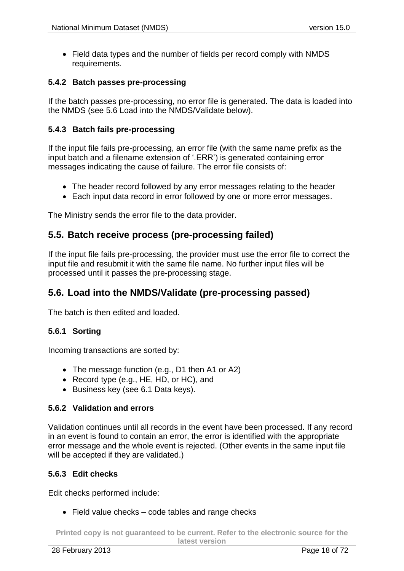• Field data types and the number of fields per record comply with NMDS requirements.

#### <span id="page-17-0"></span>**5.4.2 Batch passes pre-processing**

If the batch passes pre-processing, no error file is generated. The data is loaded into the NMDS (see 5.6 Load into the NMDS/Validate below).

#### <span id="page-17-1"></span>**5.4.3 Batch fails pre-processing**

If the input file fails pre-processing, an error file (with the same name prefix as the input batch and a filename extension of '.ERR') is generated containing error messages indicating the cause of failure. The error file consists of:

- The header record followed by any error messages relating to the header
- Each input data record in error followed by one or more error messages.

The Ministry sends the error file to the data provider.

### <span id="page-17-2"></span>**5.5. Batch receive process (pre-processing failed)**

If the input file fails pre-processing, the provider must use the error file to correct the input file and resubmit it with the same file name. No further input files will be processed until it passes the pre-processing stage.

### <span id="page-17-3"></span>**5.6. Load into the NMDS/Validate (pre-processing passed)**

The batch is then edited and loaded.

#### <span id="page-17-4"></span>**5.6.1 Sorting**

Incoming transactions are sorted by:

- The message function (e.g., D1 then A1 or A2)
- Record type (e.g., HE, HD, or HC), and
- Business key (see 6.1 Data keys).

#### <span id="page-17-5"></span>**5.6.2 Validation and errors**

Validation continues until all records in the event have been processed. If any record in an event is found to contain an error, the error is identified with the appropriate error message and the whole event is rejected. (Other events in the same input file will be accepted if they are validated.)

#### <span id="page-17-6"></span>**5.6.3 Edit checks**

Edit checks performed include:

• Field value checks – code tables and range checks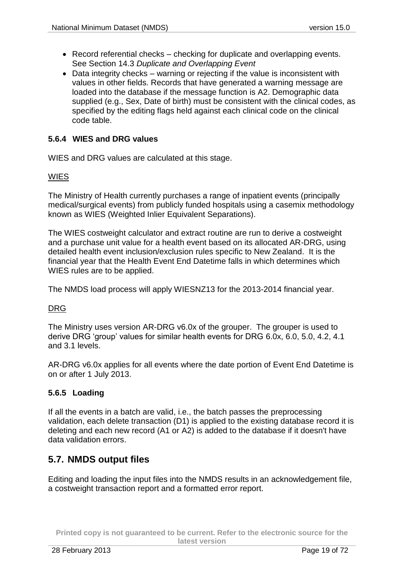- Record referential checks checking for duplicate and overlapping events. See Section [14.3](#page-62-0) *[Duplicate and Overlapping Event](#page-62-0)*
- Data integrity checks warning or rejecting if the value is inconsistent with values in other fields. Records that have generated a warning message are loaded into the database if the message function is A2. Demographic data supplied (e.g., Sex, Date of birth) must be consistent with the clinical codes, as specified by the editing flags held against each clinical code on the clinical code table.

#### <span id="page-18-0"></span>**5.6.4 WIES and DRG values**

WIES and DRG values are calculated at this stage.

#### WIES

The Ministry of Health currently purchases a range of inpatient events (principally medical/surgical events) from publicly funded hospitals using a casemix methodology known as WIES (Weighted Inlier Equivalent Separations).

The WIES costweight calculator and extract routine are run to derive a costweight and a purchase unit value for a health event based on its allocated AR-DRG, using detailed health event inclusion/exclusion rules specific to New Zealand. It is the financial year that the Health Event End Datetime falls in which determines which WIES rules are to be applied.

The NMDS load process will apply WIESNZ13 for the 2013-2014 financial year.

#### DRG

The Ministry uses version AR-DRG v6.0x of the grouper. The grouper is used to derive DRG 'group' values for similar health events for DRG 6.0x, 6.0, 5.0, 4.2, 4.1 and 3.1 levels.

AR-DRG v6.0x applies for all events where the date portion of Event End Datetime is on or after 1 July 2013.

#### <span id="page-18-1"></span>**5.6.5 Loading**

If all the events in a batch are valid, i.e., the batch passes the preprocessing validation, each delete transaction (D1) is applied to the existing database record it is deleting and each new record (A1 or A2) is added to the database if it doesn't have data validation errors.

### <span id="page-18-2"></span>**5.7. NMDS output files**

Editing and loading the input files into the NMDS results in an acknowledgement file, a costweight transaction report and a formatted error report.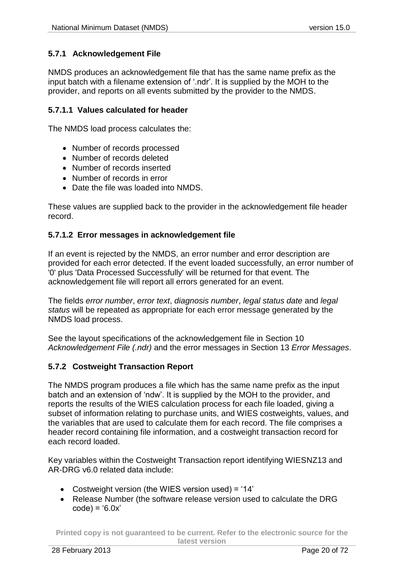#### <span id="page-19-0"></span>**5.7.1 Acknowledgement File**

NMDS produces an acknowledgement file that has the same name prefix as the input batch with a filename extension of '.ndr'. It is supplied by the MOH to the provider, and reports on all events submitted by the provider to the NMDS.

#### **5.7.1.1 Values calculated for header**

The NMDS load process calculates the:

- Number of records processed
- Number of records deleted
- Number of records inserted
- Number of records in error
- Date the file was loaded into NMDS.

These values are supplied back to the provider in the acknowledgement file header record.

#### **5.7.1.2 Error messages in acknowledgement file**

If an event is rejected by the NMDS, an error number and error description are provided for each error detected. If the event loaded successfully, an error number of '0' plus 'Data Processed Successfully' will be returned for that event. The acknowledgement file will report all errors generated for an event.

The fields *error number*, *error text*, *diagnosis number*, *legal status date* and *legal status* will be repeated as appropriate for each error message generated by the NMDS load process.

See the layout specifications of the acknowledgement file in Section [10](#page-47-0) *[Acknowledgement File](#page-47-0) (.ndr)* and the error messages in Section [13](#page-52-0) *[Error Messages](#page-52-0)*.

#### <span id="page-19-1"></span>**5.7.2 Costweight Transaction Report**

The NMDS program produces a file which has the same name prefix as the input batch and an extension of 'ndw'. It is supplied by the MOH to the provider, and reports the results of the WIES calculation process for each file loaded, giving a subset of information relating to purchase units, and WIES costweights, values, and the variables that are used to calculate them for each record. The file comprises a header record containing file information, and a costweight transaction record for each record loaded.

Key variables within the Costweight Transaction report identifying WIESNZ13 and AR-DRG v6.0 related data include:

- Costweight version (the WIES version used) = '14'
- Release Number (the software release version used to calculate the DRG  $code) = '6.0x'$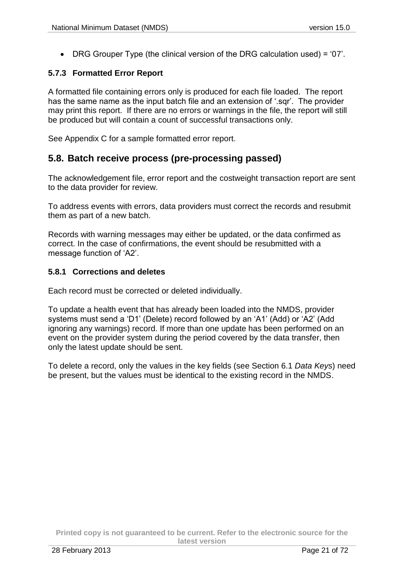$\bullet$  DRG Grouper Type (the clinical version of the DRG calculation used) = '07'.

#### <span id="page-20-0"></span>**5.7.3 Formatted Error Report**

A formatted file containing errors only is produced for each file loaded. The report has the same name as the input batch file and an extension of '.sqr'. The provider may print this report. If there are no errors or warnings in the file, the report will still be produced but will contain a count of successful transactions only.

See Appendix C for a sample formatted error report.

### <span id="page-20-1"></span>**5.8. Batch receive process (pre-processing passed)**

The acknowledgement file, error report and the costweight transaction report are sent to the data provider for review.

To address events with errors, data providers must correct the records and resubmit them as part of a new batch.

Records with warning messages may either be updated, or the data confirmed as correct. In the case of confirmations, the event should be resubmitted with a message function of 'A2'.

#### <span id="page-20-2"></span>**5.8.1 Corrections and deletes**

Each record must be corrected or deleted individually.

To update a health event that has already been loaded into the NMDS, provider systems must send a 'D1' (Delete) record followed by an 'A1' (Add) or 'A2' (Add ignoring any warnings) record. If more than one update has been performed on an event on the provider system during the period covered by the data transfer, then only the latest update should be sent.

To delete a record, only the values in the key fields (see Section [6.1](#page-21-1) *[Data Keys](#page-21-1)*) need be present, but the values must be identical to the existing record in the NMDS.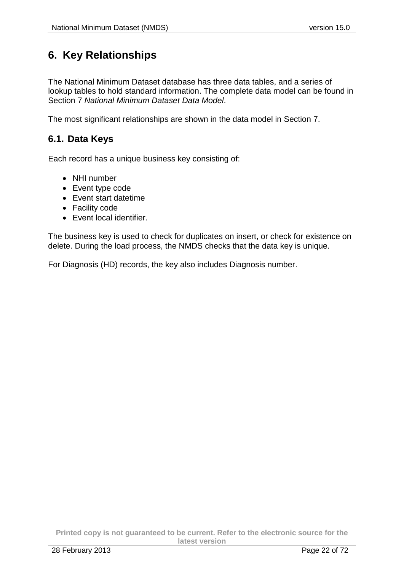# <span id="page-21-0"></span>**6. Key Relationships**

The National Minimum Dataset database has three data tables, and a series of lookup tables to hold standard information. The complete data model can be found in Section [7](#page-22-0) *[National Minimum Dataset](#page-22-0) Data Model*.

The most significant relationships are shown in the data model in Section [7.](#page-22-0)

## <span id="page-21-1"></span>**6.1. Data Keys**

Each record has a unique business key consisting of:

- NHI number
- Event type code
- Event start datetime
- Facility code
- Event local identifier.

The business key is used to check for duplicates on insert, or check for existence on delete. During the load process, the NMDS checks that the data key is unique.

For Diagnosis (HD) records, the key also includes Diagnosis number.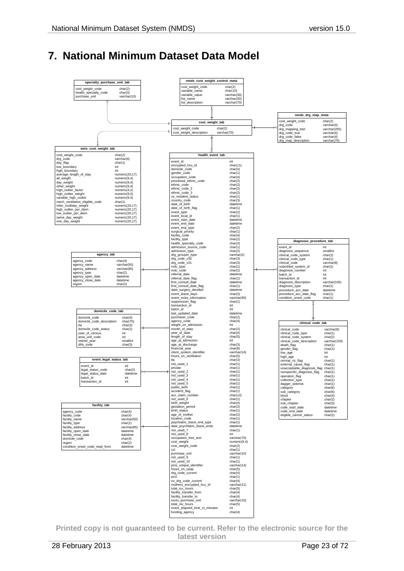# <span id="page-22-0"></span>**7. National Minimum Dataset Data Model**

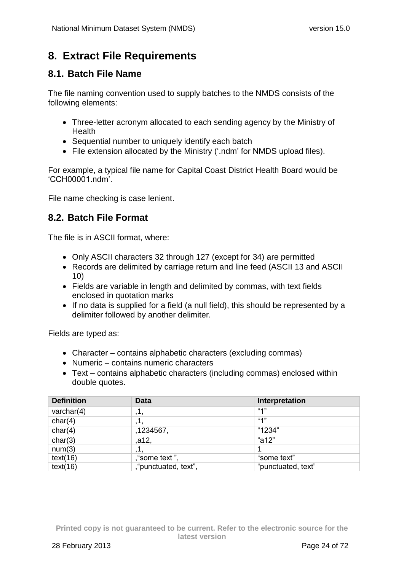# <span id="page-23-3"></span><span id="page-23-0"></span>**8. Extract File Requirements**

### <span id="page-23-1"></span>**8.1. Batch File Name**

The file naming convention used to supply batches to the NMDS consists of the following elements:

- Three-letter acronym allocated to each sending agency by the Ministry of **Health**
- Sequential number to uniquely identify each batch
- File extension allocated by the Ministry ('.ndm' for NMDS upload files).

For example, a typical file name for Capital Coast District Health Board would be 'CCH00001.ndm'.

File name checking is case lenient.

### <span id="page-23-2"></span>**8.2. Batch File Format**

The file is in ASCII format, where:

- Only ASCII characters 32 through 127 (except for 34) are permitted
- Records are delimited by carriage return and line feed (ASCII 13 and ASCII 10)
- Fields are variable in length and delimited by commas, with text fields enclosed in quotation marks
- If no data is supplied for a field (a null field), this should be represented by a delimiter followed by another delimiter.

Fields are typed as:

- Character contains alphabetic characters (excluding commas)
- Numeric contains numeric characters
- Text contains alphabetic characters (including commas) enclosed within double quotes.

| <b>Definition</b> | Data                 | Interpretation     |
|-------------------|----------------------|--------------------|
| varchar $(4)$     | ,1,                  | 4"                 |
| char(4)           | , І,                 | 4"                 |
| char(4)           | ,1234567,            | "1234"             |
| char(3)           | ,a12,                | "a12"              |
| num(3)            |                      |                    |
| text(16)          | ""some text",        | "some text"        |
| text(16)          | ""punctuated, text", | "punctuated, text" |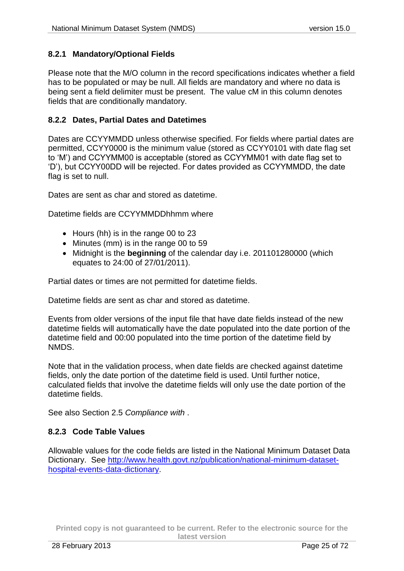#### <span id="page-24-3"></span><span id="page-24-0"></span>**8.2.1 Mandatory/Optional Fields**

Please note that the M/O column in the record specifications indicates whether a field has to be populated or may be null. All fields are mandatory and where no data is being sent a field delimiter must be present. The value cM in this column denotes fields that are conditionally mandatory.

#### <span id="page-24-1"></span>**8.2.2 Dates, Partial Dates and Datetimes**

Dates are CCYYMMDD unless otherwise specified. For fields where partial dates are permitted, CCYY0000 is the minimum value (stored as CCYY0101 with date flag set to 'M') and CCYYMM00 is acceptable (stored as CCYYMM01 with date flag set to 'D'), but CCYY00DD will be rejected. For dates provided as CCYYMMDD, the date flag is set to null.

Dates are sent as char and stored as datetime.

Datetime fields are CCYYMMDDhhmm where

- Hours (hh) is in the range 00 to 23
- Minutes (mm) is in the range 00 to 59
- Midnight is the **beginning** of the calendar day i.e. 201101280000 (which equates to 24:00 of 27/01/2011).

Partial dates or times are not permitted for datetime fields.

Datetime fields are sent as char and stored as datetime.

Events from older versions of the input file that have date fields instead of the new datetime fields will automatically have the date populated into the date portion of the datetime field and 00:00 populated into the time portion of the datetime field by NMDS.

Note that in the validation process, when date fields are checked against datetime fields, only the date portion of the datetime field is used. Until further notice, calculated fields that involve the datetime fields will only use the date portion of the datetime fields.

See also Section [2.5](#page-6-6) *[Compliance with](#page-6-6)* .

#### <span id="page-24-2"></span>**8.2.3 Code Table Values**

Allowable values for the code fields are listed in the National Minimum Dataset Data Dictionary. See [http://www.health.govt.nz/publication/national-minimum-dataset](http://www.health.govt.nz/publication/national-minimum-dataset-hospital-events-data-dictionary)[hospital-events-data-dictionary.](http://www.health.govt.nz/publication/national-minimum-dataset-hospital-events-data-dictionary)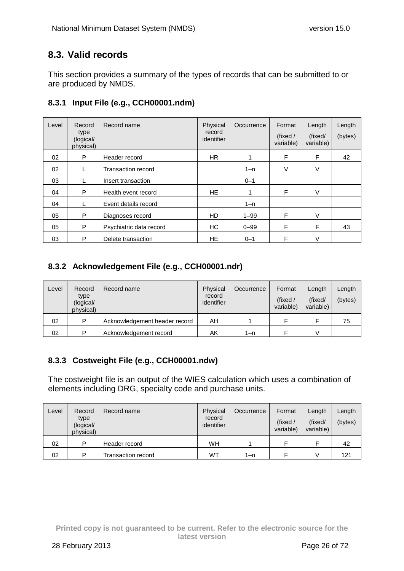## <span id="page-25-0"></span>**8.3. Valid records**

This section provides a summary of the types of records that can be submitted to or are produced by NMDS.

### <span id="page-25-1"></span>**8.3.1 Input File (e.g., CCH00001.ndm)**

| Level | Record<br>type<br>(logical/<br>physical) | Record name             | Physical<br>record<br>identifier | Occurrence | Format<br>(fixed /<br>variable) | Length<br>(fixed/<br>variable) | Length<br>(bytes) |
|-------|------------------------------------------|-------------------------|----------------------------------|------------|---------------------------------|--------------------------------|-------------------|
| 02    | P                                        | Header record           | <b>HR</b>                        |            | F                               | F                              | 42                |
| 02    | L                                        | Transaction record      |                                  | $1 - n$    | V                               | V                              |                   |
| 03    |                                          | Insert transaction      |                                  | $0 - 1$    |                                 |                                |                   |
| 04    | P                                        | Health event record     | HE.                              | 1          | F                               | $\vee$                         |                   |
| 04    |                                          | Event details record    |                                  | $1 - n$    |                                 |                                |                   |
| 05    | P                                        | Diagnoses record        | HD.                              | $1 - 99$   | F                               | V                              |                   |
| 05    | P                                        | Psychiatric data record | HC                               | $0 - 99$   | F                               | F                              | 43                |
| 03    | P                                        | Delete transaction      | HE.                              | $0 - 1$    | F                               | V                              |                   |

### <span id="page-25-2"></span>**8.3.2 Acknowledgement File (e.g., CCH00001.ndr)**

| Level | Record<br>type<br>(logical/<br>physical) | Record name                   | Physical<br>record<br>identifier | Occurrence | Format<br>(fixed /<br>variable) | Length<br>(fixed/<br>variable) | Length<br>(bytes) |
|-------|------------------------------------------|-------------------------------|----------------------------------|------------|---------------------------------|--------------------------------|-------------------|
| 02    | D                                        | Acknowledgement header record | AΗ                               |            |                                 |                                | 75                |
| 02    | D                                        | Acknowledgement record        | AΚ                               | 1–n        |                                 |                                |                   |

### <span id="page-25-3"></span>**8.3.3 Costweight File (e.g., CCH00001.ndw)**

The costweight file is an output of the WIES calculation which uses a combination of elements including DRG, specialty code and purchase units.

| Level | Record<br>type<br>(logical/<br>physical) | Record name        | Physical<br>record<br>identifier | Occurrence | Format<br>(fixed $/$<br>variable) | Length<br>(fixed/<br>variable) | Length<br>(bytes) |
|-------|------------------------------------------|--------------------|----------------------------------|------------|-----------------------------------|--------------------------------|-------------------|
| 02    | Þ                                        | Header record      | WH                               |            |                                   |                                | 42                |
| 02    | Þ                                        | Transaction record | WТ                               | 1–n        |                                   |                                | 121               |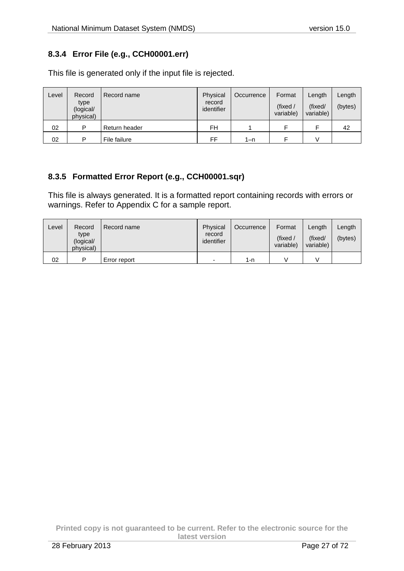### <span id="page-26-0"></span>**8.3.4 Error File (e.g., CCH00001.err)**

| Level | Record<br>type<br>(logical/<br>physical) | Record name   | Physical<br>record<br>identifier | Occurrence | Format<br>(fixed /<br>variable) | Length<br>(fixed/<br>variable) | Length<br>(bytes) |
|-------|------------------------------------------|---------------|----------------------------------|------------|---------------------------------|--------------------------------|-------------------|
| 02    | P                                        | Return header | FH                               |            |                                 |                                | 42                |
| 02    | Þ                                        | File failure  | FF                               | $1 - n$    |                                 |                                |                   |

This file is generated only if the input file is rejected.

### <span id="page-26-1"></span>**8.3.5 Formatted Error Report (e.g., CCH00001.sqr)**

This file is always generated. It is a formatted report containing records with errors or warnings. Refer to Appendix C for a sample report.

| Level | Record<br>type<br>(logical/<br>physical) | Record name  | Physical<br>record<br>identifier | Occurrence | Format<br>(fixed)<br>variable) | Length<br>(fixed/<br>variable) | Length<br>(bytes) |
|-------|------------------------------------------|--------------|----------------------------------|------------|--------------------------------|--------------------------------|-------------------|
| 02    | ▫                                        | Error report | -                                | 1-n        |                                |                                |                   |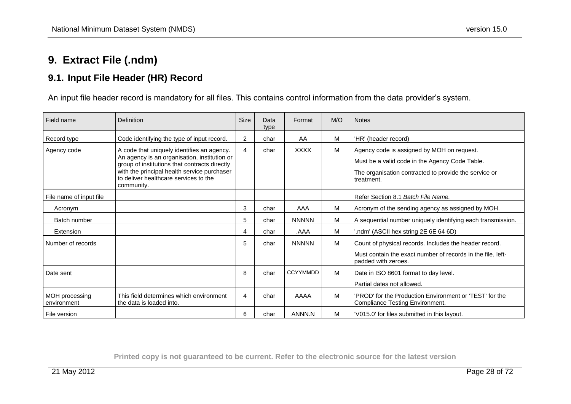# **9. Extract File (.ndm)**

## **9.1. Input File Header (HR) Record**

An input file header record is mandatory for all files. This contains control information from the data provider's system.

<span id="page-27-1"></span><span id="page-27-0"></span>

| Field name                    | Definition                                                                                                                                                                                                                                        | <b>Size</b>    | Data<br>type | Format          | M/O | <b>Notes</b>                                                                                                                                                        |
|-------------------------------|---------------------------------------------------------------------------------------------------------------------------------------------------------------------------------------------------------------------------------------------------|----------------|--------------|-----------------|-----|---------------------------------------------------------------------------------------------------------------------------------------------------------------------|
| Record type                   | Code identifying the type of input record.                                                                                                                                                                                                        | $\overline{2}$ | char         | AA              | M   | 'HR' (header record)                                                                                                                                                |
| Agency code                   | A code that uniquely identifies an agency.<br>An agency is an organisation, institution or<br>group of institutions that contracts directly<br>with the principal health service purchaser<br>to deliver healthcare services to the<br>community. | $\overline{4}$ | char         | <b>XXXX</b>     | M   | Agency code is assigned by MOH on request.<br>Must be a valid code in the Agency Code Table.<br>The organisation contracted to provide the service or<br>treatment. |
| File name of input file       |                                                                                                                                                                                                                                                   |                |              |                 |     | Refer Section 8.1 Batch File Name.                                                                                                                                  |
| Acronym                       |                                                                                                                                                                                                                                                   | 3              | char         | AAA             | M   | Acronym of the sending agency as assigned by MOH.                                                                                                                   |
| Batch number                  |                                                                                                                                                                                                                                                   | 5              | char         | <b>NNNNN</b>    | M   | A sequential number uniquely identifying each transmission.                                                                                                         |
| Extension                     |                                                                                                                                                                                                                                                   | 4              | char         | AAA.            | M   | .ndm' (ASCII hex string 2E 6E 64 6D)                                                                                                                                |
| Number of records             |                                                                                                                                                                                                                                                   | 5              | char         | <b>NNNNN</b>    | M   | Count of physical records. Includes the header record.<br>Must contain the exact number of records in the file, left-                                               |
|                               |                                                                                                                                                                                                                                                   |                |              |                 |     | padded with zeroes.                                                                                                                                                 |
| Date sent                     |                                                                                                                                                                                                                                                   | 8              | char         | <b>CCYYMMDD</b> | M   | Date in ISO 8601 format to day level.                                                                                                                               |
|                               |                                                                                                                                                                                                                                                   |                |              |                 |     | Partial dates not allowed.                                                                                                                                          |
| MOH processing<br>environment | This field determines which environment<br>the data is loaded into.                                                                                                                                                                               | 4              | char         | AAAA            | M   | 'PROD' for the Production Environment or 'TEST' for the<br><b>Compliance Testing Environment.</b>                                                                   |
| File version                  |                                                                                                                                                                                                                                                   | 6              | char         | ANNN.N          | M   | 'V015.0' for files submitted in this layout.                                                                                                                        |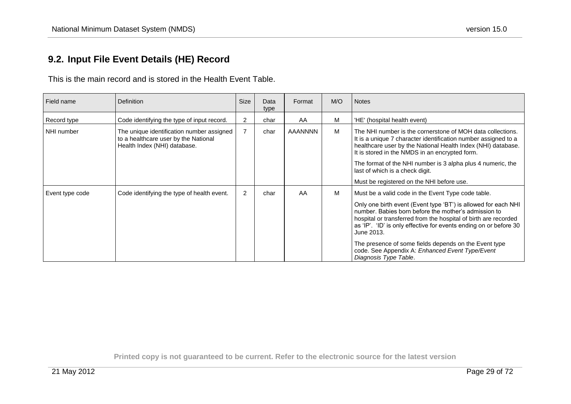## **9.2. Input File Event Details (HE) Record**

This is the main record and is stored in the Health Event Table.

<span id="page-28-0"></span>

| Field name      | <b>Definition</b>                                                                                                 | <b>Size</b>    | Data<br>type | Format         | M/O | <b>Notes</b>                                                                                                                                                                                                                                                                                                                                                                                                                                                            |
|-----------------|-------------------------------------------------------------------------------------------------------------------|----------------|--------------|----------------|-----|-------------------------------------------------------------------------------------------------------------------------------------------------------------------------------------------------------------------------------------------------------------------------------------------------------------------------------------------------------------------------------------------------------------------------------------------------------------------------|
| Record type     | Code identifying the type of input record.                                                                        | $\overline{2}$ | char         | AA             | M   | 'HE' (hospital health event)                                                                                                                                                                                                                                                                                                                                                                                                                                            |
| NHI number      | The unique identification number assigned<br>to a healthcare user by the National<br>Health Index (NHI) database. | $\overline{7}$ | char         | <b>AAANNNN</b> | M   | The NHI number is the cornerstone of MOH data collections.<br>It is a unique 7 character identification number assigned to a<br>healthcare user by the National Health Index (NHI) database.<br>It is stored in the NMDS in an encrypted form.<br>The format of the NHI number is 3 alpha plus 4 numeric, the<br>last of which is a check digit.<br>Must be registered on the NHI before use.                                                                           |
| Event type code | Code identifying the type of health event.                                                                        | $\overline{2}$ | char         | AA             | M   | Must be a valid code in the Event Type code table.<br>Only one birth event (Event type 'BT') is allowed for each NHI<br>number. Babies born before the mother's admission to<br>hospital or transferred from the hospital of birth are recorded<br>as 'IP'. 'ID' is only effective for events ending on or before 30<br>June 2013.<br>The presence of some fields depends on the Event type<br>code. See Appendix A: Enhanced Event Type/Event<br>Diagnosis Type Table. |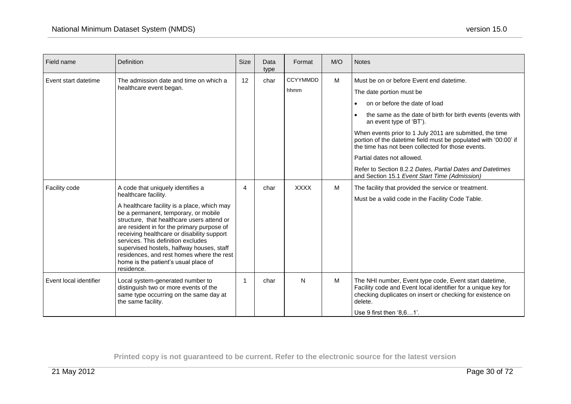| Field name             | <b>Definition</b>                                                                                                                                                                                                                                                                                                                                                                                                                                                                | <b>Size</b> | Data<br>type | Format                  | M/O | <b>Notes</b>                                                                                                                                                                                                                                                                                                                                                                                                                                                                                                                    |
|------------------------|----------------------------------------------------------------------------------------------------------------------------------------------------------------------------------------------------------------------------------------------------------------------------------------------------------------------------------------------------------------------------------------------------------------------------------------------------------------------------------|-------------|--------------|-------------------------|-----|---------------------------------------------------------------------------------------------------------------------------------------------------------------------------------------------------------------------------------------------------------------------------------------------------------------------------------------------------------------------------------------------------------------------------------------------------------------------------------------------------------------------------------|
| Event start datetime   | The admission date and time on which a<br>healthcare event began.                                                                                                                                                                                                                                                                                                                                                                                                                | 12          | char         | <b>CCYYMMDD</b><br>hhmm | M   | Must be on or before Event end datetime.<br>The date portion must be<br>on or before the date of load<br>the same as the date of birth for birth events (events with<br>an event type of 'BT').<br>When events prior to 1 July 2011 are submitted, the time<br>portion of the datetime field must be populated with '00:00' if<br>the time has not been collected for those events.<br>Partial dates not allowed.<br>Refer to Section 8.2.2 Dates, Partial Dates and Datetimes<br>and Section 15.1 Event Start Time (Admission) |
| Facility code          | A code that uniquely identifies a<br>healthcare facility.<br>A healthcare facility is a place, which may<br>be a permanent, temporary, or mobile<br>structure, that healthcare users attend or<br>are resident in for the primary purpose of<br>receiving healthcare or disability support<br>services. This definition excludes<br>supervised hostels, halfway houses, staff<br>residences, and rest homes where the rest<br>home is the patient's usual place of<br>residence. | 4           | char         | <b>XXXX</b>             | M   | The facility that provided the service or treatment.<br>Must be a valid code in the Facility Code Table.                                                                                                                                                                                                                                                                                                                                                                                                                        |
| Event local identifier | Local system-generated number to<br>distinguish two or more events of the<br>same type occurring on the same day at<br>the same facility.                                                                                                                                                                                                                                                                                                                                        | -1          | char         | N                       | M   | The NHI number, Event type code, Event start datetime,<br>Facility code and Event local identifier for a unique key for<br>checking duplicates on insert or checking for existence on<br>delete.<br>Use 9 first then '8,61'.                                                                                                                                                                                                                                                                                                    |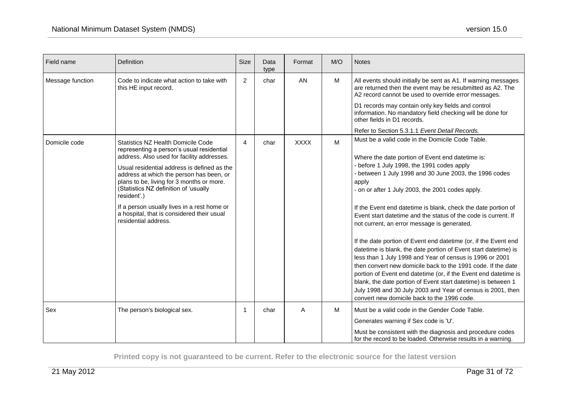| Field name       | Definition                                                                                                                                                                                                                                                                                                                                                                                                                                         | <b>Size</b> | Data<br>type | Format      | M/O | <b>Notes</b>                                                                                                                                                                                                                                                                                                                                                                                                                                                                                                                                                                                                                                                                                                                                                                                                                                                                                                                                                                    |
|------------------|----------------------------------------------------------------------------------------------------------------------------------------------------------------------------------------------------------------------------------------------------------------------------------------------------------------------------------------------------------------------------------------------------------------------------------------------------|-------------|--------------|-------------|-----|---------------------------------------------------------------------------------------------------------------------------------------------------------------------------------------------------------------------------------------------------------------------------------------------------------------------------------------------------------------------------------------------------------------------------------------------------------------------------------------------------------------------------------------------------------------------------------------------------------------------------------------------------------------------------------------------------------------------------------------------------------------------------------------------------------------------------------------------------------------------------------------------------------------------------------------------------------------------------------|
| Message function | Code to indicate what action to take with<br>this HE input record.                                                                                                                                                                                                                                                                                                                                                                                 | 2           | char         | <b>AN</b>   | M   | All events should initially be sent as A1. If warning messages<br>are returned then the event may be resubmitted as A2. The<br>A2 record cannot be used to override error messages.                                                                                                                                                                                                                                                                                                                                                                                                                                                                                                                                                                                                                                                                                                                                                                                             |
|                  |                                                                                                                                                                                                                                                                                                                                                                                                                                                    |             |              |             |     | D1 records may contain only key fields and control<br>information. No mandatory field checking will be done for<br>other fields in D1 records.                                                                                                                                                                                                                                                                                                                                                                                                                                                                                                                                                                                                                                                                                                                                                                                                                                  |
|                  |                                                                                                                                                                                                                                                                                                                                                                                                                                                    |             |              |             |     | Refer to Section 5.3.1.1 Event Detail Records.                                                                                                                                                                                                                                                                                                                                                                                                                                                                                                                                                                                                                                                                                                                                                                                                                                                                                                                                  |
| Domicile code    | Statistics NZ Health Domicile Code<br>representing a person's usual residential<br>address. Also used for facility addresses.<br>Usual residential address is defined as the<br>address at which the person has been, or<br>plans to be, living for 3 months or more.<br>(Statistics NZ definition of 'usually<br>resident'.)<br>If a person usually lives in a rest home or<br>a hospital, that is considered their usual<br>residential address. | 4           | char         | <b>XXXX</b> | M   | Must be a valid code in the Domicile Code Table.<br>Where the date portion of Event end datetime is:<br>- before 1 July 1998, the 1991 codes apply<br>- between 1 July 1998 and 30 June 2003, the 1996 codes<br>apply<br>- on or after 1 July 2003, the 2001 codes apply.<br>If the Event end datetime is blank, check the date portion of<br>Event start datetime and the status of the code is current. If<br>not current, an error message is generated.<br>If the date portion of Event end datetime (or, if the Event end<br>datetime is blank, the date portion of Event start datetime) is<br>less than 1 July 1998 and Year of census is 1996 or 2001<br>then convert new domicile back to the 1991 code. If the date<br>portion of Event end datetime (or, if the Event end datetime is<br>blank, the date portion of Event start datetime) is between 1<br>July 1998 and 30 July 2003 and Year of census is 2001, then<br>convert new domicile back to the 1996 code. |
| Sex              | The person's biological sex.                                                                                                                                                                                                                                                                                                                                                                                                                       | -1          | char         | Α           | M   | Must be a valid code in the Gender Code Table.                                                                                                                                                                                                                                                                                                                                                                                                                                                                                                                                                                                                                                                                                                                                                                                                                                                                                                                                  |
|                  |                                                                                                                                                                                                                                                                                                                                                                                                                                                    |             |              |             |     | Generates warning if Sex code is 'U'.                                                                                                                                                                                                                                                                                                                                                                                                                                                                                                                                                                                                                                                                                                                                                                                                                                                                                                                                           |
|                  |                                                                                                                                                                                                                                                                                                                                                                                                                                                    |             |              |             |     | Must be consistent with the diagnosis and procedure codes<br>for the record to be loaded. Otherwise results in a warning.                                                                                                                                                                                                                                                                                                                                                                                                                                                                                                                                                                                                                                                                                                                                                                                                                                                       |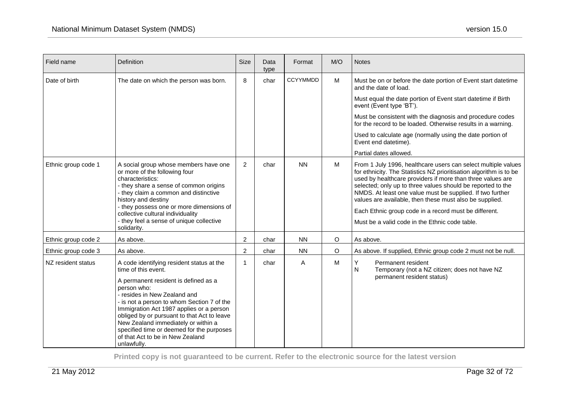| Field name          | Definition                                                                                                                                                                                                                                                                                                                                                                                                                              | <b>Size</b>    | Data<br>type | Format          | M/O | <b>Notes</b>                                                                                                                                                                                                                                                                                                                                                                                                                                                                                        |
|---------------------|-----------------------------------------------------------------------------------------------------------------------------------------------------------------------------------------------------------------------------------------------------------------------------------------------------------------------------------------------------------------------------------------------------------------------------------------|----------------|--------------|-----------------|-----|-----------------------------------------------------------------------------------------------------------------------------------------------------------------------------------------------------------------------------------------------------------------------------------------------------------------------------------------------------------------------------------------------------------------------------------------------------------------------------------------------------|
| Date of birth       | The date on which the person was born.                                                                                                                                                                                                                                                                                                                                                                                                  | 8              | char         | <b>CCYYMMDD</b> | M   | Must be on or before the date portion of Event start datetime<br>and the date of load.                                                                                                                                                                                                                                                                                                                                                                                                              |
|                     |                                                                                                                                                                                                                                                                                                                                                                                                                                         |                |              |                 |     | Must equal the date portion of Event start datetime if Birth<br>event (Event type 'BT').                                                                                                                                                                                                                                                                                                                                                                                                            |
|                     |                                                                                                                                                                                                                                                                                                                                                                                                                                         |                |              |                 |     | Must be consistent with the diagnosis and procedure codes<br>for the record to be loaded. Otherwise results in a warning.                                                                                                                                                                                                                                                                                                                                                                           |
|                     |                                                                                                                                                                                                                                                                                                                                                                                                                                         |                |              |                 |     | Used to calculate age (normally using the date portion of<br>Event end datetime).                                                                                                                                                                                                                                                                                                                                                                                                                   |
|                     |                                                                                                                                                                                                                                                                                                                                                                                                                                         |                |              |                 |     | Partial dates allowed.                                                                                                                                                                                                                                                                                                                                                                                                                                                                              |
| Ethnic group code 1 | A social group whose members have one<br>or more of the following four<br>characteristics:<br>- they share a sense of common origins<br>- they claim a common and distinctive<br>history and destiny<br>- they possess one or more dimensions of<br>collective cultural individuality<br>- they feel a sense of unique collective<br>solidarity.                                                                                        | $\overline{2}$ | char         | <b>NN</b>       | M   | From 1 July 1996, healthcare users can select multiple values<br>for ethnicity. The Statistics NZ prioritisation algorithm is to be<br>used by healthcare providers if more than three values are<br>selected; only up to three values should be reported to the<br>NMDS. At least one value must be supplied. If two further<br>values are available, then these must also be supplied.<br>Each Ethnic group code in a record must be different.<br>Must be a valid code in the Ethnic code table. |
| Ethnic group code 2 | As above.                                                                                                                                                                                                                                                                                                                                                                                                                               | $\overline{c}$ | char         | <b>NN</b>       | O   | As above.                                                                                                                                                                                                                                                                                                                                                                                                                                                                                           |
| Ethnic group code 3 | As above.                                                                                                                                                                                                                                                                                                                                                                                                                               | $\overline{c}$ | char         | <b>NN</b>       | O   | As above. If supplied, Ethnic group code 2 must not be null.                                                                                                                                                                                                                                                                                                                                                                                                                                        |
| NZ resident status  | A code identifying resident status at the<br>time of this event.<br>A permanent resident is defined as a<br>person who:<br>- resides in New Zealand and<br>- is not a person to whom Section 7 of the<br>Immigration Act 1987 applies or a person<br>obliged by or pursuant to that Act to leave<br>New Zealand immediately or within a<br>specified time or deemed for the purposes<br>of that Act to be in New Zealand<br>unlawfully. | 1              | char         | A               | M   | Y<br>Permanent resident<br>$\mathsf{N}$<br>Temporary (not a NZ citizen; does not have NZ<br>permanent resident status)                                                                                                                                                                                                                                                                                                                                                                              |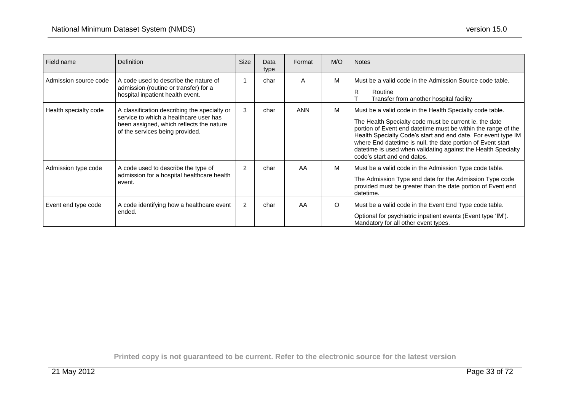| Field name            | <b>Definition</b>                                                                                                                                                     | Size           | Data<br>type | Format     | M/O     | <b>Notes</b>                                                                                                                                                                                                                                                                                                                                                                                                        |
|-----------------------|-----------------------------------------------------------------------------------------------------------------------------------------------------------------------|----------------|--------------|------------|---------|---------------------------------------------------------------------------------------------------------------------------------------------------------------------------------------------------------------------------------------------------------------------------------------------------------------------------------------------------------------------------------------------------------------------|
| Admission source code | A code used to describe the nature of<br>admission (routine or transfer) for a<br>hospital inpatient health event.                                                    |                | char         | A          | M       | Must be a valid code in the Admission Source code table.<br>Routine<br>R<br>Transfer from another hospital facility                                                                                                                                                                                                                                                                                                 |
| Health specialty code | A classification describing the specialty or<br>service to which a healthcare user has<br>been assigned, which reflects the nature<br>of the services being provided. | 3              | char         | <b>ANN</b> | M       | Must be a valid code in the Health Specialty code table.<br>The Health Specialty code must be current ie. the date<br>portion of Event end datetime must be within the range of the<br>Health Specialty Code's start and end date. For event type IM<br>where End datetime is null, the date portion of Event start<br>datetime is used when validating against the Health Specialty<br>code's start and end dates. |
| Admission type code   | A code used to describe the type of<br>admission for a hospital healthcare health<br>event.                                                                           | $\overline{2}$ | char         | AA         | M       | Must be a valid code in the Admission Type code table.<br>The Admission Type end date for the Admission Type code<br>provided must be greater than the date portion of Event end<br>datetime.                                                                                                                                                                                                                       |
| Event end type code   | A code identifying how a healthcare event<br>ended.                                                                                                                   | $\overline{2}$ | char         | AA         | $\circ$ | Must be a valid code in the Event End Type code table.<br>Optional for psychiatric inpatient events (Event type 'IM').<br>Mandatory for all other event types.                                                                                                                                                                                                                                                      |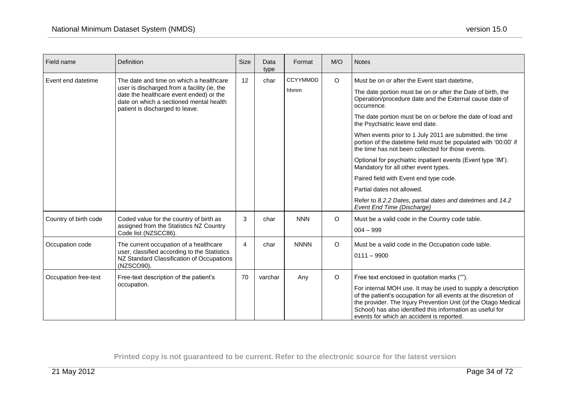| Field name            | Definition                                                                                                                                                           | <b>Size</b> | Data<br>type | Format          | M/O     | <b>Notes</b>                                                                                                                                                                                                                                                                                                                                                |
|-----------------------|----------------------------------------------------------------------------------------------------------------------------------------------------------------------|-------------|--------------|-----------------|---------|-------------------------------------------------------------------------------------------------------------------------------------------------------------------------------------------------------------------------------------------------------------------------------------------------------------------------------------------------------------|
| Event end datetime    | The date and time on which a healthcare                                                                                                                              | 12          | char         | <b>CCYYMMDD</b> | $\circ$ | Must be on or after the Event start datetime,                                                                                                                                                                                                                                                                                                               |
|                       | user is discharged from a facility (ie, the<br>date the healthcare event ended) or the<br>date on which a sectioned mental health<br>patient is discharged to leave. |             |              | hhmm            |         | The date portion must be on or after the Date of birth, the<br>Operation/procedure date and the External cause date of<br>occurrence.                                                                                                                                                                                                                       |
|                       |                                                                                                                                                                      |             |              |                 |         | The date portion must be on or before the date of load and<br>the Psychiatric leave end date.                                                                                                                                                                                                                                                               |
|                       |                                                                                                                                                                      |             |              |                 |         | When events prior to 1 July 2011 are submitted, the time<br>portion of the datetime field must be populated with '00:00' if<br>the time has not been collected for those events.                                                                                                                                                                            |
|                       |                                                                                                                                                                      |             |              |                 |         | Optional for psychiatric inpatient events (Event type 'IM').<br>Mandatory for all other event types.                                                                                                                                                                                                                                                        |
|                       |                                                                                                                                                                      |             |              |                 |         | Paired field with Event end type code.                                                                                                                                                                                                                                                                                                                      |
|                       |                                                                                                                                                                      |             |              |                 |         | Partial dates not allowed.                                                                                                                                                                                                                                                                                                                                  |
|                       |                                                                                                                                                                      |             |              |                 |         | Refer to 8.2.2 Dates, partial dates and datetimes and 14.2<br>Event End Time (Discharge)                                                                                                                                                                                                                                                                    |
| Country of birth code | Coded value for the country of birth as<br>assigned from the Statistics NZ Country                                                                                   | 3           | char         | <b>NNN</b>      | $\circ$ | Must be a valid code in the Country code table.                                                                                                                                                                                                                                                                                                             |
|                       | Code list (NZSCC86).                                                                                                                                                 |             |              |                 |         | $004 - 999$                                                                                                                                                                                                                                                                                                                                                 |
| Occupation code       | The current occupation of a healthcare<br>user, classified according to the Statistics<br>NZ Standard Classification of Occupations<br>(NZSCO90).                    | 4           | char         | <b>NNNN</b>     | $\circ$ | Must be a valid code in the Occupation code table.<br>$0111 - 9900$                                                                                                                                                                                                                                                                                         |
| Occupation free-text  | Free-text description of the patient's<br>occupation.                                                                                                                | 70          | varchar      | Any             | $\circ$ | Free text enclosed in quotation marks ("").<br>For internal MOH use. It may be used to supply a description<br>of the patient's occupation for all events at the discretion of<br>the provider. The Injury Prevention Unit (of the Otago Medical<br>School) has also identified this information as useful for<br>events for which an accident is reported. |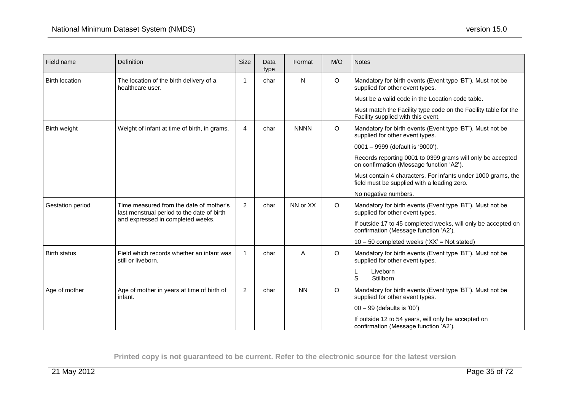| Field name            | Definition                                                                            | <b>Size</b>    | Data<br>type | Format      | M/O     | <b>Notes</b>                                                                                                |
|-----------------------|---------------------------------------------------------------------------------------|----------------|--------------|-------------|---------|-------------------------------------------------------------------------------------------------------------|
| <b>Birth location</b> | The location of the birth delivery of a<br>healthcare user.                           | 1              | char         | N           | $\circ$ | Mandatory for birth events (Event type 'BT'). Must not be<br>supplied for other event types.                |
|                       |                                                                                       |                |              |             |         | Must be a valid code in the Location code table.                                                            |
|                       |                                                                                       |                |              |             |         | Must match the Facility type code on the Facility table for the<br>Facility supplied with this event.       |
| Birth weight          | Weight of infant at time of birth, in grams.                                          | $\overline{4}$ | char         | <b>NNNN</b> | $\circ$ | Mandatory for birth events (Event type 'BT'). Must not be<br>supplied for other event types.                |
|                       |                                                                                       |                |              |             |         | 0001 - 9999 (default is '9000').                                                                            |
|                       |                                                                                       |                |              |             |         | Records reporting 0001 to 0399 grams will only be accepted<br>on confirmation (Message function 'A2').      |
|                       |                                                                                       |                |              |             |         | Must contain 4 characters. For infants under 1000 grams, the<br>field must be supplied with a leading zero. |
|                       |                                                                                       |                |              |             |         | No negative numbers.                                                                                        |
| Gestation period      | Time measured from the date of mother's<br>last menstrual period to the date of birth | 2              | char         | NN or XX    | $\circ$ | Mandatory for birth events (Event type 'BT'). Must not be<br>supplied for other event types.                |
|                       | and expressed in completed weeks.                                                     |                |              |             |         | If outside 17 to 45 completed weeks, will only be accepted on<br>confirmation (Message function 'A2').      |
|                       |                                                                                       |                |              |             |         | $10 - 50$ completed weeks ('XX' = Not stated)                                                               |
| <b>Birth status</b>   | Field which records whether an infant was<br>still or liveborn.                       | 1              | char         | A           | $\circ$ | Mandatory for birth events (Event type 'BT'). Must not be<br>supplied for other event types.                |
|                       |                                                                                       |                |              |             |         | Liveborn<br>S<br>Stillborn                                                                                  |
| Age of mother         | Age of mother in years at time of birth of<br>infant.                                 | 2              | char         | <b>NN</b>   | $\circ$ | Mandatory for birth events (Event type 'BT'). Must not be<br>supplied for other event types.                |
|                       |                                                                                       |                |              |             |         | 00 - 99 (defaults is '00')                                                                                  |
|                       |                                                                                       |                |              |             |         | If outside 12 to 54 years, will only be accepted on<br>confirmation (Message function 'A2').                |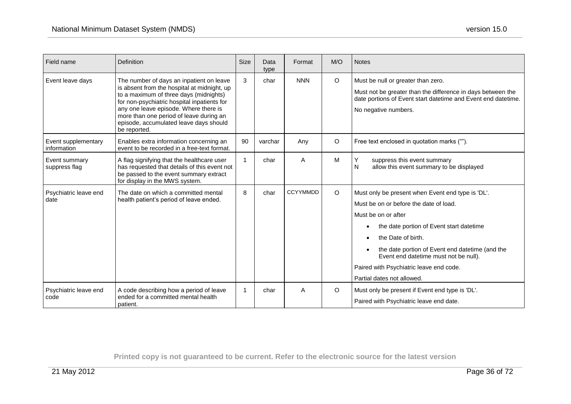| Field name                         | Definition                                                                                                                                                                                                                                                                                                                     | <b>Size</b> | Data<br>type | Format          | M/O     | <b>Notes</b>                                                                                                                                                                                                                                                                                                                                              |
|------------------------------------|--------------------------------------------------------------------------------------------------------------------------------------------------------------------------------------------------------------------------------------------------------------------------------------------------------------------------------|-------------|--------------|-----------------|---------|-----------------------------------------------------------------------------------------------------------------------------------------------------------------------------------------------------------------------------------------------------------------------------------------------------------------------------------------------------------|
| Event leave days                   | The number of days an inpatient on leave<br>is absent from the hospital at midnight, up<br>to a maximum of three days (midnights)<br>for non-psychiatric hospital inpatients for<br>any one leave episode. Where there is<br>more than one period of leave during an<br>episode, accumulated leave days should<br>be reported. | 3           | char         | <b>NNN</b>      | $\circ$ | Must be null or greater than zero.<br>Must not be greater than the difference in days between the<br>date portions of Event start datetime and Event end datetime.<br>No negative numbers.                                                                                                                                                                |
| Event supplementary<br>information | Enables extra information concerning an<br>event to be recorded in a free-text format.                                                                                                                                                                                                                                         | 90          | varchar      | Any             | $\circ$ | Free text enclosed in quotation marks ("").                                                                                                                                                                                                                                                                                                               |
| Event summary<br>suppress flag     | A flag signifying that the healthcare user<br>has requested that details of this event not<br>be passed to the event summary extract<br>for display in the MWS system.                                                                                                                                                         | 1           | char         | A               | M       | Y<br>suppress this event summary<br>N<br>allow this event summary to be displayed                                                                                                                                                                                                                                                                         |
| Psychiatric leave end<br>date      | The date on which a committed mental<br>health patient's period of leave ended.                                                                                                                                                                                                                                                | 8           | char         | <b>CCYYMMDD</b> | $\circ$ | Must only be present when Event end type is 'DL'.<br>Must be on or before the date of load.<br>Must be on or after<br>the date portion of Event start datetime<br>the Date of birth.<br>the date portion of Event end datetime (and the<br>Event end datetime must not be null).<br>Paired with Psychiatric leave end code.<br>Partial dates not allowed. |
| Psychiatric leave end<br>code      | A code describing how a period of leave<br>ended for a committed mental health<br>patient.                                                                                                                                                                                                                                     | 1           | char         | Α               | $\circ$ | Must only be present if Event end type is 'DL'.<br>Paired with Psychiatric leave end date.                                                                                                                                                                                                                                                                |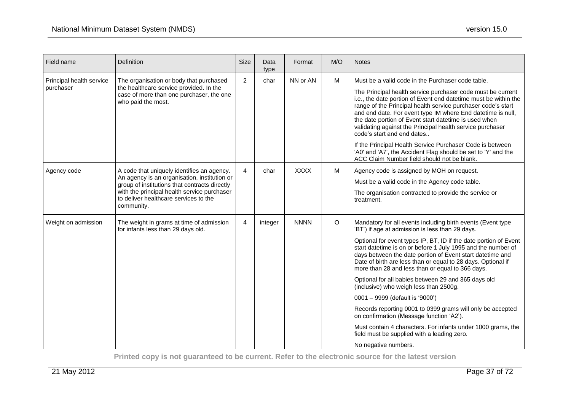| Field name                            | Definition                                                                                                                                                                                                                                        | <b>Size</b>    | Data<br>type | Format      | M/O     | <b>Notes</b>                                                                                                                                                                                                                                                                                                                                                                                                                                                                                                                                                                                                                                                                                                                                                                                                             |
|---------------------------------------|---------------------------------------------------------------------------------------------------------------------------------------------------------------------------------------------------------------------------------------------------|----------------|--------------|-------------|---------|--------------------------------------------------------------------------------------------------------------------------------------------------------------------------------------------------------------------------------------------------------------------------------------------------------------------------------------------------------------------------------------------------------------------------------------------------------------------------------------------------------------------------------------------------------------------------------------------------------------------------------------------------------------------------------------------------------------------------------------------------------------------------------------------------------------------------|
| Principal health service<br>purchaser | The organisation or body that purchased<br>the healthcare service provided. In the<br>case of more than one purchaser, the one<br>who paid the most.                                                                                              | 2              | char         | NN or AN    | M       | Must be a valid code in the Purchaser code table.<br>The Principal health service purchaser code must be current<br>i.e., the date portion of Event end datetime must be within the<br>range of the Principal health service purchaser code's start<br>and end date. For event type IM where End datetime is null,<br>the date portion of Event start datetime is used when<br>validating against the Principal health service purchaser<br>code's start and end dates<br>If the Principal Health Service Purchaser Code is between<br>'A0' and 'A7', the Accident Flag should be set to 'Y' and the<br>ACC Claim Number field should not be blank.                                                                                                                                                                      |
| Agency code                           | A code that uniquely identifies an agency.<br>An agency is an organisation, institution or<br>group of institutions that contracts directly<br>with the principal health service purchaser<br>to deliver healthcare services to the<br>community. | $\overline{4}$ | char         | <b>XXXX</b> | M       | Agency code is assigned by MOH on request.<br>Must be a valid code in the Agency code table.<br>The organisation contracted to provide the service or<br>treatment.                                                                                                                                                                                                                                                                                                                                                                                                                                                                                                                                                                                                                                                      |
| Weight on admission                   | The weight in grams at time of admission<br>for infants less than 29 days old.                                                                                                                                                                    | $\overline{4}$ | integer      | <b>NNNN</b> | $\circ$ | Mandatory for all events including birth events (Event type<br>'BT') if age at admission is less than 29 days.<br>Optional for event types IP, BT, ID if the date portion of Event<br>start datetime is on or before 1 July 1995 and the number of<br>days between the date portion of Event start datetime and<br>Date of birth are less than or equal to 28 days. Optional if<br>more than 28 and less than or equal to 366 days.<br>Optional for all babies between 29 and 365 days old<br>(inclusive) who weigh less than 2500g.<br>0001 - 9999 (default is '9000')<br>Records reporting 0001 to 0399 grams will only be accepted<br>on confirmation (Message function 'A2').<br>Must contain 4 characters. For infants under 1000 grams, the<br>field must be supplied with a leading zero.<br>No negative numbers. |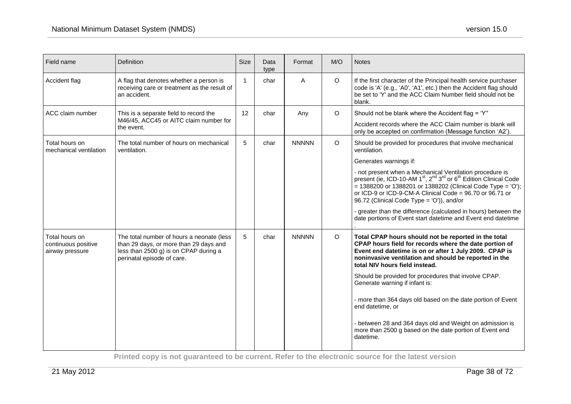| Field name                                               | Definition                                                                                                                                                 | <b>Size</b>  | Data<br>type | Format       | M/O     | <b>Notes</b>                                                                                                                                                                                                                                                                                                                                            |
|----------------------------------------------------------|------------------------------------------------------------------------------------------------------------------------------------------------------------|--------------|--------------|--------------|---------|---------------------------------------------------------------------------------------------------------------------------------------------------------------------------------------------------------------------------------------------------------------------------------------------------------------------------------------------------------|
| Accident flag                                            | A flag that denotes whether a person is<br>receiving care or treatment as the result of<br>an accident.                                                    | $\mathbf{1}$ | char         | A            | $\circ$ | If the first character of the Principal health service purchaser<br>code is 'A' (e.g., 'A0', 'A1', etc.) then the Accident flag should<br>be set to 'Y' and the ACC Claim Number field should not be<br>blank.                                                                                                                                          |
| ACC claim number                                         | This is a separate field to record the                                                                                                                     | 12           | char         | Any          | $\circ$ | Should not be blank where the Accident flag = 'Y"                                                                                                                                                                                                                                                                                                       |
|                                                          | M46/45, ACC45 or AITC claim number for<br>the event.                                                                                                       |              |              |              |         | Accident records where the ACC Claim number is blank will<br>only be accepted on confirmation (Message function 'A2').                                                                                                                                                                                                                                  |
| Total hours on<br>mechanical ventilation                 | The total number of hours on mechanical<br>ventilation.                                                                                                    | 5            | char         | <b>NNNNN</b> | $\circ$ | Should be provided for procedures that involve mechanical<br>ventilation.                                                                                                                                                                                                                                                                               |
|                                                          |                                                                                                                                                            |              |              |              |         | Generates warnings if:                                                                                                                                                                                                                                                                                                                                  |
|                                                          |                                                                                                                                                            |              |              |              |         | - not present when a Mechanical Ventilation procedure is<br>present (ie, ICD-10-AM 1 <sup>st</sup> , 2 <sup>nd</sup> 3 <sup>rd</sup> or 6 <sup>th</sup> Edition Clinical Code<br>$= 1388200$ or 1388201 or 1388202 (Clinical Code Type = 'O');<br>or ICD-9 or ICD-9-CM-A Clinical Code = 96.70 or 96.71 or<br>96.72 (Clinical Code Type = 'O')), and/or |
|                                                          |                                                                                                                                                            |              |              |              |         | - greater than the difference (calculated in hours) between the<br>date portions of Event start datetime and Event end datetime                                                                                                                                                                                                                         |
| Total hours on<br>continuous positive<br>airway pressure | The total number of hours a neonate (less<br>than 29 days, or more than 29 days and<br>less than 2500 g) is on CPAP during a<br>perinatal episode of care. | 5            | char         | <b>NNNNN</b> | $\circ$ | Total CPAP hours should not be reported in the total<br>CPAP hours field for records where the date portion of<br>Event end datetime is on or after 1 July 2009. CPAP is<br>noninvasive ventilation and should be reported in the<br>total NIV hours field instead.                                                                                     |
|                                                          |                                                                                                                                                            |              |              |              |         | Should be provided for procedures that involve CPAP.<br>Generate warning if infant is:                                                                                                                                                                                                                                                                  |
|                                                          |                                                                                                                                                            |              |              |              |         | - more than 364 days old based on the date portion of Event<br>end datetime, or                                                                                                                                                                                                                                                                         |
|                                                          |                                                                                                                                                            |              |              |              |         | - between 28 and 364 days old and Weight on admission is<br>more than 2500 g based on the date portion of Event end<br>datetime.                                                                                                                                                                                                                        |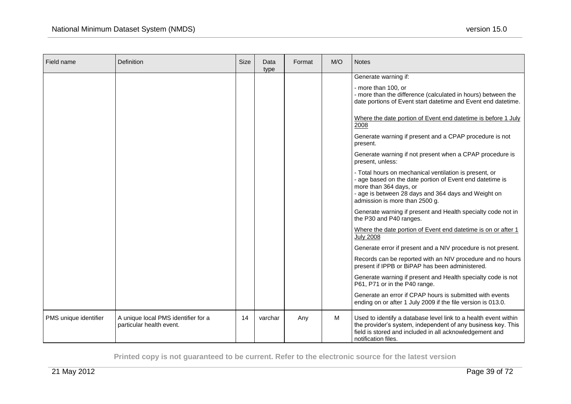| Field name            | <b>Definition</b>                                               | Size | Data<br>type | Format | M/O | <b>Notes</b>                                                                                                                                                                                                                                                                                                                                                                                                                                                                                                                                                                                                                                                                                                                                                                                                                                                                                                                                                                                                                                                                                                                                                                         |
|-----------------------|-----------------------------------------------------------------|------|--------------|--------|-----|--------------------------------------------------------------------------------------------------------------------------------------------------------------------------------------------------------------------------------------------------------------------------------------------------------------------------------------------------------------------------------------------------------------------------------------------------------------------------------------------------------------------------------------------------------------------------------------------------------------------------------------------------------------------------------------------------------------------------------------------------------------------------------------------------------------------------------------------------------------------------------------------------------------------------------------------------------------------------------------------------------------------------------------------------------------------------------------------------------------------------------------------------------------------------------------|
|                       |                                                                 |      |              |        |     | Generate warning if:<br>- more than 100, or<br>- more than the difference (calculated in hours) between the<br>date portions of Event start datetime and Event end datetime.<br>Where the date portion of Event end datetime is before 1 July<br>2008<br>Generate warning if present and a CPAP procedure is not<br>present.<br>Generate warning if not present when a CPAP procedure is<br>present, unless:<br>- Total hours on mechanical ventilation is present, or<br>- age based on the date portion of Event end datetime is<br>more than 364 days, or<br>- age is between 28 days and 364 days and Weight on<br>admission is more than 2500 g.<br>Generate warning if present and Health specialty code not in<br>the P30 and P40 ranges.<br>Where the date portion of Event end datetime is on or after 1<br><b>July 2008</b><br>Generate error if present and a NIV procedure is not present.<br>Records can be reported with an NIV procedure and no hours<br>present if IPPB or BiPAP has been administered.<br>Generate warning if present and Health specialty code is not<br>P61, P71 or in the P40 range.<br>Generate an error if CPAP hours is submitted with events |
| PMS unique identifier | A unique local PMS identifier for a<br>particular health event. | 14   | varchar      | Any    | М   | ending on or after 1 July 2009 if the file version is 013.0.<br>Used to identify a database level link to a health event within<br>the provider's system, independent of any business key. This<br>field is stored and included in all acknowledgement and<br>notification files.                                                                                                                                                                                                                                                                                                                                                                                                                                                                                                                                                                                                                                                                                                                                                                                                                                                                                                    |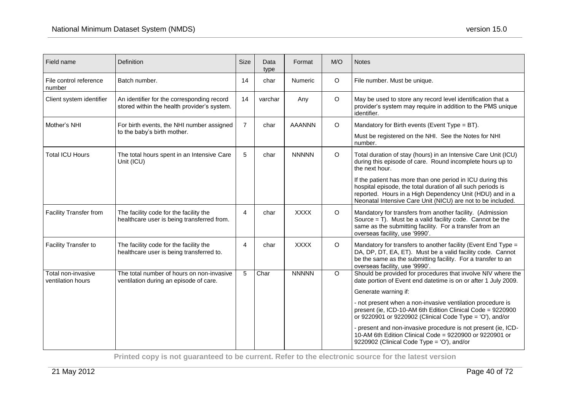| Field name                              | Definition                                                                                | <b>Size</b>    | Data<br>type | Format        | M/O     | <b>Notes</b>                                                                                                                                                                                                                                                                                     |
|-----------------------------------------|-------------------------------------------------------------------------------------------|----------------|--------------|---------------|---------|--------------------------------------------------------------------------------------------------------------------------------------------------------------------------------------------------------------------------------------------------------------------------------------------------|
| File control reference<br>number        | Batch number.                                                                             | 14             | char         | Numeric       | O       | File number. Must be unique.                                                                                                                                                                                                                                                                     |
| Client system identifier                | An identifier for the corresponding record<br>stored within the health provider's system. | 14             | varchar      | Any           | O       | May be used to store any record level identification that a<br>provider's system may require in addition to the PMS unique<br>identifier.                                                                                                                                                        |
| Mother's NHI                            | For birth events, the NHI number assigned<br>to the baby's birth mother.                  | $\overline{7}$ | char         | <b>AAANNN</b> | O       | Mandatory for Birth events (Event Type = BT).<br>Must be registered on the NHI. See the Notes for NHI<br>number.                                                                                                                                                                                 |
| <b>Total ICU Hours</b>                  | The total hours spent in an Intensive Care<br>Unit (ICU)                                  | 5              | char         | <b>NNNNN</b>  | $\circ$ | Total duration of stay (hours) in an Intensive Care Unit (ICU)<br>during this episode of care. Round incomplete hours up to<br>the next hour.                                                                                                                                                    |
|                                         |                                                                                           |                |              |               |         | If the patient has more than one period in ICU during this<br>hospital episode, the total duration of all such periods is<br>reported. Hours in a High Dependency Unit (HDU) and in a<br>Neonatal Intensive Care Unit (NICU) are not to be included.                                             |
| <b>Facility Transfer from</b>           | The facility code for the facility the<br>healthcare user is being transferred from.      | 4              | char         | <b>XXXX</b>   | $\circ$ | Mandatory for transfers from another facility. (Admission<br>Source $=$ T). Must be a valid facility code. Cannot be the<br>same as the submitting facility. For a transfer from an<br>overseas facility, use '9990'.                                                                            |
| <b>Facility Transfer to</b>             | The facility code for the facility the<br>healthcare user is being transferred to.        | 4              | char         | <b>XXXX</b>   | $\circ$ | Mandatory for transfers to another facility (Event End Type =<br>DA, DP, DT, EA, ET). Must be a valid facility code. Cannot<br>be the same as the submitting facility. For a transfer to an<br>overseas facility, use '9990'.                                                                    |
| Total non-invasive<br>ventilation hours | The total number of hours on non-invasive<br>ventilation during an episode of care.       | 5              | Char         | <b>NNNNN</b>  | $\circ$ | Should be provided for procedures that involve NIV where the<br>date portion of Event end datetime is on or after 1 July 2009.<br>Generate warning if:<br>- not present when a non-invasive ventilation procedure is                                                                             |
|                                         |                                                                                           |                |              |               |         | present (ie, ICD-10-AM 6th Edition Clinical Code = 9220900<br>or 9220901 or 9220902 (Clinical Code Type = 'O'), and/or<br>- present and non-invasive procedure is not present (ie, ICD-<br>10-AM 6th Edition Clinical Code = 9220900 or 9220901 or<br>9220902 (Clinical Code Type = 'O'), and/or |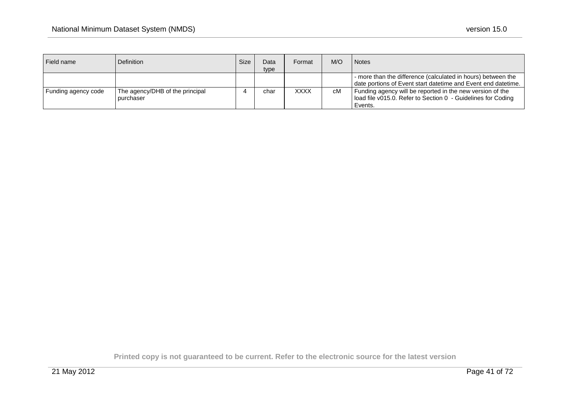| Field name          | Definition                                   | Size | Data<br>type | Format      | M/O | <b>Notes</b>                                                                                                                         |
|---------------------|----------------------------------------------|------|--------------|-------------|-----|--------------------------------------------------------------------------------------------------------------------------------------|
|                     |                                              |      |              |             |     | - more than the difference (calculated in hours) between the<br>date portions of Event start datetime and Event end datetime.        |
| Funding agency code | The agency/DHB of the principal<br>purchaser |      | char         | <b>XXXX</b> | сM  | Funding agency will be reported in the new version of the<br>load file v015.0. Refer to Section 0 - Guidelines for Coding<br>Events. |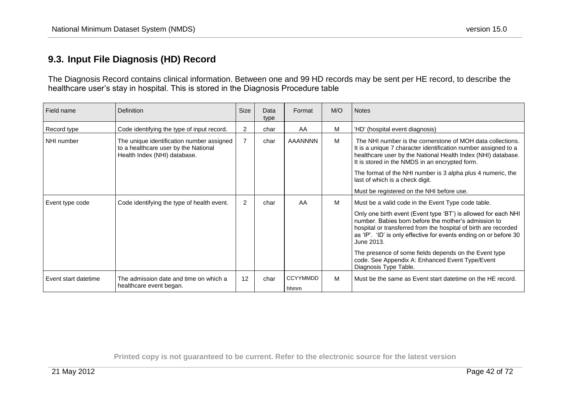### **9.3. Input File Diagnosis (HD) Record**

The Diagnosis Record contains clinical information. Between one and 99 HD records may be sent per HE record, to describe the healthcare user's stay in hospital. This is stored in the Diagnosis Procedure table

| Field name           | Definition                                                                                                        | <b>Size</b>    | Data<br>type | Format                  | M/O | <b>Notes</b>                                                                                                                                                                                                                                                                                                                                                                                                                                                            |
|----------------------|-------------------------------------------------------------------------------------------------------------------|----------------|--------------|-------------------------|-----|-------------------------------------------------------------------------------------------------------------------------------------------------------------------------------------------------------------------------------------------------------------------------------------------------------------------------------------------------------------------------------------------------------------------------------------------------------------------------|
| Record type          | Code identifying the type of input record.                                                                        | 2              | char         | AA                      | M   | 'HD' (hospital event diagnosis)                                                                                                                                                                                                                                                                                                                                                                                                                                         |
| NHI number           | The unique identification number assigned<br>to a healthcare user by the National<br>Health Index (NHI) database. | $\overline{7}$ | char         | <b>AAANNNN</b>          | M   | The NHI number is the cornerstone of MOH data collections.<br>It is a unique 7 character identification number assigned to a<br>healthcare user by the National Health Index (NHI) database.<br>It is stored in the NMDS in an encrypted form.<br>The format of the NHI number is 3 alpha plus 4 numeric, the<br>last of which is a check digit.<br>Must be registered on the NHI before use.                                                                           |
| Event type code      | Code identifying the type of health event.                                                                        | 2              | char         | AA                      | M   | Must be a valid code in the Event Type code table.<br>Only one birth event (Event type 'BT') is allowed for each NHI<br>number. Babies born before the mother's admission to<br>hospital or transferred from the hospital of birth are recorded<br>as 'IP'. 'ID' is only effective for events ending on or before 30<br>June 2013.<br>The presence of some fields depends on the Event type<br>code. See Appendix A: Enhanced Event Type/Event<br>Diagnosis Type Table. |
| Event start datetime | The admission date and time on which a<br>healthcare event began.                                                 | 12             | char         | <b>CCYYMMDD</b><br>hhmm | M   | Must be the same as Event start datetime on the HE record.                                                                                                                                                                                                                                                                                                                                                                                                              |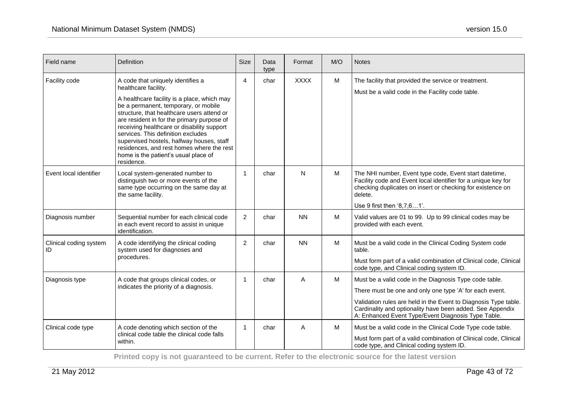| Field name                   | Definition                                                                                                                                                                                                                                                                                                                                                                                                                                                                       | <b>Size</b>  | Data<br>type | Format      | M/O | <b>Notes</b>                                                                                                                                                                                                                                                                                            |
|------------------------------|----------------------------------------------------------------------------------------------------------------------------------------------------------------------------------------------------------------------------------------------------------------------------------------------------------------------------------------------------------------------------------------------------------------------------------------------------------------------------------|--------------|--------------|-------------|-----|---------------------------------------------------------------------------------------------------------------------------------------------------------------------------------------------------------------------------------------------------------------------------------------------------------|
| Facility code                | A code that uniquely identifies a<br>healthcare facility.<br>A healthcare facility is a place, which may<br>be a permanent, temporary, or mobile<br>structure, that healthcare users attend or<br>are resident in for the primary purpose of<br>receiving healthcare or disability support<br>services. This definition excludes<br>supervised hostels, halfway houses, staff<br>residences, and rest homes where the rest<br>home is the patient's usual place of<br>residence. | 4            | char         | <b>XXXX</b> | M   | The facility that provided the service or treatment.<br>Must be a valid code in the Facility code table.                                                                                                                                                                                                |
| Event local identifier       | Local system-generated number to<br>distinguish two or more events of the<br>same type occurring on the same day at<br>the same facility.                                                                                                                                                                                                                                                                                                                                        | 1            | char         | N           | M   | The NHI number, Event type code, Event start datetime,<br>Facility code and Event local identifier for a unique key for<br>checking duplicates on insert or checking for existence on<br>delete.<br>Use 9 first then '8,7,61'.                                                                          |
| Diagnosis number             | Sequential number for each clinical code<br>in each event record to assist in unique<br>identification.                                                                                                                                                                                                                                                                                                                                                                          | 2            | char         | <b>NN</b>   | M   | Valid values are 01 to 99. Up to 99 clinical codes may be<br>provided with each event.                                                                                                                                                                                                                  |
| Clinical coding system<br>ID | A code identifying the clinical coding<br>system used for diagnoses and<br>procedures.                                                                                                                                                                                                                                                                                                                                                                                           | 2            | char         | <b>NN</b>   | M   | Must be a valid code in the Clinical Coding System code<br>table.<br>Must form part of a valid combination of Clinical code, Clinical<br>code type, and Clinical coding system ID.                                                                                                                      |
| Diagnosis type               | A code that groups clinical codes, or<br>indicates the priority of a diagnosis.                                                                                                                                                                                                                                                                                                                                                                                                  | $\mathbf{1}$ | char         | A           | M   | Must be a valid code in the Diagnosis Type code table.<br>There must be one and only one type 'A' for each event.<br>Validation rules are held in the Event to Diagnosis Type table.<br>Cardinality and optionality have been added. See Appendix<br>A: Enhanced Event Type/Event Diagnosis Type Table. |
| Clinical code type           | A code denoting which section of the<br>clinical code table the clinical code falls<br>within.                                                                                                                                                                                                                                                                                                                                                                                   | $\mathbf{1}$ | char         | Α           | M   | Must be a valid code in the Clinical Code Type code table.<br>Must form part of a valid combination of Clinical code, Clinical<br>code type, and Clinical coding system ID.                                                                                                                             |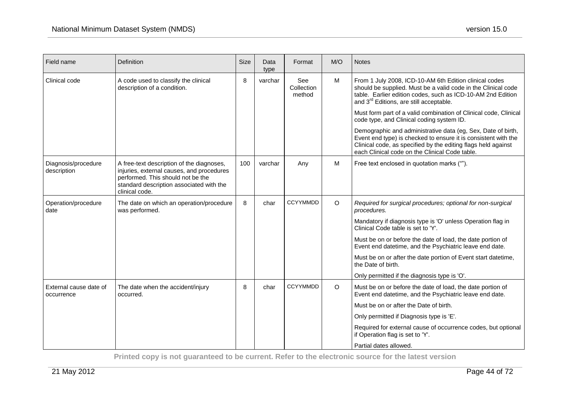| Field name                           | Definition                                                                                                                                                                                | <b>Size</b> | Data<br>type | Format                      | M/O     | <b>Notes</b>                                                                                                                                                                                                                                      |
|--------------------------------------|-------------------------------------------------------------------------------------------------------------------------------------------------------------------------------------------|-------------|--------------|-----------------------------|---------|---------------------------------------------------------------------------------------------------------------------------------------------------------------------------------------------------------------------------------------------------|
| Clinical code                        | A code used to classify the clinical<br>description of a condition.                                                                                                                       | 8           | varchar      | See<br>Collection<br>method | M       | From 1 July 2008, ICD-10-AM 6th Edition clinical codes<br>should be supplied. Must be a valid code in the Clinical code<br>table. Earlier edition codes, such as ICD-10-AM 2nd Edition<br>and 3 <sup>rd</sup> Editions, are still acceptable.     |
|                                      |                                                                                                                                                                                           |             |              |                             |         | Must form part of a valid combination of Clinical code, Clinical<br>code type, and Clinical coding system ID.                                                                                                                                     |
|                                      |                                                                                                                                                                                           |             |              |                             |         | Demographic and administrative data (eg, Sex, Date of birth,<br>Event end type) is checked to ensure it is consistent with the<br>Clinical code, as specified by the editing flags held against<br>each Clinical code on the Clinical Code table. |
| Diagnosis/procedure<br>description   | A free-text description of the diagnoses,<br>injuries, external causes, and procedures<br>performed. This should not be the<br>standard description associated with the<br>clinical code. | 100         | varchar      | Any                         | M       | Free text enclosed in quotation marks ("").                                                                                                                                                                                                       |
| Operation/procedure<br>date          | The date on which an operation/procedure<br>was performed.                                                                                                                                | 8           | char         | <b>CCYYMMDD</b>             | $\circ$ | Required for surgical procedures; optional for non-surgical<br>procedures.                                                                                                                                                                        |
|                                      |                                                                                                                                                                                           |             |              |                             |         | Mandatory if diagnosis type is 'O' unless Operation flag in<br>Clinical Code table is set to 'Y'.                                                                                                                                                 |
|                                      |                                                                                                                                                                                           |             |              |                             |         | Must be on or before the date of load, the date portion of<br>Event end datetime, and the Psychiatric leave end date.                                                                                                                             |
|                                      |                                                                                                                                                                                           |             |              |                             |         | Must be on or after the date portion of Event start datetime,<br>the Date of birth.                                                                                                                                                               |
|                                      |                                                                                                                                                                                           |             |              |                             |         | Only permitted if the diagnosis type is 'O'.                                                                                                                                                                                                      |
| External cause date of<br>occurrence | The date when the accident/injury<br>occurred.                                                                                                                                            | 8           | char         | <b>CCYYMMDD</b>             | $\circ$ | Must be on or before the date of load, the date portion of<br>Event end datetime, and the Psychiatric leave end date.                                                                                                                             |
|                                      |                                                                                                                                                                                           |             |              |                             |         | Must be on or after the Date of birth.                                                                                                                                                                                                            |
|                                      |                                                                                                                                                                                           |             |              |                             |         | Only permitted if Diagnosis type is 'E'.                                                                                                                                                                                                          |
|                                      |                                                                                                                                                                                           |             |              |                             |         | Required for external cause of occurrence codes, but optional<br>if Operation flag is set to 'Y'.                                                                                                                                                 |
|                                      |                                                                                                                                                                                           |             |              |                             |         | Partial dates allowed.                                                                                                                                                                                                                            |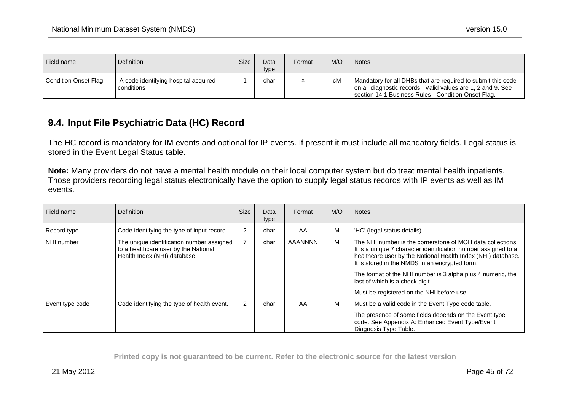| Field name             | <sup>1</sup> Definition                            | Size | Data<br>type | Format | M/O | <b>Notes</b>                                                                                                                                                                       |
|------------------------|----------------------------------------------------|------|--------------|--------|-----|------------------------------------------------------------------------------------------------------------------------------------------------------------------------------------|
| l Condition Onset Flag | A code identifying hospital acquired<br>conditions |      | char         |        | сM  | Mandatory for all DHBs that are required to submit this code<br>on all diagnostic records. Valid values are 1, 2 and 9. See<br>section 14.1 Business Rules - Condition Onset Flag. |

### **9.4. Input File Psychiatric Data (HC) Record**

The HC record is mandatory for IM events and optional for IP events. If present it must include all mandatory fields. Legal status is stored in the Event Legal Status table.

**Note:** Many providers do not have a mental health module on their local computer system but do treat mental health inpatients. Those providers recording legal status electronically have the option to supply legal status records with IP events as well as IM events.

| Field name      | <b>Definition</b>                                                                                                 | <b>Size</b> | Data<br>type | Format  | M/O | <b>Notes</b>                                                                                                                                                                                                                                                                                                                                                                                  |
|-----------------|-------------------------------------------------------------------------------------------------------------------|-------------|--------------|---------|-----|-----------------------------------------------------------------------------------------------------------------------------------------------------------------------------------------------------------------------------------------------------------------------------------------------------------------------------------------------------------------------------------------------|
| Record type     | Code identifying the type of input record.                                                                        |             | char         | AA      | М   | 'HC' (legal status details)                                                                                                                                                                                                                                                                                                                                                                   |
| NHI number      | The unique identification number assigned<br>to a healthcare user by the National<br>Health Index (NHI) database. |             | char         | AAANNNN | M   | The NHI number is the cornerstone of MOH data collections.<br>It is a unique 7 character identification number assigned to a<br>healthcare user by the National Health Index (NHI) database.<br>It is stored in the NMDS in an encrypted form.<br>The format of the NHI number is 3 alpha plus 4 numeric, the<br>last of which is a check digit.<br>Must be registered on the NHI before use. |
| Event type code | Code identifying the type of health event.                                                                        | 2           | char         | AA      | M   | Must be a valid code in the Event Type code table.<br>The presence of some fields depends on the Event type<br>code. See Appendix A: Enhanced Event Type/Event<br>Diagnosis Type Table.                                                                                                                                                                                                       |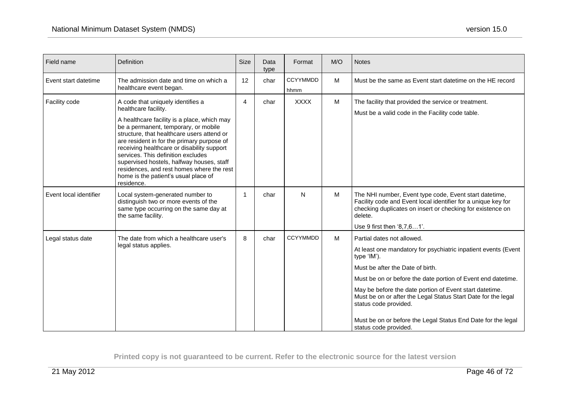| Field name             | Definition                                                                                                                                                                                                                                                                                                                                                                                                                                                                       | <b>Size</b>    | Data<br>type | Format                  | M/O | <b>Notes</b>                                                                                                                                                                                                                                                                                                                                                                                                                                                  |
|------------------------|----------------------------------------------------------------------------------------------------------------------------------------------------------------------------------------------------------------------------------------------------------------------------------------------------------------------------------------------------------------------------------------------------------------------------------------------------------------------------------|----------------|--------------|-------------------------|-----|---------------------------------------------------------------------------------------------------------------------------------------------------------------------------------------------------------------------------------------------------------------------------------------------------------------------------------------------------------------------------------------------------------------------------------------------------------------|
| Event start datetime   | The admission date and time on which a<br>healthcare event began.                                                                                                                                                                                                                                                                                                                                                                                                                | 12             | char         | <b>CCYYMMDD</b><br>hhmm | M   | Must be the same as Event start datetime on the HE record                                                                                                                                                                                                                                                                                                                                                                                                     |
| Facility code          | A code that uniquely identifies a<br>healthcare facility.<br>A healthcare facility is a place, which may<br>be a permanent, temporary, or mobile<br>structure, that healthcare users attend or<br>are resident in for the primary purpose of<br>receiving healthcare or disability support<br>services. This definition excludes<br>supervised hostels, halfway houses, staff<br>residences, and rest homes where the rest<br>home is the patient's usual place of<br>residence. | 4              | char         | <b>XXXX</b>             | M   | The facility that provided the service or treatment.<br>Must be a valid code in the Facility code table.                                                                                                                                                                                                                                                                                                                                                      |
| Event local identifier | Local system-generated number to<br>distinguish two or more events of the<br>same type occurring on the same day at<br>the same facility.                                                                                                                                                                                                                                                                                                                                        | $\overline{1}$ | char         | N                       | M   | The NHI number, Event type code, Event start datetime,<br>Facility code and Event local identifier for a unique key for<br>checking duplicates on insert or checking for existence on<br>delete.<br>Use 9 first then '8,7,61'.                                                                                                                                                                                                                                |
| Legal status date      | The date from which a healthcare user's<br>legal status applies.                                                                                                                                                                                                                                                                                                                                                                                                                 | 8              | char         | <b>CCYYMMDD</b>         | M   | Partial dates not allowed.<br>At least one mandatory for psychiatric inpatient events (Event<br>type 'IM').<br>Must be after the Date of birth.<br>Must be on or before the date portion of Event end datetime.<br>May be before the date portion of Event start datetime.<br>Must be on or after the Legal Status Start Date for the legal<br>status code provided.<br>Must be on or before the Legal Status End Date for the legal<br>status code provided. |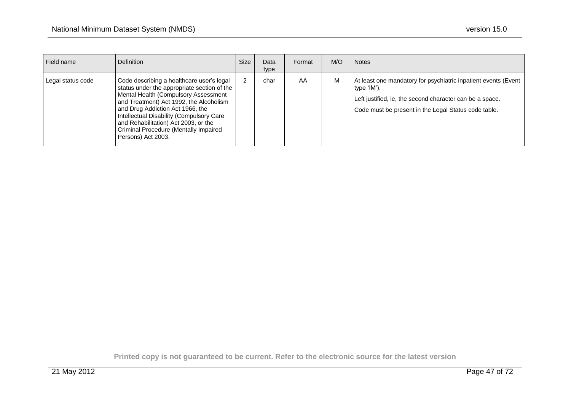| Field name        | <b>Definition</b>                                                                                                                                                                                                                                                                                                                                                  | Size | Data<br>type | Format | M/O | <b>Notes</b>                                                                                                                                                                                      |
|-------------------|--------------------------------------------------------------------------------------------------------------------------------------------------------------------------------------------------------------------------------------------------------------------------------------------------------------------------------------------------------------------|------|--------------|--------|-----|---------------------------------------------------------------------------------------------------------------------------------------------------------------------------------------------------|
| Legal status code | Code describing a healthcare user's legal<br>status under the appropriate section of the<br>Mental Health (Compulsory Assessment<br>and Treatment) Act 1992, the Alcoholism<br>and Drug Addiction Act 1966, the<br>Intellectual Disability (Compulsory Care<br>and Rehabilitation) Act 2003, or the<br>Criminal Procedure (Mentally Impaired<br>Persons) Act 2003. |      | char         | AA     | M   | At least one mandatory for psychiatric inpatient events (Event<br>type 'IM').<br>Left justified, ie, the second character can be a space.<br>Code must be present in the Legal Status code table. |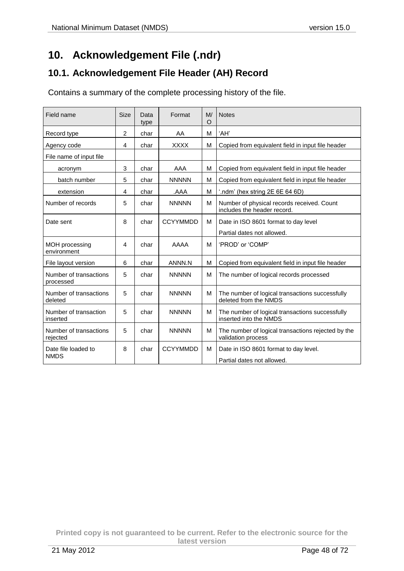# **10. Acknowledgement File (.ndr)**

## **10.1. Acknowledgement File Header (AH) Record**

Contains a summary of the complete processing history of the file.

| Field name                          | <b>Size</b>    | Data<br>type | Format          | M/<br>O | <b>Notes</b>                                                              |  |
|-------------------------------------|----------------|--------------|-----------------|---------|---------------------------------------------------------------------------|--|
| Record type                         | 2              | char         | AA              | м       | 'AH'                                                                      |  |
| Agency code                         | 4              | char         | <b>XXXX</b>     | М       | Copied from equivalent field in input file header                         |  |
| File name of input file             |                |              |                 |         |                                                                           |  |
| acronym                             | 3              | char         | AAA             | M       | Copied from equivalent field in input file header                         |  |
| batch number                        | 5              | char         | <b>NNNNN</b>    | м       | Copied from equivalent field in input file header                         |  |
| extension                           | 4              | char         | AAA.            | М       | '.ndm' (hex string 2E 6E 64 6D)                                           |  |
| Number of records                   | 5              | char         | <b>NNNNN</b>    | М       | Number of physical records received. Count<br>includes the header record. |  |
| Date sent                           | 8              | char         | <b>CCYYMMDD</b> | м       | Date in ISO 8601 format to day level                                      |  |
|                                     |                |              |                 |         | Partial dates not allowed.                                                |  |
| MOH processing<br>environment       | $\overline{4}$ | char         | AAAA            | м       | 'PROD' or 'COMP'                                                          |  |
| File layout version                 | 6              | char         | ANNN.N          | М       | Copied from equivalent field in input file header                         |  |
| Number of transactions<br>processed | 5              | char         | <b>NNNNN</b>    | м       | The number of logical records processed                                   |  |
| Number of transactions<br>deleted   | 5              | char         | <b>NNNNN</b>    | М       | The number of logical transactions successfully<br>deleted from the NMDS  |  |
| Number of transaction<br>inserted   | 5              | char         | <b>NNNNN</b>    | м       | The number of logical transactions successfully<br>inserted into the NMDS |  |
| Number of transactions<br>rejected  | 5              | char         | <b>NNNNN</b>    | м       | The number of logical transactions rejected by the<br>validation process  |  |
| Date file loaded to<br><b>NMDS</b>  | 8              | char         | <b>CCYYMMDD</b> | М       | Date in ISO 8601 format to day level.<br>Partial dates not allowed.       |  |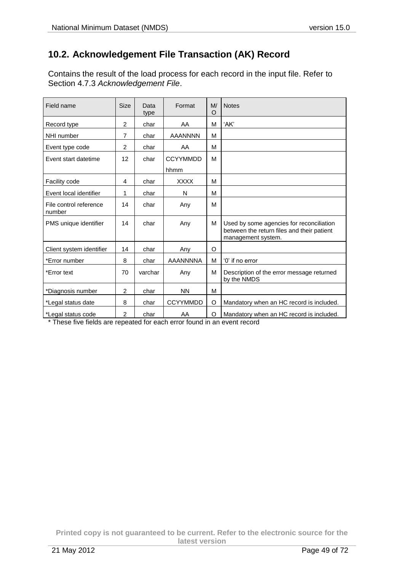## **10.2. Acknowledgement File Transaction (AK) Record**

Contains the result of the load process for each record in the input file. Refer to Section 4.7.3 *Acknowledgement File*.

| Field name                       | <b>Size</b>    | Data<br>type | Format          | M/<br>O | <b>Notes</b>                                                                                                 |
|----------------------------------|----------------|--------------|-----------------|---------|--------------------------------------------------------------------------------------------------------------|
| Record type                      | $\overline{2}$ | char         | AA              | M       | 'AK'                                                                                                         |
| NHI number                       | 7              | char         | <b>AAANNNN</b>  | м       |                                                                                                              |
| Event type code                  | $\overline{2}$ | char         | AA              | м       |                                                                                                              |
| Event start datetime             | 12             | char         | <b>CCYYMMDD</b> | M       |                                                                                                              |
|                                  |                |              | hhmm            |         |                                                                                                              |
| Facility code                    | 4              | char         | <b>XXXX</b>     | м       |                                                                                                              |
| Event local identifier           | 1              | char         | N               | м       |                                                                                                              |
| File control reference<br>number | 14             | char         | Any             | М       |                                                                                                              |
| PMS unique identifier            | 14             | char         | Any             | м       | Used by some agencies for reconciliation<br>between the return files and their patient<br>management system. |
| Client system identifier         | 14             | char         | Any             | O       |                                                                                                              |
| *Error number                    | 8              | char         | <b>AAANNNNA</b> | м       | '0' if no error                                                                                              |
| *Error text                      | 70             | varchar      | Any             | M       | Description of the error message returned<br>by the NMDS                                                     |
| *Diagnosis number                | 2              | char         | <b>NN</b>       | м       |                                                                                                              |
| *Legal status date               | 8              | char         | <b>CCYYMMDD</b> | O       | Mandatory when an HC record is included.                                                                     |
| *Legal status code               | $\overline{2}$ | char         | AA              | O       | Mandatory when an HC record is included.                                                                     |

\* These five fields are repeated for each error found in an event record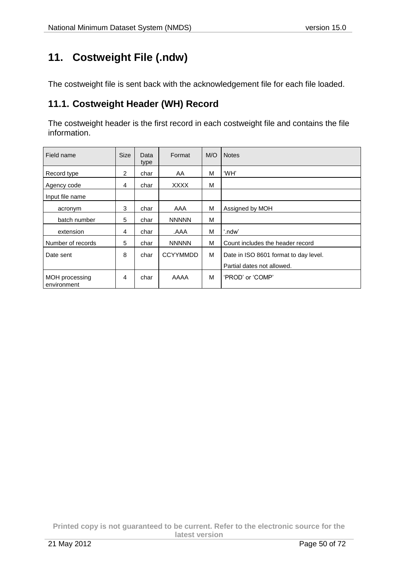# **11. Costweight File (.ndw)**

The costweight file is sent back with the acknowledgement file for each file loaded.

### **11.1. Costweight Header (WH) Record**

The costweight header is the first record in each costweight file and contains the file information.

| Field name                    | <b>Size</b> | Data<br>type | Format          | M/O | <b>Notes</b>                          |
|-------------------------------|-------------|--------------|-----------------|-----|---------------------------------------|
| Record type                   | 2           | char         | AA              | M   | 'WH'                                  |
| Agency code                   | 4           | char         | <b>XXXX</b>     | M   |                                       |
| Input file name               |             |              |                 |     |                                       |
| acronym                       | 3           | char         | AAA             | M   | Assigned by MOH                       |
| batch number                  | 5           | char         | <b>NNNNN</b>    | M   |                                       |
| extension                     | 4           | char         | AAA.            | М   | '.ndw'                                |
| Number of records             | 5           | char         | <b>NNNNN</b>    | М   | Count includes the header record      |
| Date sent                     | 8           | char         | <b>CCYYMMDD</b> | м   | Date in ISO 8601 format to day level. |
|                               |             |              |                 |     | Partial dates not allowed.            |
| MOH processing<br>environment | 4           | char         | AAAA            | M   | 'PROD' or 'COMP'                      |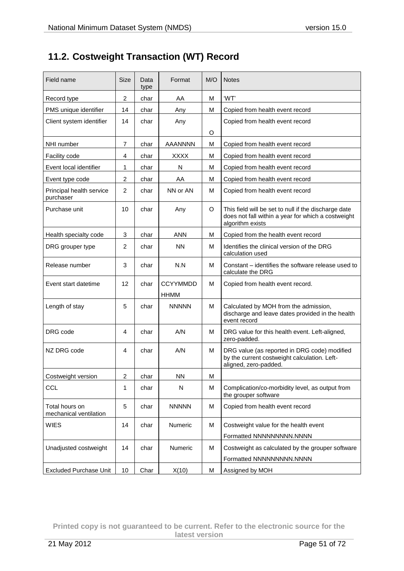# **11.2. Costweight Transaction (WT) Record**

| Field name                               | <b>Size</b>             | Data<br>type | Format          | M/O | <b>Notes</b>                                                                                                                   |
|------------------------------------------|-------------------------|--------------|-----------------|-----|--------------------------------------------------------------------------------------------------------------------------------|
| Record type                              | 2                       | char         | AA              | м   | 'WT'                                                                                                                           |
| PMS unique identifier                    | 14                      | char         | Any             | М   | Copied from health event record                                                                                                |
| Client system identifier                 | 14                      | char         | Any             |     | Copied from health event record                                                                                                |
|                                          |                         |              |                 | O   |                                                                                                                                |
| NHI number                               | $\overline{7}$          | char         | <b>AAANNNN</b>  | M   | Copied from health event record                                                                                                |
| Facility code                            | 4                       | char         | <b>XXXX</b>     | M   | Copied from health event record                                                                                                |
| Event local identifier                   | 1                       | char         | N               | м   | Copied from health event record                                                                                                |
| Event type code                          | $\overline{\mathbf{c}}$ | char         | AA              | М   | Copied from health event record                                                                                                |
| Principal health service<br>purchaser    | $\overline{c}$          | char         | NN or AN        | M   | Copied from health event record                                                                                                |
| Purchase unit                            | 10                      | char         | Any             | O   | This field will be set to null if the discharge date<br>does not fall within a year for which a costweight<br>algorithm exists |
| Health specialty code                    | 3                       | char         | <b>ANN</b>      | M   | Copied from the health event record                                                                                            |
| DRG grouper type                         | 2                       | char         | <b>NN</b>       | M   | Identifies the clinical version of the DRG<br>calculation used                                                                 |
| Release number                           | 3                       | char         | N.N             | м   | Constant – identifies the software release used to<br>calculate the DRG                                                        |
| Event start datetime                     | 12                      | char         | <b>CCYYMMDD</b> | M   | Copied from health event record.                                                                                               |
|                                          |                         |              | <b>HHMM</b>     |     |                                                                                                                                |
| Length of stay                           | 5                       | char         | <b>NNNNN</b>    | M   | Calculated by MOH from the admission,<br>discharge and leave dates provided in the health<br>event record                      |
| DRG code                                 | 4                       | char         | A/N             | M   | DRG value for this health event. Left-aligned,<br>zero-padded.                                                                 |
| NZ DRG code                              | 4                       | char         | A/N             | м   | DRG value (as reported in DRG code) modified<br>by the current costweight calculation. Left-<br>aligned, zero-padded.          |
| Costweight version                       | $\overline{\mathbf{c}}$ | char         | <b>NN</b>       | М   |                                                                                                                                |
| <b>CCL</b>                               | 1                       | char         | N               | M   | Complication/co-morbidity level, as output from<br>the grouper software                                                        |
| Total hours on<br>mechanical ventilation | 5                       | char         | <b>NNNNN</b>    | M   | Copied from health event record                                                                                                |
| <b>WIES</b>                              | 14                      | char         | Numeric         | М   | Costweight value for the health event                                                                                          |
|                                          |                         |              |                 |     | Formatted NNNNNNNNNN.NNNN                                                                                                      |
| Unadjusted costweight                    | 14                      | char         | Numeric         | M   | Costweight as calculated by the grouper software                                                                               |
|                                          |                         |              |                 |     | Formatted NNNNNNNNN.NNNN                                                                                                       |
| <b>Excluded Purchase Unit</b>            | 10                      | Char         | X(10)           | М   | Assigned by MOH                                                                                                                |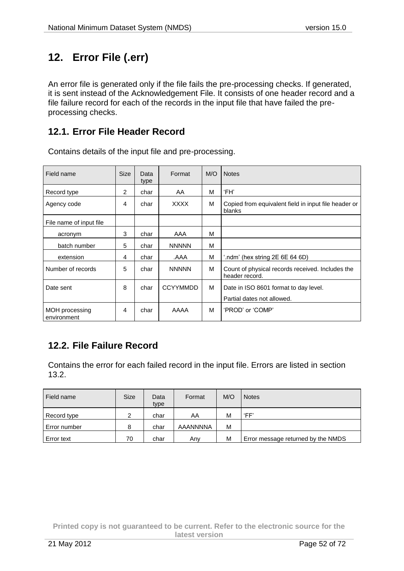# **12. Error File (.err)**

An error file is generated only if the file fails the pre-processing checks. If generated, it is sent instead of the Acknowledgement File. It consists of one header record and a file failure record for each of the records in the input file that have failed the preprocessing checks.

### **12.1. Error File Header Record**

| Field name                    | <b>Size</b> | Data<br>type | Format          | M/O | <b>Notes</b>                                                       |
|-------------------------------|-------------|--------------|-----------------|-----|--------------------------------------------------------------------|
| Record type                   | 2           | char         | AA              | M   | 'FH'                                                               |
| Agency code                   | 4           | char         | <b>XXXX</b>     | M   | Copied from equivalent field in input file header or<br>blanks     |
| File name of input file       |             |              |                 |     |                                                                    |
| acronym                       | 3           | char         | AAA             | M   |                                                                    |
| batch number                  | 5           | char         | <b>NNNNN</b>    | M   |                                                                    |
| extension                     | 4           | char         | AAA.            | M   | '.ndm' (hex string 2E 6E 64 6D)                                    |
| Number of records             | 5           | char         | <b>NNNNN</b>    | M   | Count of physical records received. Includes the<br>header record. |
| Date sent                     | 8           | char         | <b>CCYYMMDD</b> | M   | Date in ISO 8601 format to day level.                              |
|                               |             |              |                 |     | Partial dates not allowed.                                         |
| MOH processing<br>environment | 4           | char         | AAAA            | м   | 'PROD' or 'COMP'                                                   |

Contains details of the input file and pre-processing.

# **12.2. File Failure Record**

Contains the error for each failed record in the input file. Errors are listed [in](file:///C:/Documents%20and%20Settings/lgibson/Application%20Data/Microsoft/Word/nmds-file-specification-v15.0302108420900924094/in) section 13.2.

| Field name        | <b>Size</b> | Data<br>type | Format   | M/O | <b>Notes</b>                       |
|-------------------|-------------|--------------|----------|-----|------------------------------------|
| Record type       | 2           | char         | AA       | M   | 'FF'                               |
| Error number      | 8           | char         | AAANNNNA | M   |                                    |
| <b>Error text</b> | 70          | char         | Any      | M   | Error message returned by the NMDS |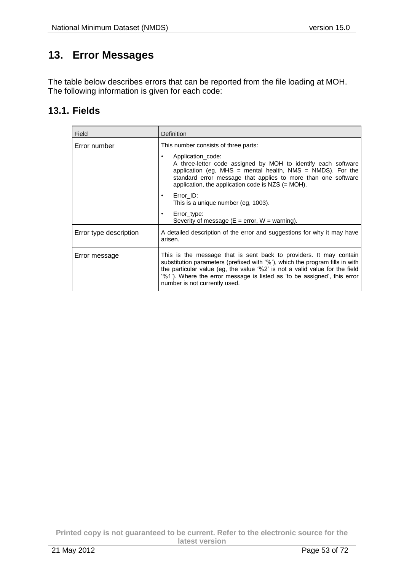# **13. Error Messages**

The table below describes errors that can be reported from the file loading at MOH. The following information is given for each code:

### **13.1. Fields**

| Field                  | Definition                                                                                                                                                                                                                                                                                                                                     |  |  |  |  |
|------------------------|------------------------------------------------------------------------------------------------------------------------------------------------------------------------------------------------------------------------------------------------------------------------------------------------------------------------------------------------|--|--|--|--|
| Error number           | This number consists of three parts:                                                                                                                                                                                                                                                                                                           |  |  |  |  |
|                        | Application code:<br>٠<br>A three-letter code assigned by MOH to identify each software<br>application (eg, MHS = mental health, NMS = NMDS). For the<br>standard error message that applies to more than one software<br>application, the application code is $NZS$ (= MOH).                                                                  |  |  |  |  |
|                        | Error ID:<br>$\bullet$<br>This is a unique number (eg, 1003).                                                                                                                                                                                                                                                                                  |  |  |  |  |
|                        | Error_type:<br>٠<br>Severity of message ( $E = error$ , $W = warning$ ).                                                                                                                                                                                                                                                                       |  |  |  |  |
| Error type description | A detailed description of the error and suggestions for why it may have<br>arisen.                                                                                                                                                                                                                                                             |  |  |  |  |
| Error message          | This is the message that is sent back to providers. It may contain<br>substitution parameters (prefixed with '%'), which the program fills in with<br>the particular value (eg, the value '%2' is not a valid value for the field<br>'%1'). Where the error message is listed as 'to be assigned', this error<br>number is not currently used. |  |  |  |  |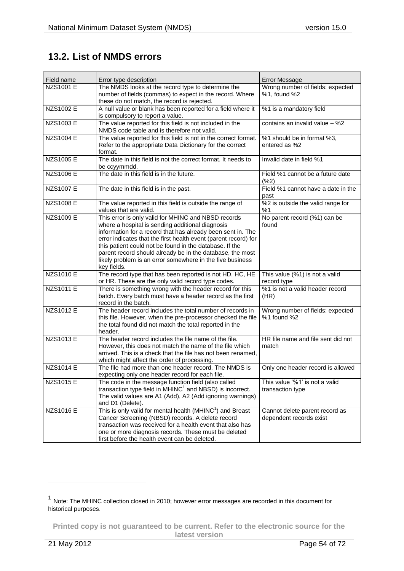## **13.2. List of NMDS errors**

| Field name       | Error type description                                                                                                                                                                                                                                                                                                                                                                                                                        | <b>Error Message</b>                                      |
|------------------|-----------------------------------------------------------------------------------------------------------------------------------------------------------------------------------------------------------------------------------------------------------------------------------------------------------------------------------------------------------------------------------------------------------------------------------------------|-----------------------------------------------------------|
| <b>NZS1001 E</b> | The NMDS looks at the record type to determine the<br>number of fields (commas) to expect in the record. Where<br>these do not match, the record is rejected.                                                                                                                                                                                                                                                                                 | Wrong number of fields: expected<br>%1, found %2          |
| <b>NZS1002 E</b> | A null value or blank has been reported for a field where it<br>is compulsory to report a value.                                                                                                                                                                                                                                                                                                                                              | %1 is a mandatory field                                   |
| <b>NZS1003 E</b> | The value reported for this field is not included in the<br>NMDS code table and is therefore not valid.                                                                                                                                                                                                                                                                                                                                       | contains an invalid value - %2                            |
| <b>NZS1004 E</b> | The value reported for this field is not in the correct format.<br>Refer to the appropriate Data Dictionary for the correct<br>format.                                                                                                                                                                                                                                                                                                        | %1 should be in format %3,<br>entered as %2               |
| <b>NZS1005 E</b> | The date in this field is not the correct format. It needs to<br>be ccyymmdd.                                                                                                                                                                                                                                                                                                                                                                 | Invalid date in field %1                                  |
| <b>NZS1006 E</b> | The date in this field is in the future.                                                                                                                                                                                                                                                                                                                                                                                                      | Field %1 cannot be a future date<br>$(\%2)$               |
| <b>NZS1007 E</b> | The date in this field is in the past.                                                                                                                                                                                                                                                                                                                                                                                                        | Field %1 cannot have a date in the<br>past                |
| <b>NZS1008 E</b> | The value reported in this field is outside the range of<br>values that are valid.                                                                                                                                                                                                                                                                                                                                                            | %2 is outside the valid range for<br>%1                   |
| NZS1009 E        | This error is only valid for MHINC and NBSD records<br>where a hospital is sending additional diagnosis<br>information for a record that has already been sent in. The<br>error indicates that the first health event (parent record) for<br>this patient could not be found in the database. If the<br>parent record should already be in the database, the most<br>likely problem is an error somewhere in the five business<br>key fields. | No parent record (%1) can be<br>found                     |
| <b>NZS1010 E</b> | The record type that has been reported is not HD, HC, HE<br>or HR. These are the only valid record type codes.                                                                                                                                                                                                                                                                                                                                | This value (%1) is not a valid<br>record type             |
| <b>NZS1011 E</b> | There is something wrong with the header record for this<br>batch. Every batch must have a header record as the first<br>record in the batch.                                                                                                                                                                                                                                                                                                 | %1 is not a valid header record<br>(HR)                   |
| <b>NZS1012 E</b> | The header record includes the total number of records in<br>this file. However, when the pre-processor checked the file<br>the total found did not match the total reported in the<br>header.                                                                                                                                                                                                                                                | Wrong number of fields: expected<br>%1 found %2           |
| <b>NZS1013 E</b> | The header record includes the file name of the file.<br>However, this does not match the name of the file which<br>arrived. This is a check that the file has not been renamed,<br>which might affect the order of processing.                                                                                                                                                                                                               | HR file name and file sent did not<br>match               |
| <b>NZS1014 E</b> | The file had more than one header record. The NMDS is<br>expecting only one header record for each file.                                                                                                                                                                                                                                                                                                                                      | Only one header record is allowed                         |
| NZS1015 E        | The code in the message function field (also called<br>transaction type field in $MHINC1$ and NBSD) is incorrect.<br>The valid values are A1 (Add), A2 (Add ignoring warnings)<br>and D1 (Delete).                                                                                                                                                                                                                                            | This value '%1' is not a valid<br>transaction type        |
| <b>NZS1016 E</b> | This is only valid for mental health (MHINC <sup>1</sup> ) and Breast<br>Cancer Screening (NBSD) records. A delete record<br>transaction was received for a health event that also has<br>one or more diagnosis records. These must be deleted<br>first before the health event can be deleted.                                                                                                                                               | Cannot delete parent record as<br>dependent records exist |

**Printed copy is not guaranteed to be current. Refer to the electronic source for the latest version**

<span id="page-53-0"></span> $\overline{a}$ 

<sup>&</sup>lt;sup>1</sup> Note: The MHINC collection closed in 2010; however error messages are recorded in this document for historical purposes.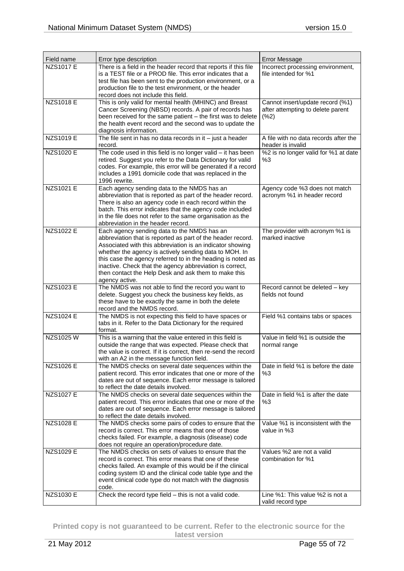| Field name       | Error type description                                                                                                                                                                                                                                                                                                                                                                                                                 | <b>Error Message</b>                                                             |
|------------------|----------------------------------------------------------------------------------------------------------------------------------------------------------------------------------------------------------------------------------------------------------------------------------------------------------------------------------------------------------------------------------------------------------------------------------------|----------------------------------------------------------------------------------|
| <b>NZS1017 E</b> | There is a field in the header record that reports if this file<br>is a TEST file or a PROD file. This error indicates that a<br>test file has been sent to the production environment, or a<br>production file to the test environment, or the header<br>record does not include this field.                                                                                                                                          | Incorrect processing environment,<br>file intended for %1                        |
| <b>NZS1018 E</b> | This is only valid for mental health (MHINC) and Breast<br>Cancer Screening (NBSD) records. A pair of records has<br>been received for the same patient - the first was to delete<br>the health event record and the second was to update the<br>diagnosis information.                                                                                                                                                                | Cannot insert/update record (%1)<br>after attempting to delete parent<br>$(*62)$ |
| <b>NZS1019 E</b> | The file sent in has no data records in it $-$ just a header<br>record.                                                                                                                                                                                                                                                                                                                                                                | A file with no data records after the<br>header is invalid                       |
| <b>NZS1020 E</b> | The code used in this field is no longer valid - it has been<br>retired. Suggest you refer to the Data Dictionary for valid<br>codes. For example, this error will be generated if a record<br>includes a 1991 domicile code that was replaced in the<br>1996 rewrite.                                                                                                                                                                 | %2 is no longer valid for %1 at date<br>%3                                       |
| <b>NZS1021 E</b> | Each agency sending data to the NMDS has an<br>abbreviation that is reported as part of the header record.<br>There is also an agency code in each record within the<br>batch. This error indicates that the agency code included<br>in the file does not refer to the same organisation as the<br>abbreviation in the header record.                                                                                                  | Agency code %3 does not match<br>acronym %1 in header record                     |
| <b>NZS1022 E</b> | Each agency sending data to the NMDS has an<br>abbreviation that is reported as part of the header record.<br>Associated with this abbreviation is an indicator showing<br>whether the agency is actively sending data to MOH. In<br>this case the agency referred to in the heading is noted as<br>inactive. Check that the agency abbreviation is correct,<br>then contact the Help Desk and ask them to make this<br>agency active. | The provider with acronym %1 is<br>marked inactive                               |
| <b>NZS1023 E</b> | The NMDS was not able to find the record you want to<br>delete. Suggest you check the business key fields, as<br>these have to be exactly the same in both the delete<br>record and the NMDS record.                                                                                                                                                                                                                                   | Record cannot be deleted - key<br>fields not found                               |
| <b>NZS1024 E</b> | The NMDS is not expecting this field to have spaces or<br>tabs in it. Refer to the Data Dictionary for the required<br>format.                                                                                                                                                                                                                                                                                                         | Field %1 contains tabs or spaces                                                 |
| NZS1025W         | This is a warning that the value entered in this field is<br>outside the range that was expected. Please check that<br>the value is correct. If it is correct, then re-send the record<br>with an A2 in the message function field.                                                                                                                                                                                                    | Value in field %1 is outside the<br>normal range                                 |
| NZS1026 E        | The NMDS checks on several date sequences within the<br>patient record. This error indicates that one or more of the<br>dates are out of sequence. Each error message is tailored<br>to reflect the date details involved.                                                                                                                                                                                                             | Date in field %1 is before the date<br>%3                                        |
| <b>NZS1027 E</b> | The NMDS checks on several date sequences within the<br>patient record. This error indicates that one or more of the<br>dates are out of sequence. Each error message is tailored<br>to reflect the date details involved.                                                                                                                                                                                                             | Date in field %1 is after the date<br>%3                                         |
| NZS1028 E        | The NMDS checks some pairs of codes to ensure that the<br>record is correct. This error means that one of those<br>checks failed. For example, a diagnosis (disease) code<br>does not require an operation/procedure date.                                                                                                                                                                                                             | Value %1 is inconsistent with the<br>value in %3                                 |
| <b>NZS1029 E</b> | The NMDS checks on sets of values to ensure that the<br>record is correct. This error means that one of these<br>checks failed. An example of this would be if the clinical<br>coding system ID and the clinical code table type and the<br>event clinical code type do not match with the diagnosis<br>code.                                                                                                                          | Values %2 are not a valid<br>combination for %1                                  |
| <b>NZS1030 E</b> | Check the record type field - this is not a valid code.                                                                                                                                                                                                                                                                                                                                                                                | Line %1: This value %2 is not a<br>valid record type                             |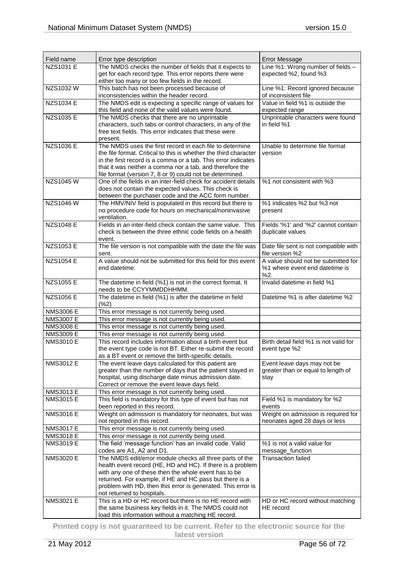| Field name       | Error type description                                                                                             | Error Message                                    |
|------------------|--------------------------------------------------------------------------------------------------------------------|--------------------------------------------------|
| <b>NZS1031 E</b> | The NMDS checks the number of fields that it expects to                                                            | Line %1: Wrong number of fields -                |
|                  | get for each record type. This error reports there were                                                            | expected %2, found %3                            |
|                  | either too many or too few fields in the record.                                                                   |                                                  |
| NZS1032W         | This batch has not been processed because of                                                                       | Line %1: Record ignored because                  |
|                  | inconsistencies within the header record.                                                                          | of inconsistent file                             |
| <b>NZS1034 E</b> | The NMDS edit is expecting a specific range of values for                                                          | Value in field %1 is outside the                 |
|                  | this field and none of the valid values were found.                                                                | expected range                                   |
| NZS1035 E        | The NMDS checks that there are no unprintable<br>characters, such tabs or control characters, in any of the        | Unprintable characters were found<br>in field %1 |
|                  | free text fields. This error indicates that these were                                                             |                                                  |
|                  | present.                                                                                                           |                                                  |
| <b>NZS1036 E</b> | The NMDS uses the first record in each file to determine                                                           | Unable to determine file format                  |
|                  | the file format. Critical to this is whether the third character                                                   | version                                          |
|                  | in the first record is a comma or a tab. This error indicates                                                      |                                                  |
|                  | that it was neither a comma nor a tab, and therefore the                                                           |                                                  |
|                  | file format (version 7, 8 or 9) could not be determined.                                                           |                                                  |
| NZS1045W         | One of the fields in an inter-field check for accident details                                                     | %1 not consistent with %3                        |
|                  | does not contain the expected values. This check is                                                                |                                                  |
|                  | between the purchaser code and the ACC form number.                                                                |                                                  |
| NZS1046 W        | The HMV/NIV field is populated in this record but there is                                                         | %1 indicates %2 but %3 not                       |
|                  | no procedure code for hours on mechanical/noninvasive                                                              | present                                          |
|                  | ventilation.                                                                                                       |                                                  |
| <b>NZS1048 E</b> | Fields in an inter-field check contain the same value. This                                                        | Fields '%1' and '%2' cannot contain              |
|                  | check is between the three ethnic code fields on a health<br>event.                                                | duplicate values                                 |
| <b>NZS1053 E</b> | The file version is not compatible with the date the file was                                                      | Date file sent is not compatible with            |
|                  | sent.                                                                                                              | file version %2                                  |
| <b>NZS1054 E</b> | A value should not be submitted for this field for this event                                                      | A value should not be submitted for              |
|                  | end datetime.                                                                                                      | %1 where event end datetime is                   |
|                  |                                                                                                                    | %2.                                              |
| <b>NZS1055 E</b> | The datetime in field (%1) is not in the correct format. It                                                        | Invalid datetime in field %1                     |
|                  | needs to be CCYYMMDDHHMM.                                                                                          |                                                  |
| <b>NZS1056 E</b> | The datetime in field (%1) is after the datetime in field                                                          | Datetime %1 is after datetime %2                 |
|                  | (%2)                                                                                                               |                                                  |
| <b>NMS3006 E</b> | This error message is not currently being used.                                                                    |                                                  |
| <b>NMS3007 E</b> | This error message is not currently being used.                                                                    |                                                  |
| <b>NMS3008 E</b> | This error message is not currently being used.                                                                    |                                                  |
| <b>NMS3009 E</b> | This error message is not currently being used.                                                                    |                                                  |
| <b>NMS3010 E</b> | This record includes information about a birth event but                                                           | Birth detail field %1 is not valid for           |
|                  | the event type code is not BT. Either re-submit the record<br>as a BT event or remove the birth-specific details.  | event type %2                                    |
| <b>NMS3012 E</b> | The event leave days calculated for this patient are                                                               | Event leave days may not be                      |
|                  | greater than the number of days that the patient stayed in                                                         | greater than or equal to length of               |
|                  | hospital, using discharge date minus admission date.                                                               | stay                                             |
|                  | Correct or remove the event leave days field.                                                                      |                                                  |
| <b>NMS3013 E</b> | This error message is not currently being used.                                                                    |                                                  |
| <b>NMS3015 E</b> | This field is mandatory for this type of event but has not                                                         | Field %1 is mandatory for %2                     |
|                  | been reported in this record.                                                                                      | events                                           |
| <b>NMS3016 E</b> | Weight on admission is mandatory for neonates, but was                                                             | Weight on admission is required for              |
|                  | not reported in this record.                                                                                       | neonates aged 28 days or less                    |
| <b>NMS3017 E</b> | This error message is not currently being used.                                                                    |                                                  |
| <b>NMS3018 E</b> | This error message is not currently being used.                                                                    |                                                  |
| <b>NMS3019 E</b> | The field 'message function' has an invalid code. Valid                                                            | %1 is not a valid value for                      |
|                  | codes are A1, A2 and D1.                                                                                           | message_function                                 |
| <b>NMS3020 E</b> | The NMDS edit/error module checks all three parts of the                                                           | <b>Transaction failed</b>                        |
|                  | health event record (HE, HD and HC). If there is a problem<br>with any one of these then the whole event has to be |                                                  |
|                  | returned. For example, if HE and HC pass but there is a                                                            |                                                  |
|                  | problem with HD, then this error is generated. This error is                                                       |                                                  |
|                  | not returned to hospitals.                                                                                         |                                                  |
| <b>NMS3021 E</b> | This is a HD or HC record but there is no HE record with                                                           | HD or HC record without matching                 |
|                  | the same business key fields in it. The NMDS could not                                                             | HE record                                        |
|                  | load this information without a matching HE record.                                                                |                                                  |
|                  |                                                                                                                    |                                                  |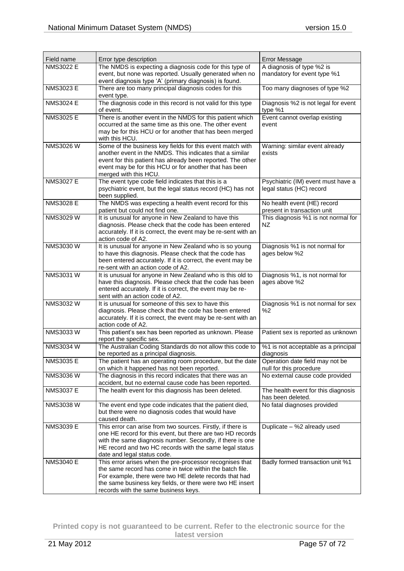| Field name<br><b>NMS3022 E</b> | Error type description<br>The NMDS is expecting a diagnosis code for this type of                                        | <b>Error Message</b><br>A diagnosis of type %2 is          |
|--------------------------------|--------------------------------------------------------------------------------------------------------------------------|------------------------------------------------------------|
|                                | event, but none was reported. Usually generated when no                                                                  | mandatory for event type %1                                |
|                                | event diagnosis type 'A' (primary diagnosis) is found.                                                                   |                                                            |
| <b>NMS3023 E</b>               | There are too many principal diagnosis codes for this<br>event type.                                                     | Too many diagnoses of type %2                              |
| <b>NMS3024 E</b>               | The diagnosis code in this record is not valid for this type                                                             | Diagnosis %2 is not legal for event                        |
|                                | of event.                                                                                                                | type %1                                                    |
| <b>NMS3025 E</b>               | There is another event in the NMDS for this patient which                                                                | Event cannot overlap existing                              |
|                                | occurred at the same time as this one. The other event<br>may be for this HCU or for another that has been merged        | event                                                      |
|                                | with this HCU.                                                                                                           |                                                            |
| NMS3026 W                      | Some of the business key fields for this event match with                                                                | Warning: similar event already                             |
|                                | another event in the NMDS. This indicates that a similar                                                                 | exists                                                     |
|                                | event for this patient has already been reported. The other<br>event may be for this HCU or for another that has been    |                                                            |
|                                | merged with this HCU.                                                                                                    |                                                            |
| <b>NMS3027 E</b>               | The event type code field indicates that this is a                                                                       | Psychiatric (IM) event must have a                         |
|                                | psychiatric event, but the legal status record (HC) has not                                                              | legal status (HC) record                                   |
| <b>NMS3028 E</b>               | been supplied.                                                                                                           |                                                            |
|                                | The NMDS was expecting a health event record for this<br>patient but could not find one.                                 | No health event (HE) record<br>present in transaction unit |
| NMS3029 W                      | It is unusual for anyone in New Zealand to have this                                                                     | This diagnosis %1 is not normal for                        |
|                                | diagnosis. Please check that the code has been entered                                                                   | NZ.                                                        |
|                                | accurately. If it is correct, the event may be re-sent with an                                                           |                                                            |
| NMS3030W                       | action code of A2.<br>It is unusual for anyone in New Zealand who is so young                                            | Diagnosis %1 is not normal for                             |
|                                | to have this diagnosis. Please check that the code has                                                                   | ages below %2                                              |
|                                | been entered accurately. If it is correct, the event may be                                                              |                                                            |
|                                | re-sent with an action code of A2.                                                                                       |                                                            |
| <b>NMS3031W</b>                | It is unusual for anyone in New Zealand who is this old to<br>have this diagnosis. Please check that the code has been   | Diagnosis %1, is not normal for<br>ages above %2           |
|                                | entered accurately. If it is correct, the event may be re-                                                               |                                                            |
|                                | sent with an action code of A2.                                                                                          |                                                            |
| NMS3032W                       | It is unusual for someone of this sex to have this                                                                       | Diagnosis %1 is not normal for sex                         |
|                                | diagnosis. Please check that the code has been entered<br>accurately. If it is correct, the event may be re-sent with an | %2                                                         |
|                                | action code of A2.                                                                                                       |                                                            |
| <b>NMS3033W</b>                | This patient's sex has been reported as unknown. Please                                                                  | Patient sex is reported as unknown                         |
|                                | report the specific sex.                                                                                                 |                                                            |
| <b>NMS3034 W</b>               | The Australian Coding Standards do not allow this code to                                                                | %1 is not acceptable as a principal                        |
| <b>NMS3035 E</b>               | be reported as a principal diagnosis.<br>The patient has an operating room procedure, but the date                       | diagnosis<br>Operation date field may not be               |
|                                | on which it happened has not been reported.                                                                              | null for this procedure                                    |
| <b>NMS3036 W</b>               | The diagnosis in this record indicates that there was an                                                                 | No external cause code provided                            |
|                                | accident, but no external cause code has been reported.                                                                  |                                                            |
| <b>NMS3037 E</b>               | The health event for this diagnosis has been deleted.                                                                    | The health event for this diagnosis<br>has been deleted.   |
| NMS3038 W                      | The event end type code indicates that the patient died,                                                                 | No fatal diagnoses provided                                |
|                                | but there were no diagnosis codes that would have                                                                        |                                                            |
| <b>NMS3039 E</b>               | caused death.<br>This error can arise from two sources. Firstly, if there is                                             | Duplicate - %2 already used                                |
|                                | one HE record for this event, but there are two HD records                                                               |                                                            |
|                                | with the same diagnosis number. Secondly, if there is one                                                                |                                                            |
|                                | HE record and two HC records with the same legal status                                                                  |                                                            |
|                                | date and legal status code.                                                                                              |                                                            |
| <b>NMS3040 E</b>               | This error arises when the pre-processor recognises that<br>the same record has come in twice within the batch file.     | Badly formed transaction unit %1                           |
|                                | For example, there were two HE delete records that had                                                                   |                                                            |
|                                | the same business key fields, or there were two HE insert                                                                |                                                            |
|                                | records with the same business keys.                                                                                     |                                                            |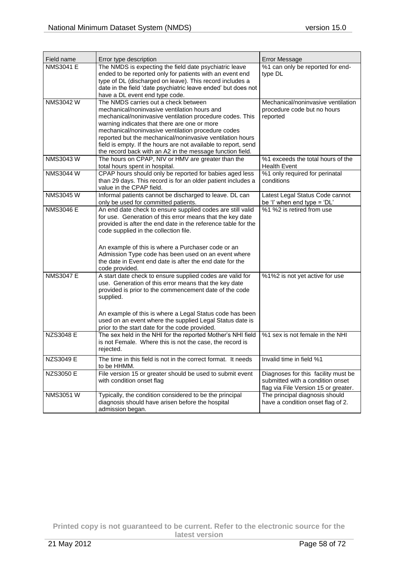| Field name       | Error type description                                                                                                                                                                                                                                                                                                                                                                                                                             | <b>Error Message</b>                                                                                            |
|------------------|----------------------------------------------------------------------------------------------------------------------------------------------------------------------------------------------------------------------------------------------------------------------------------------------------------------------------------------------------------------------------------------------------------------------------------------------------|-----------------------------------------------------------------------------------------------------------------|
| <b>NMS3041 E</b> | The NMDS is expecting the field date psychiatric leave<br>ended to be reported only for patients with an event end<br>type of DL (discharged on leave). This record includes a<br>date in the field 'date psychiatric leave ended' but does not<br>have a DL event end type code.                                                                                                                                                                  | %1 can only be reported for end-<br>type DL                                                                     |
| NMS3042 W        | The NMDS carries out a check between<br>mechanical/noninvasive ventilation hours and<br>mechanical/noninvasive ventilation procedure codes. This<br>warning indicates that there are one or more<br>mechanical/noninvasive ventilation procedure codes<br>reported but the mechanical/noninvasive ventilation hours<br>field is empty. If the hours are not available to report, send<br>the record back with an A2 in the message function field. | Mechanical/noninvasive ventilation<br>procedure code but no hours<br>reported                                   |
| <b>NMS3043W</b>  | The hours on CPAP, NIV or HMV are greater than the<br>total hours spent in hospital.                                                                                                                                                                                                                                                                                                                                                               | %1 exceeds the total hours of the<br><b>Health Event</b>                                                        |
| <b>NMS3044 W</b> | CPAP hours should only be reported for babies aged less<br>than 29 days. This record is for an older patient includes a<br>value in the CPAP field.                                                                                                                                                                                                                                                                                                | %1 only required for perinatal<br>conditions                                                                    |
| <b>NMS3045 W</b> | Informal patients cannot be discharged to leave. DL can<br>only be used for committed patients.                                                                                                                                                                                                                                                                                                                                                    | Latest Legal Status Code cannot<br>be 'I' when end type = 'DL'                                                  |
| <b>NMS3046 E</b> | An end date check to ensure supplied codes are still valid<br>for use. Generation of this error means that the key date<br>provided is after the end date in the reference table for the<br>code supplied in the collection file.<br>An example of this is where a Purchaser code or an<br>Admission Type code has been used on an event where<br>the date in Event end date is after the end date for the<br>code provided.                       | %1 %2 is retired from use                                                                                       |
| <b>NMS3047 E</b> | A start date check to ensure supplied codes are valid for<br>use. Generation of this error means that the key date<br>provided is prior to the commencement date of the code<br>supplied.<br>An example of this is where a Legal Status code has been<br>used on an event where the supplied Legal Status date is<br>prior to the start date for the code provided.                                                                                | %1%2 is not yet active for use                                                                                  |
| <b>NZS3048 E</b> | The sex held in the NHI for the reported Mother's NHI field<br>is not Female. Where this is not the case, the record is<br>rejected.                                                                                                                                                                                                                                                                                                               | %1 sex is not female in the NHI                                                                                 |
| <b>NZS3049 E</b> | The time in this field is not in the correct format. It needs<br>to be HHMM.                                                                                                                                                                                                                                                                                                                                                                       | Invalid time in field %1                                                                                        |
| <b>NZS3050 E</b> | File version 15 or greater should be used to submit event<br>with condition onset flag                                                                                                                                                                                                                                                                                                                                                             | Diagnoses for this facility must be<br>submitted with a condition onset<br>flag via File Version 15 or greater. |
| NMS3051 W        | Typically, the condition considered to be the principal<br>diagnosis should have arisen before the hospital<br>admission began.                                                                                                                                                                                                                                                                                                                    | The principal diagnosis should<br>have a condition onset flag of 2.                                             |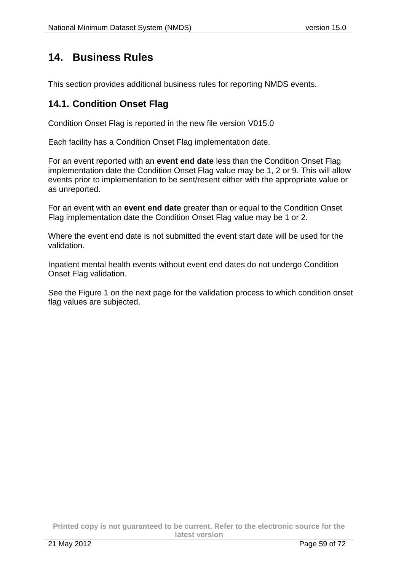## **14. Business Rules**

This section provides additional business rules for reporting NMDS events.

### **14.1. Condition Onset Flag**

Condition Onset Flag is reported in the new file version V015.0

Each facility has a Condition Onset Flag implementation date.

For an event reported with an **event end date** less than the Condition Onset Flag implementation date the Condition Onset Flag value may be 1, 2 or 9. This will allow events prior to implementation to be sent/resent either with the appropriate value or as unreported.

For an event with an **event end date** greater than or equal to the Condition Onset Flag implementation date the Condition Onset Flag value may be 1 or 2.

Where the event end date is not submitted the event start date will be used for the validation.

Inpatient mental health events without event end dates do not undergo Condition Onset Flag validation.

See the Figure 1 on the next page for the validation process to which condition onset flag values are subjected.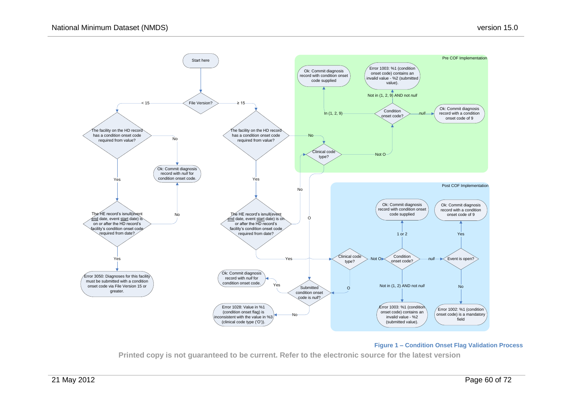<span id="page-59-0"></span>

#### **Figure 1 – Condition Onset Flag Validation Process**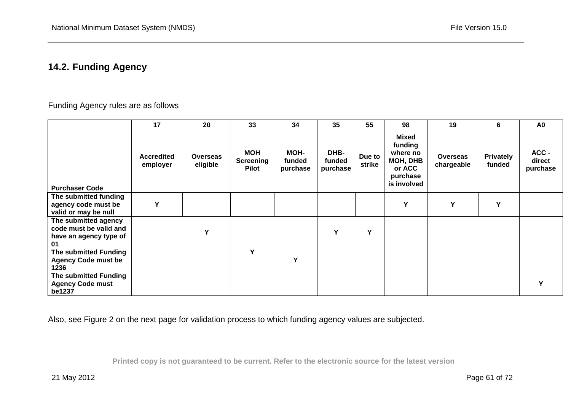## **14.2. Funding Agency**

### Funding Agency rules are as follows

|                                                                                | 17                            | 20                          | 33                                             | 34                                | 35                         | 55               | 98                                                                                   | 19                            | 6                          | A <sub>0</sub>              |
|--------------------------------------------------------------------------------|-------------------------------|-----------------------------|------------------------------------------------|-----------------------------------|----------------------------|------------------|--------------------------------------------------------------------------------------|-------------------------------|----------------------------|-----------------------------|
| <b>Purchaser Code</b>                                                          | <b>Accredited</b><br>employer | <b>Overseas</b><br>eligible | <b>MOH</b><br><b>Screening</b><br><b>Pilot</b> | <b>MOH-</b><br>funded<br>purchase | DHB-<br>funded<br>purchase | Due to<br>strike | <b>Mixed</b><br>funding<br>where no<br>MOH, DHB<br>or ACC<br>purchase<br>is involved | <b>Overseas</b><br>chargeable | <b>Privately</b><br>funded | ACC -<br>direct<br>purchase |
| The submitted funding                                                          |                               |                             |                                                |                                   |                            |                  |                                                                                      |                               |                            |                             |
| agency code must be                                                            | Y                             |                             |                                                |                                   |                            |                  | Y                                                                                    | Υ                             | Y                          |                             |
| valid or may be null                                                           |                               |                             |                                                |                                   |                            |                  |                                                                                      |                               |                            |                             |
| The submitted agency<br>code must be valid and<br>have an agency type of<br>01 |                               | Y                           |                                                |                                   | Y                          | Y                |                                                                                      |                               |                            |                             |
| The submitted Funding<br><b>Agency Code must be</b><br>1236                    |                               |                             | Y                                              | Y                                 |                            |                  |                                                                                      |                               |                            |                             |
| The submitted Funding<br><b>Agency Code must</b><br>be1237                     |                               |                             |                                                |                                   |                            |                  |                                                                                      |                               |                            | Y                           |

Also, see Figure 2 on the next page for validation process to which funding agency values are subjected.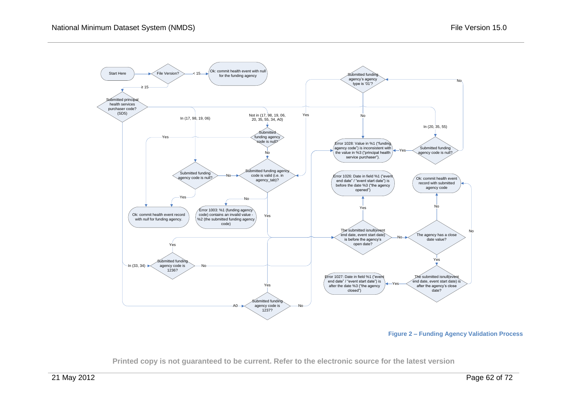

**Figure 2 – Funding Agency Validation Process**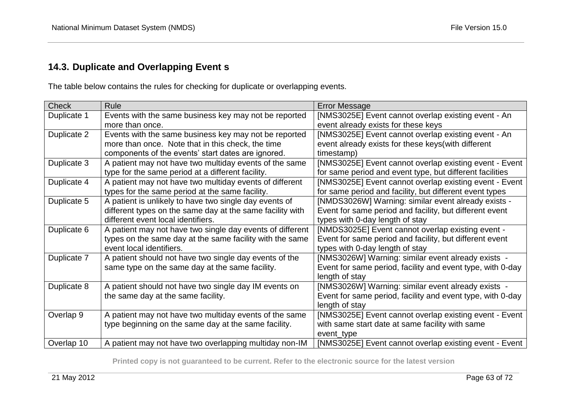## **14.3. Duplicate and Overlapping Event s**

The table below contains the rules for checking for duplicate or overlapping events.

| <b>Check</b> | Rule                                                      | <b>Error Message</b>                                       |
|--------------|-----------------------------------------------------------|------------------------------------------------------------|
| Duplicate 1  | Events with the same business key may not be reported     | [NMS3025E] Event cannot overlap existing event - An        |
|              | more than once.                                           | event already exists for these keys                        |
| Duplicate 2  | Events with the same business key may not be reported     | [NMS3025E] Event cannot overlap existing event - An        |
|              | more than once. Note that in this check, the time         | event already exists for these keys (with different        |
|              | components of the events' start dates are ignored.        | timestamp)                                                 |
| Duplicate 3  | A patient may not have two multiday events of the same    | [NMS3025E] Event cannot overlap existing event - Event     |
|              | type for the same period at a different facility.         | for same period and event type, but different facilities   |
| Duplicate 4  | A patient may not have two multiday events of different   | [NMS3025E] Event cannot overlap existing event - Event     |
|              | types for the same period at the same facility.           | for same period and facility, but different event types    |
| Duplicate 5  | A patient is unlikely to have two single day events of    | [NMDS3026W] Warning: similar event already exists -        |
|              | different types on the same day at the same facility with | Event for same period and facility, but different event    |
|              | different event local identifiers.                        | types with 0-day length of stay                            |
| Duplicate 6  | A patient may not have two single day events of different | [NMDS3025E] Event cannot overlap existing event -          |
|              | types on the same day at the same facility with the same  | Event for same period and facility, but different event    |
|              | event local identifiers.                                  | types with 0-day length of stay                            |
| Duplicate 7  | A patient should not have two single day events of the    | [NMS3026W] Warning: similar event already exists -         |
|              | same type on the same day at the same facility.           | Event for same period, facility and event type, with 0-day |
|              |                                                           | length of stay                                             |
| Duplicate 8  | A patient should not have two single day IM events on     | [NMS3026W] Warning: similar event already exists -         |
|              | the same day at the same facility.                        | Event for same period, facility and event type, with 0-day |
|              |                                                           | length of stay                                             |
| Overlap 9    | A patient may not have two multiday events of the same    | [NMS3025E] Event cannot overlap existing event - Event     |
|              | type beginning on the same day at the same facility.      | with same start date at same facility with same            |
|              |                                                           | event_type                                                 |
| Overlap 10   | A patient may not have two overlapping multiday non-IM    | [NMS3025E] Event cannot overlap existing event - Event     |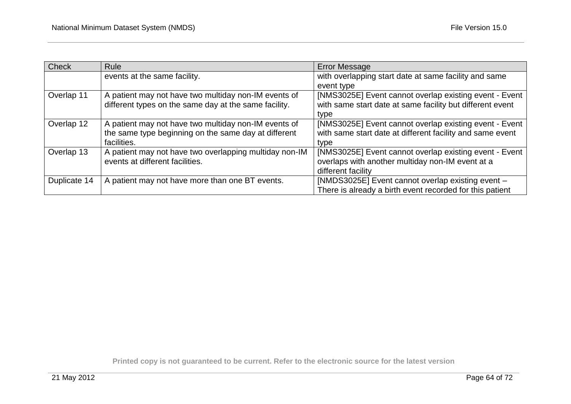| <b>Check</b> | <b>Rule</b>                                            | <b>Error Message</b>                                      |
|--------------|--------------------------------------------------------|-----------------------------------------------------------|
|              | events at the same facility.                           | with overlapping start date at same facility and same     |
|              |                                                        | event type                                                |
| Overlap 11   | A patient may not have two multiday non-IM events of   | [NMS3025E] Event cannot overlap existing event - Event    |
|              | different types on the same day at the same facility.  | with same start date at same facility but different event |
|              |                                                        | type                                                      |
| Overlap 12   | A patient may not have two multiday non-IM events of   | [NMS3025E] Event cannot overlap existing event - Event    |
|              | the same type beginning on the same day at different   | with same start date at different facility and same event |
|              | facilities.                                            | type                                                      |
| Overlap 13   | A patient may not have two overlapping multiday non-IM | [NMS3025E] Event cannot overlap existing event - Event    |
|              | events at different facilities.                        | overlaps with another multiday non-IM event at a          |
|              |                                                        | different facility                                        |
| Duplicate 14 | A patient may not have more than one BT events.        | [NMDS3025E] Event cannot overlap existing event -         |
|              |                                                        | There is already a birth event recorded for this patient  |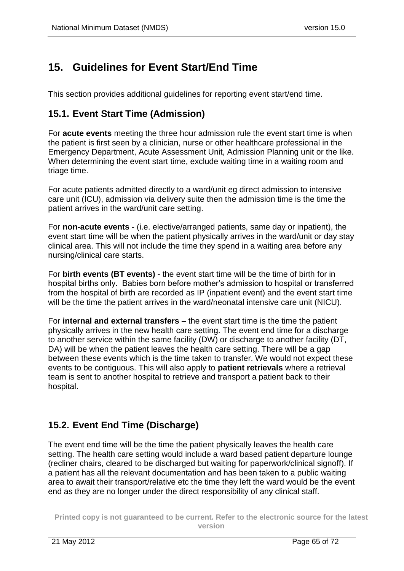# **15. Guidelines for Event Start/End Time**

This section provides additional guidelines for reporting event start/end time.

### **15.1. Event Start Time (Admission)**

For **acute events** meeting the three hour admission rule the event start time is when the patient is first seen by a clinician, nurse or other healthcare professional in the Emergency Department, Acute Assessment Unit, Admission Planning unit or the like. When determining the event start time, exclude waiting time in a waiting room and triage time.

For acute patients admitted directly to a ward/unit eg direct admission to intensive care unit (ICU), admission via delivery suite then the admission time is the time the patient arrives in the ward/unit care setting.

For **non-acute events** - (i.e. elective/arranged patients, same day or inpatient), the event start time will be when the patient physically arrives in the ward/unit or day stay clinical area. This will not include the time they spend in a waiting area before any nursing/clinical care starts.

For **birth events (BT events)** - the event start time will be the time of birth for in hospital births only. Babies born before mother's admission to hospital or transferred from the hospital of birth are recorded as IP (inpatient event) and the event start time will be the time the patient arrives in the ward/neonatal intensive care unit (NICU).

For **internal and external transfers** – the event start time is the time the patient physically arrives in the new health care setting. The event end time for a discharge to another service within the same facility (DW) or discharge to another facility (DT, DA) will be when the patient leaves the health care setting. There will be a gap between these events which is the time taken to transfer. We would not expect these events to be contiguous. This will also apply to **patient retrievals** where a retrieval team is sent to another hospital to retrieve and transport a patient back to their hospital.

### **15.2. Event End Time (Discharge)**

The event end time will be the time the patient physically leaves the health care setting. The health care setting would include a ward based patient departure lounge (recliner chairs, cleared to be discharged but waiting for paperwork/clinical signoff). If a patient has all the relevant documentation and has been taken to a public waiting area to await their transport/relative etc the time they left the ward would be the event end as they are no longer under the direct responsibility of any clinical staff.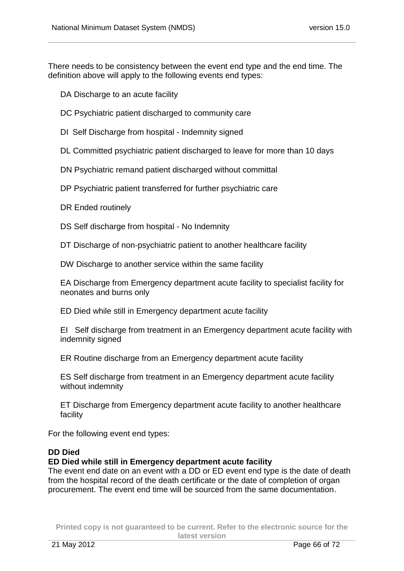There needs to be consistency between the event end type and the end time. The definition above will apply to the following events end types:

DA Discharge to an acute facility

- DC Psychiatric patient discharged to community care
- DI Self Discharge from hospital Indemnity signed
- DL Committed psychiatric patient discharged to leave for more than 10 days
- DN Psychiatric remand patient discharged without committal
- DP Psychiatric patient transferred for further psychiatric care
- DR Ended routinely
- DS Self discharge from hospital No Indemnity

DT Discharge of non-psychiatric patient to another healthcare facility

DW Discharge to another service within the same facility

EA Discharge from Emergency department acute facility to specialist facility for neonates and burns only

ED Died while still in Emergency department acute facility

EI Self discharge from treatment in an Emergency department acute facility with indemnity signed

ER Routine discharge from an Emergency department acute facility

ES Self discharge from treatment in an Emergency department acute facility without indemnity

ET Discharge from Emergency department acute facility to another healthcare facility

For the following event end types:

### **DD Died**

### **ED Died while still in Emergency department acute facility**

The event end date on an event with a DD or ED event end type is the date of death from the hospital record of the death certificate or the date of completion of organ procurement. The event end time will be sourced from the same documentation.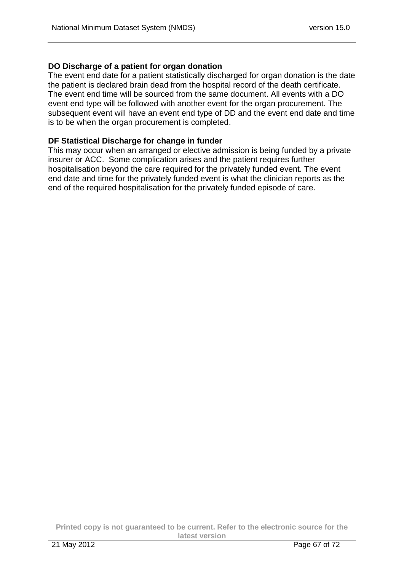### **DO Discharge of a patient for organ donation**

The event end date for a patient statistically discharged for organ donation is the date the patient is declared brain dead from the hospital record of the death certificate. The event end time will be sourced from the same document. All events with a DO event end type will be followed with another event for the organ procurement. The subsequent event will have an event end type of DD and the event end date and time is to be when the organ procurement is completed.

### **DF Statistical Discharge for change in funder**

This may occur when an arranged or elective admission is being funded by a private insurer or ACC. Some complication arises and the patient requires further hospitalisation beyond the care required for the privately funded event. The event end date and time for the privately funded event is what the clinician reports as the end of the required hospitalisation for the privately funded episode of care.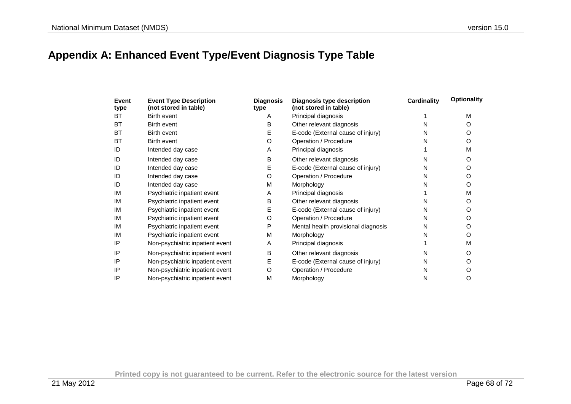# **Appendix A: Enhanced Event Type/Event Diagnosis Type Table**

| Event<br>type | <b>Event Type Description</b><br>(not stored in table) | <b>Diagnosis</b><br>type | Diagnosis type description<br>(not stored in table) | <b>Cardinality</b> | <b>Optionality</b> |
|---------------|--------------------------------------------------------|--------------------------|-----------------------------------------------------|--------------------|--------------------|
| <b>BT</b>     | Birth event                                            | A                        | Principal diagnosis                                 |                    | M                  |
| <b>BT</b>     | Birth event                                            | в                        | Other relevant diagnosis                            | N                  | Ω                  |
| BT            | Birth event                                            | E                        | E-code (External cause of injury)                   | N                  | O                  |
| <b>BT</b>     | Birth event                                            | O                        | Operation / Procedure                               | N                  | O                  |
| ID            | Intended day case                                      | A                        | Principal diagnosis                                 |                    | M                  |
| ID            | Intended day case                                      | B                        | Other relevant diagnosis                            | Ν                  | Ω                  |
| ID            | Intended day case                                      | Ε                        | E-code (External cause of injury)                   | N                  | O                  |
| ID            | Intended day case                                      | O                        | Operation / Procedure                               | N                  | O                  |
| ID            | Intended day case                                      | M                        | Morphology                                          | N                  | O                  |
| IM            | Psychiatric inpatient event                            | A                        | Principal diagnosis                                 |                    | M                  |
| IM            | Psychiatric inpatient event                            | в                        | Other relevant diagnosis                            | N                  | O                  |
| IM            | Psychiatric inpatient event                            | Е                        | E-code (External cause of injury)                   | N                  | O                  |
| IM            | Psychiatric inpatient event                            | O                        | Operation / Procedure                               | N                  | O                  |
| IM            | Psychiatric inpatient event                            | P                        | Mental health provisional diagnosis                 | N                  | O                  |
| IM            | Psychiatric inpatient event                            | М                        | Morphology                                          | N                  | O                  |
| IP            | Non-psychiatric inpatient event                        | A                        | Principal diagnosis                                 |                    | M                  |
| IP            | Non-psychiatric inpatient event                        | в                        | Other relevant diagnosis                            | Ν                  | Ω                  |
| IP            | Non-psychiatric inpatient event                        | E                        | E-code (External cause of injury)                   | N                  | O                  |
| IP            | Non-psychiatric inpatient event                        | O                        | Operation / Procedure                               | N                  |                    |
| IP            | Non-psychiatric inpatient event                        | M                        | Morphology                                          | N                  | O                  |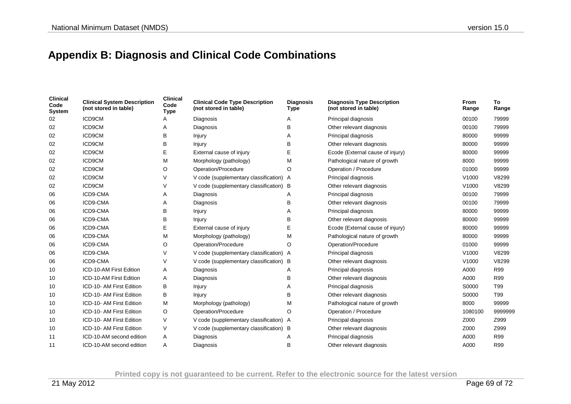# **Appendix B: Diagnosis and Clinical Code Combinations**

| <b>Clinical</b><br>Code<br><b>System</b> | <b>Clinical System Description</b><br>(not stored in table) | <b>Clinical</b><br>Code<br><b>Type</b> | <b>Clinical Code Type Description</b><br>(not stored in table) | <b>Diagnosis</b><br><b>Type</b> | <b>Diagnosis Type Description</b><br>(not stored in table) | <b>From</b><br>Range | To<br>Range |
|------------------------------------------|-------------------------------------------------------------|----------------------------------------|----------------------------------------------------------------|---------------------------------|------------------------------------------------------------|----------------------|-------------|
| 02                                       | ICD9CM                                                      |                                        | Diagnosis                                                      | A                               | Principal diagnosis                                        | 00100                | 79999       |
| 02                                       | ICD9CM                                                      | A                                      | Diagnosis                                                      | в                               | Other relevant diagnosis                                   | 00100                | 79999       |
| 02                                       | ICD9CM                                                      | в                                      | Injury                                                         | A                               | Principal diagnosis                                        | 80000                | 99999       |
| 02                                       | ICD9CM                                                      | в                                      | Injury                                                         | B                               | Other relevant diagnosis                                   | 80000                | 99999       |
| 02                                       | ICD9CM                                                      | Е                                      | External cause of injury                                       | Е                               | Ecode (External cause of injury)                           | 80000                | 99999       |
| 02                                       | ICD9CM                                                      | M                                      | Morphology (pathology)                                         | M                               | Pathological nature of growth                              | 8000                 | 99999       |
| 02                                       | ICD9CM                                                      | O                                      | Operation/Procedure                                            | O                               | Operation / Procedure                                      | 01000                | 99999       |
| 02                                       | ICD9CM                                                      | V                                      | V code (supplementary classification) A                        |                                 | Principal diagnosis                                        | V <sub>1000</sub>    | V8299       |
| 02                                       | ICD9CM                                                      | V                                      | V code (supplementary classification) B                        |                                 | Other relevant diagnosis                                   | V1000                | V8299       |
| 06                                       | ICD9-CMA                                                    | Α                                      | Diagnosis                                                      | A                               | Principal diagnosis                                        | 00100                | 79999       |
| 06                                       | ICD9-CMA                                                    | Α                                      | Diagnosis                                                      | B                               | Other relevant diagnosis                                   | 00100                | 79999       |
| 06                                       | ICD9-CMA                                                    | в                                      | Injury                                                         |                                 | Principal diagnosis                                        | 80000                | 99999       |
| 06                                       | ICD9-CMA                                                    | в                                      | Injury                                                         | B                               | Other relevant diagnosis                                   | 80000                | 99999       |
| 06                                       | ICD9-CMA                                                    | E                                      | External cause of injury                                       |                                 | Ecode (External cause of injury)                           | 80000                | 99999       |
| 06                                       | ICD9-CMA                                                    | M                                      | Morphology (pathology)                                         | м                               | Pathological nature of growth                              | 80000                | 99999       |
| 06                                       | ICD9-CMA                                                    | O                                      | Operation/Procedure                                            | O                               | Operation/Procedure                                        | 01000                | 99999       |
| 06                                       | ICD9-CMA                                                    | V                                      | V code (supplementary classification) A                        |                                 | Principal diagnosis                                        | V1000                | V8299       |
| 06                                       | ICD9-CMA                                                    | V                                      | V code (supplementary classification) B                        |                                 | Other relevant diagnosis                                   | V1000                | V8299       |
| 10                                       | ICD-10-AM First Edition                                     | Α                                      | Diagnosis                                                      | Α                               | Principal diagnosis                                        | A000                 | R99         |
| 10                                       | ICD-10-AM First Edition                                     | Α                                      | Diagnosis                                                      | B                               | Other relevant diagnosis                                   | A000                 | R99         |
| 10                                       | ICD-10- AM First Edition                                    | В                                      | Injury                                                         | A                               | Principal diagnosis                                        | S0000                | T99         |
| 10                                       | ICD-10- AM First Edition                                    | В                                      | Injury                                                         | B                               | Other relevant diagnosis                                   | S0000                | T99         |
| 10                                       | ICD-10- AM First Edition                                    | M                                      | Morphology (pathology)                                         | M                               | Pathological nature of growth                              | 8000                 | 99999       |
| 10                                       | ICD-10- AM First Edition                                    | O                                      | Operation/Procedure                                            | O                               | Operation / Procedure                                      | 1080100              | 9999999     |
| 10                                       | ICD-10- AM First Edition                                    | V                                      | V code (supplementary classification) A                        |                                 | Principal diagnosis                                        | Z000                 | Z999        |
| 10                                       | ICD-10- AM First Edition                                    | V                                      | V code (supplementary classification) B                        |                                 | Other relevant diagnosis                                   | Z000                 | Z999        |
| 11                                       | ICD-10-AM second edition                                    | Α                                      | Diagnosis                                                      | Α                               | Principal diagnosis                                        | A000                 | R99         |
| 11                                       | ICD-10-AM second edition                                    | A                                      | Diagnosis                                                      | B                               | Other relevant diagnosis                                   | A000                 | <b>R99</b>  |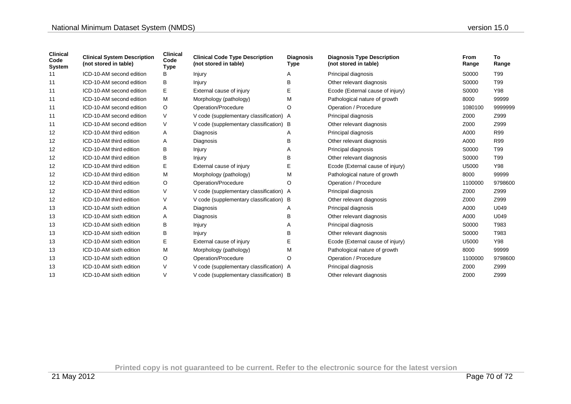| <b>Clinical</b><br>Code<br><b>System</b> | <b>Clinical System Description</b><br>(not stored in table) | <b>Clinical</b><br>Code<br>Type | <b>Clinical Code Type Description</b><br>(not stored in table) | <b>Diagnosis</b><br>Type | <b>Diagnosis Type Description</b><br>(not stored in table) | <b>From</b><br>Range | To<br>Range |
|------------------------------------------|-------------------------------------------------------------|---------------------------------|----------------------------------------------------------------|--------------------------|------------------------------------------------------------|----------------------|-------------|
| 11                                       | ICD-10-AM second edition                                    | В                               | Injury                                                         | Α                        | Principal diagnosis                                        | S0000                | T99         |
| 11                                       | ICD-10-AM second edition                                    | в                               | Injury                                                         | В                        | Other relevant diagnosis                                   | S0000                | T99         |
| 11                                       | ICD-10-AM second edition                                    | Е                               | External cause of injury                                       | E                        | Ecode (External cause of injury)                           | S0000                | Y98         |
| 11                                       | ICD-10-AM second edition                                    | м                               | Morphology (pathology)                                         | М                        | Pathological nature of growth                              | 8000                 | 99999       |
| 11                                       | ICD-10-AM second edition                                    | O                               | Operation/Procedure                                            | O                        | Operation / Procedure                                      | 1080100              | 9999999     |
| 11                                       | ICD-10-AM second edition                                    | V                               | V code (supplementary classification) A                        |                          | Principal diagnosis                                        | Z000                 | Z999        |
| 11                                       | ICD-10-AM second edition                                    | V                               | V code (supplementary classification) B                        |                          | Other relevant diagnosis                                   | Z000                 | Z999        |
| 12                                       | ICD-10-AM third edition                                     | A                               | Diagnosis                                                      | Α                        | Principal diagnosis                                        | A000                 | R99         |
| 12                                       | ICD-10-AM third edition                                     | Α                               | Diagnosis                                                      | в                        | Other relevant diagnosis                                   | A000                 | R99         |
| 12                                       | ICD-10-AM third edition                                     | В                               | Injury                                                         | Α                        | Principal diagnosis                                        | S0000                | T99         |
| 12                                       | ICD-10-AM third edition                                     | В                               | Injury                                                         | в                        | Other relevant diagnosis                                   | S0000                | T99         |
| 12                                       | ICD-10-AM third edition                                     | Е                               | External cause of injury                                       | Е                        | Ecode (External cause of injury)                           | U5000                | Y98         |
| 12                                       | ICD-10-AM third edition                                     | M                               | Morphology (pathology)                                         | М                        | Pathological nature of growth                              | 8000                 | 99999       |
| 12                                       | ICD-10-AM third edition                                     | O                               | Operation/Procedure                                            | O                        | Operation / Procedure                                      | 1100000              | 9798600     |
| 12                                       | ICD-10-AM third edition                                     | V                               | V code (supplementary classification) A                        |                          | Principal diagnosis                                        | Z000                 | Z999        |
| 12                                       | ICD-10-AM third edition                                     | V                               | V code (supplementary classification) B                        |                          | Other relevant diagnosis                                   | Z000                 | Z999        |
| 13                                       | ICD-10-AM sixth edition                                     | A                               | Diagnosis                                                      | Α                        | Principal diagnosis                                        | A000                 | U049        |
| 13                                       | ICD-10-AM sixth edition                                     | Α                               | Diagnosis                                                      | в                        | Other relevant diagnosis                                   | A000                 | U049        |
| 13                                       | ICD-10-AM sixth edition                                     | B                               | Injury                                                         | Α                        | Principal diagnosis                                        | S0000                | T983        |
| 13                                       | ICD-10-AM sixth edition                                     | В                               | Injury                                                         | в                        | Other relevant diagnosis                                   | S0000                | T983        |
| 13                                       | ICD-10-AM sixth edition                                     | Е                               | External cause of injury                                       | Е                        | Ecode (External cause of injury)                           | U5000                | Y98         |
| 13                                       | ICD-10-AM sixth edition                                     | M                               | Morphology (pathology)                                         | М                        | Pathological nature of growth                              | 8000                 | 99999       |
| 13                                       | ICD-10-AM sixth edition                                     | O                               | Operation/Procedure                                            | O                        | Operation / Procedure                                      | 1100000              | 9798600     |
| 13                                       | ICD-10-AM sixth edition                                     | V                               | V code (supplementary classification) A                        |                          | Principal diagnosis                                        | Z000                 | Z999        |
| 13                                       | ICD-10-AM sixth edition                                     | V                               | V code (supplementary classification) B                        |                          | Other relevant diagnosis                                   | Z000                 | Z999        |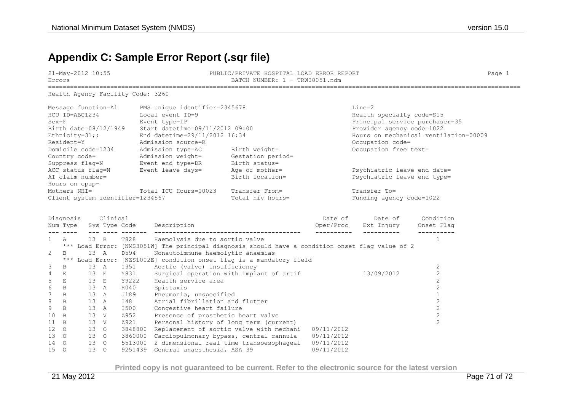# **Appendix C: Sample Error Report (.sqr file)**

| Errors            | BATCH NUMBER: 1 - TRW00051.ndm            |      |
|-------------------|-------------------------------------------|------|
| 21-May-2012 10:55 | PUBLIC/PRIVATE HOSPITAL LOAD ERROR REPORT | Pace |

Health Agency Facility Code: 3260

| Message function=A1              | PMS unique identifier=2345678   |                   | Line=2                                |
|----------------------------------|---------------------------------|-------------------|---------------------------------------|
| HCU ID=ABC1234                   | Local event ID=9                |                   | Health specialty code=S15             |
| $Sex = F$                        | Event type=IP                   |                   | Principal service purchaser=35        |
| Birth date=08/12/1949            | Start datetime=09/11/2012 09:00 |                   | Provider agency code=1022             |
| Ethnicity= $31;$                 | End datetime=29/11/2012 16:34   |                   | Hours on mechanical ventilation=00009 |
| Resident=Y                       | Admission source=R              |                   | Occupation code=                      |
| Domicile code=1234               | Admission type=AC               | Birth weight=     | Occupation free text=                 |
| Country code=                    | Admission weight=               | Gestation period= |                                       |
| Suppress flag=N                  | Event end type=DR               | Birth status=     |                                       |
| ACC status flaq=N                | Event leave days=               | Age of mother=    | Psychiatric leave end date=           |
| AI claim number=                 |                                 | Birth location=   | Psychiatric leave end type=           |
| Hours on cpap=                   |                                 |                   |                                       |
| Mothers NHI=                     | Total ICU Hours=00023           | Transfer From=    | Transfer To=                          |
| Client system identifier=1234567 |                                 | Total niv hours=  | Funding agency code=1022              |

|                | Diagnosis      |                 | Clinical      |         |                                                                                                  | Date of    | Date of    | Condition  |
|----------------|----------------|-----------------|---------------|---------|--------------------------------------------------------------------------------------------------|------------|------------|------------|
|                | Num Type       |                 | Sys Type Code |         | Description                                                                                      | Oper/Proc  | Ext Injury | Onset Flaq |
|                | A              | $13 \quad B$    |               | T828    | Haemolysis due to aortic valve                                                                   |            |            |            |
|                |                |                 |               |         | *** Load Error: [NMS3051W] The principal diagnosis should have a condition onset flag value of 2 |            |            |            |
| 2              | B              | $13 \quad A$    |               | D594    | Nonautoimmune haemolytic anaemias                                                                |            |            |            |
|                |                |                 |               |         | *** Load Error: [NZS1002E] condition onset flag is a mandatory field                             |            |            |            |
| 3              | B              | 13 A            |               | I351    | Aortic (valve) insufficiency                                                                     |            |            |            |
| $\overline{4}$ | E              | 13 E            |               | Y831    | Surgical operation with implant of artif                                                         |            | 13/09/2012 |            |
| 5              | E              | 13 E            |               | Y9222   | Health service area                                                                              |            |            |            |
| 6              | B              | 13 A            |               | R040    | Epistaxis                                                                                        |            |            |            |
|                | $\mathbf B$    | 13 A            |               | J189    | Pneumonia, unspecified                                                                           |            |            |            |
| 8              | B              | 13 A            |               | I48     | Atrial fibrillation and flutter                                                                  |            |            |            |
| 9              | B              | $13 \quad A$    |               | I500    | Congestive heart failure                                                                         |            |            |            |
| 10             | B              | 13 V            |               | Z952    | Presence of prosthetic heart valve                                                               |            |            |            |
| 11             | $\overline{B}$ | 13 V            |               | Z921    | Personal history of long term (current)                                                          |            |            |            |
| 12             | $\circ$        | 13 <sup>o</sup> |               | 3848800 | Replacement of aortic valve with mechani                                                         | 09/11/2012 |            |            |
| 13             | $\circ$        | 13 <sub>o</sub> |               | 3860000 | Cardiopulmonary bypass, central cannula                                                          | 09/11/2012 |            |            |
| 14             | $\circ$        | 13 <sup>o</sup> |               | 5513000 | 2 dimensional real time transoesophageal                                                         | 09/11/2012 |            |            |
| 15             | $\circ$        | 13              | $\circ$       | 9251439 | General anaesthesia, ASA 39                                                                      | 09/11/2012 |            |            |